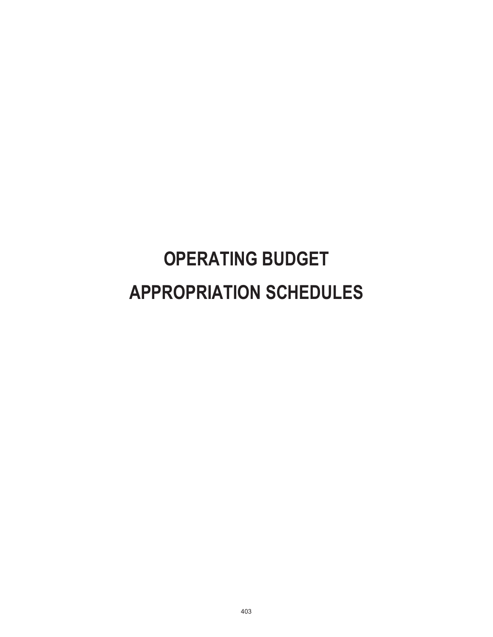# **OPERATING BUDGET APPROPRIATION SCHEDULES**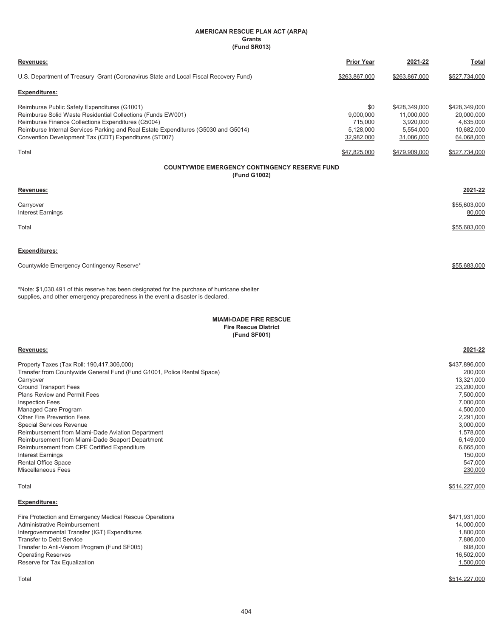#### **AMERICAN RESCUE PLAN ACT (ARPA) Grants (Fund SR013)**

| Revenues:                                                                                                                                                                                                                                                                                                        | <b>Prior Year</b>                                      | 2021-22                                                             | Total                                                                |
|------------------------------------------------------------------------------------------------------------------------------------------------------------------------------------------------------------------------------------------------------------------------------------------------------------------|--------------------------------------------------------|---------------------------------------------------------------------|----------------------------------------------------------------------|
| U.S. Department of Treasury Grant (Coronavirus State and Local Fiscal Recovery Fund)                                                                                                                                                                                                                             | \$263,867,000                                          | \$263,867,000                                                       | \$527,734,000                                                        |
| Expenditures:                                                                                                                                                                                                                                                                                                    |                                                        |                                                                     |                                                                      |
| Reimburse Public Safety Expenditures (G1001)<br>Reimburse Solid Waste Residential Collections (Funds EW001)<br>Reimburse Finance Collections Expenditures (G5004)<br>Reimburse Internal Services Parking and Real Estate Expenditures (G5030 and G5014)<br>Convention Development Tax (CDT) Expenditures (ST007) | \$0<br>9,000,000<br>715,000<br>5,128,000<br>32,982,000 | \$428,349,000<br>11,000,000<br>3,920,000<br>5,554,000<br>31,086,000 | \$428,349,000<br>20,000,000<br>4,635,000<br>10,682,000<br>64,068,000 |
| Total                                                                                                                                                                                                                                                                                                            | \$47,825,000                                           | \$479,909,000                                                       | \$527,734,000                                                        |
| <b>COUNTYWIDE EMERGENCY CONTINGENCY RESERVE FUND</b><br>(Fund G1002)                                                                                                                                                                                                                                             |                                                        |                                                                     |                                                                      |
| Revenues:                                                                                                                                                                                                                                                                                                        |                                                        |                                                                     | 2021-22                                                              |
| Carryover<br><b>Interest Earnings</b>                                                                                                                                                                                                                                                                            |                                                        |                                                                     | \$55,603,000<br>80,000                                               |
| Total                                                                                                                                                                                                                                                                                                            |                                                        |                                                                     | \$55,683,000                                                         |
| <b>Expenditures:</b>                                                                                                                                                                                                                                                                                             |                                                        |                                                                     |                                                                      |
| Countywide Emergency Contingency Reserve*                                                                                                                                                                                                                                                                        |                                                        |                                                                     | \$55.683.000                                                         |
| *Note: \$1,030,491 of this reserve has been designated for the purchase of hurricane shelter<br>supplies, and other emergency preparedness in the event a disaster is declared.                                                                                                                                  |                                                        |                                                                     |                                                                      |
| <b>MIAMI-DADE FIRE RESCUE</b><br><b>Fire Rescue District</b><br>(Fund SF001)                                                                                                                                                                                                                                     |                                                        |                                                                     |                                                                      |
| Revenues:                                                                                                                                                                                                                                                                                                        |                                                        |                                                                     | 2021-22                                                              |
| Property Taxes (Tax Roll: 190,417,306,000)<br>Transfer from Countywide General Fund (Fund G1001, Police Rental Space)<br>Carryover<br><b>Ground Transport Fees</b><br>Plans Review and Permit Fees                                                                                                               |                                                        |                                                                     | \$437,896,000<br>200,000<br>13,321,000<br>23,200,000<br>7,500,000    |

| Managed Care Program                              | 4,500,000 |
|---------------------------------------------------|-----------|
| <b>Other Fire Prevention Fees</b>                 | 2,291,000 |
| Special Services Revenue                          | 3,000,000 |
| Reimbursement from Miami-Dade Aviation Department | 1,578,000 |
| Reimbursement from Miami-Dade Seaport Department  | 6,149,000 |
| Reimbursement from CPE Certified Expenditure      | 6,665,000 |
| Interest Earnings                                 | 150.000   |
| <b>Rental Office Space</b>                        | 547,000   |
| Miscellaneous Fees                                | 230,000   |
|                                                   |           |

Total \$514,227,000

# **Expenditures:**

| Administrative Reimbursement<br>14,000,000<br>Intergovernmental Transfer (IGT) Expenditures<br>1.800.000<br><b>Transfer to Debt Service</b><br>7,886,000<br>Transfer to Anti-Venom Program (Fund SF005)<br>608.000<br>16.502.000<br><b>Operating Reserves</b><br>Reserve for Tax Equalization<br>1,500,000 |
|------------------------------------------------------------------------------------------------------------------------------------------------------------------------------------------------------------------------------------------------------------------------------------------------------------|
|                                                                                                                                                                                                                                                                                                            |

Plans Review and Permit Fees 7,500,000 Inspection Fees 7,000,000

Total \$514,227,000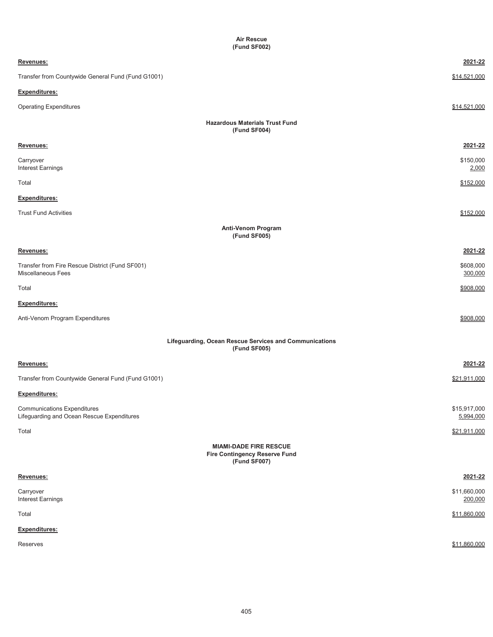| <b>Air Rescue</b><br>(Fund SF002)                                                     |                           |
|---------------------------------------------------------------------------------------|---------------------------|
| Revenues:                                                                             | 2021-22                   |
| Transfer from Countywide General Fund (Fund G1001)                                    | \$14,521,000              |
| Expenditures:                                                                         |                           |
| <b>Operating Expenditures</b>                                                         | \$14,521,000              |
| <b>Hazardous Materials Trust Fund</b><br>(Fund SF004)                                 |                           |
| Revenues:                                                                             | 2021-22                   |
| Carryover<br>Interest Earnings                                                        | \$150,000<br>2,000        |
| Total                                                                                 | \$152,000                 |
| <b>Expenditures:</b>                                                                  |                           |
| <b>Trust Fund Activities</b>                                                          | \$152,000                 |
| <b>Anti-Venom Program</b><br>(Fund SF005)                                             |                           |
| Revenues:                                                                             | 2021-22                   |
| Transfer from Fire Rescue District (Fund SF001)<br>Miscellaneous Fees                 | \$608,000<br>300,000      |
| Total                                                                                 | \$908,000                 |
| Expenditures:                                                                         |                           |
| Anti-Venom Program Expenditures                                                       | \$908,000                 |
| Lifeguarding, Ocean Rescue Services and Communications<br>(Fund SF005)                |                           |
| Revenues:                                                                             | 2021-22                   |
| Transfer from Countywide General Fund (Fund G1001)                                    | \$21,911,000              |
| <b>Expenditures:</b>                                                                  |                           |
| <b>Communications Expenditures</b><br>Lifeguarding and Ocean Rescue Expenditures      | \$15,917,000<br>5,994,000 |
| Total                                                                                 | \$21,911,000              |
| <b>MIAMI-DADE FIRE RESCUE</b><br><b>Fire Contingency Reserve Fund</b><br>(Fund SF007) |                           |
| Revenues:                                                                             | 2021-22                   |
| Carryover<br>Interest Earnings                                                        | \$11,660,000<br>200,000   |
| Total                                                                                 | \$11,860,000              |
| <b>Expenditures:</b>                                                                  |                           |
| Reserves                                                                              | \$11,860,000              |

405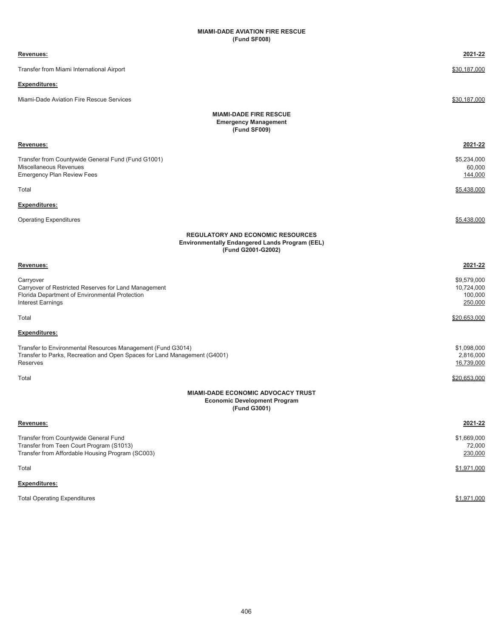# **(Fund SF008) MIAMI-DADE AVIATION FIRE RESCUE**

| Revenues:                                                                                                                                            | 2021-22                                         |
|------------------------------------------------------------------------------------------------------------------------------------------------------|-------------------------------------------------|
| Transfer from Miami International Airport                                                                                                            | \$30,187,000                                    |
| Expenditures:                                                                                                                                        |                                                 |
| Miami-Dade Aviation Fire Rescue Services                                                                                                             | \$30,187,000                                    |
| <b>MIAMI-DADE FIRE RESCUE</b><br><b>Emergency Management</b><br>(Fund SF009)                                                                         |                                                 |
| <u>Revenues:</u>                                                                                                                                     | 2021-22                                         |
| Transfer from Countywide General Fund (Fund G1001)<br>Miscellaneous Revenues<br>Emergency Plan Review Fees                                           | \$5,234,000<br>60,000<br>144,000                |
| Total                                                                                                                                                | \$5,438,000                                     |
| <b>Expenditures:</b>                                                                                                                                 |                                                 |
| <b>Operating Expenditures</b>                                                                                                                        | \$5,438,000                                     |
| <b>REGULATORY AND ECONOMIC RESOURCES</b><br>Environmentally Endangered Lands Program (EEL)<br>(Fund G2001-G2002)                                     |                                                 |
| Revenues:                                                                                                                                            | 2021-22                                         |
| Carryover<br>Carryover of Restricted Reserves for Land Management<br>Florida Department of Environmental Protection<br>Interest Earnings             | \$9,579,000<br>10,724,000<br>100,000<br>250,000 |
| Total                                                                                                                                                | \$20,653,000                                    |
| Expenditures:                                                                                                                                        |                                                 |
| Transfer to Environmental Resources Management (Fund G3014)<br>Transfer to Parks, Recreation and Open Spaces for Land Management (G4001)<br>Reserves | \$1,098,000<br>2,816,000<br>16,739,000          |
| Total                                                                                                                                                | \$20,653,000                                    |
| <b>MIAMI-DADE ECONOMIC ADVOCACY TRUST</b><br><b>Economic Development Program</b><br>(Fund G3001)                                                     |                                                 |
| Revenues:                                                                                                                                            | 2021-22                                         |
| Transfer from Countywide General Fund<br>Transfer from Teen Court Program (S1013)<br>Transfer from Affordable Housing Program (SC003)                | \$1,669,000<br>72,000<br>230,000                |
| Total                                                                                                                                                | \$1,971,000                                     |
| <b>Expenditures:</b>                                                                                                                                 |                                                 |

Total Operating Expenditures  $$1,971,000$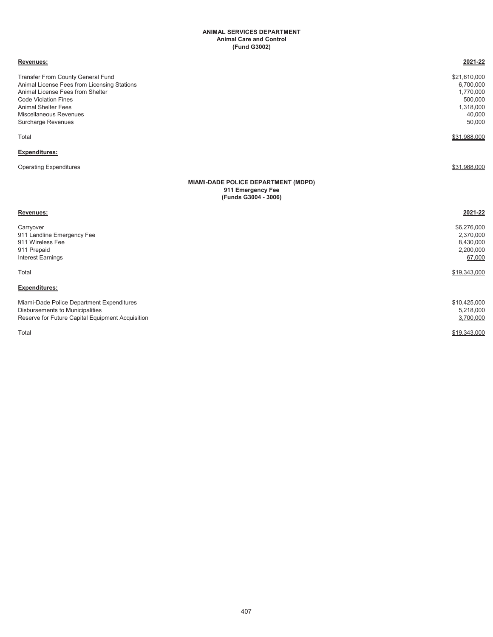#### **ANIMAL SERVICES DEPARTMENT Animal Care and Control (Fund G3002)**

#### **Revenues: 2021-22**

Transfer From County General Fund \$21,610,000<br>Animal License Fees from Licensing Stations (6,700,000) 6,700,000 Animal License Fees from Licensing Stations (6,700,000)<br>Animal License Fees from Shelter (1,770,000) 4,770,000 Animal License Fees from Shelter Code Violation Fines 500,000 Animal Shelter Fees Miscellaneous Revenues 40,000 Surcharge Revenues 50,000

# **Expenditures:**

Operating Expenditures \$31,988,000 \$31,988,000 \$31,988,000 \$31,988,000 \$31,988,000 \$531,988,000 \$531,988,000 \$

Total \$31,988,000

#### **MIAMI-DADE POLICE DEPARTMENT (MDPD) 911 Emergency Fee (Funds G3004 - 3006)**

| Revenues:                                        | 2021-22      |
|--------------------------------------------------|--------------|
| Carryover                                        | \$6,276,000  |
| 911 Landline Emergency Fee                       | 2,370,000    |
| 911 Wireless Fee                                 | 8,430,000    |
| 911 Prepaid                                      | 2,200,000    |
| <b>Interest Earnings</b>                         | 67,000       |
| Total                                            | \$19,343,000 |
| <b>Expenditures:</b>                             |              |
| Miami-Dade Police Department Expenditures        | \$10,425,000 |
| Disbursements to Municipalities                  | 5,218,000    |
| Reserve for Future Capital Equipment Acquisition | 3,700,000    |
| Total                                            | \$19,343,000 |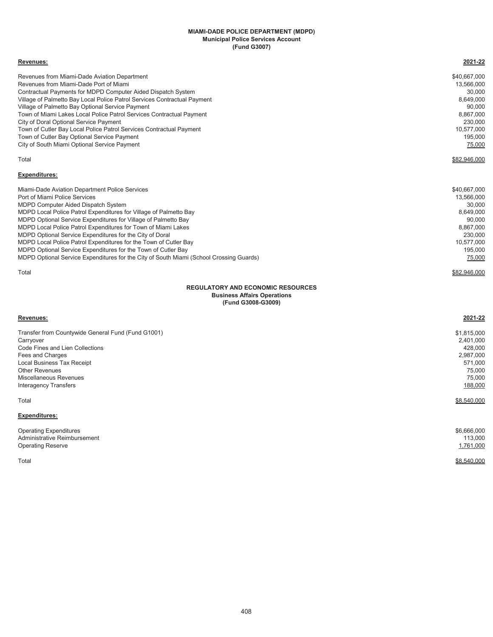#### **MIAMI-DADE POLICE DEPARTMENT (MDPD) Municipal Police Services Account (Fund G3007)**

| Revenues:                                                                                                                                                | 2021-22               |
|----------------------------------------------------------------------------------------------------------------------------------------------------------|-----------------------|
| Revenues from Miami-Dade Aviation Department                                                                                                             | \$40,667,000          |
| Revenues from Miami-Dade Port of Miami                                                                                                                   | 13,566,000            |
| Contractual Payments for MDPD Computer Aided Dispatch System                                                                                             | 30,000                |
| Village of Palmetto Bay Local Police Patrol Services Contractual Payment                                                                                 | 8,649,000             |
| Village of Palmetto Bay Optional Service Payment                                                                                                         | 90,000                |
| Town of Miami Lakes Local Police Patrol Services Contractual Payment                                                                                     | 8,867,000             |
| City of Doral Optional Service Payment                                                                                                                   | 230,000<br>10,577,000 |
| Town of Cutler Bay Local Police Patrol Services Contractual Payment<br>Town of Cutler Bay Optional Service Payment                                       | 195,000               |
| City of South Miami Optional Service Payment                                                                                                             | 75,000                |
|                                                                                                                                                          |                       |
| Total                                                                                                                                                    | \$82,946,000          |
| <b>Expenditures:</b>                                                                                                                                     |                       |
| Miami-Dade Aviation Department Police Services                                                                                                           | \$40,667,000          |
| Port of Miami Police Services                                                                                                                            | 13,566,000            |
| MDPD Computer Aided Dispatch System                                                                                                                      | 30,000                |
| MDPD Local Police Patrol Expenditures for Village of Palmetto Bay                                                                                        | 8,649,000             |
| MDPD Optional Service Expenditures for Village of Palmetto Bay                                                                                           | 90,000                |
| MDPD Local Police Patrol Expenditures for Town of Miami Lakes                                                                                            | 8,867,000             |
| MDPD Optional Service Expenditures for the City of Doral                                                                                                 | 230,000               |
| MDPD Local Police Patrol Expenditures for the Town of Cutler Bay                                                                                         | 10,577,000            |
| MDPD Optional Service Expenditures for the Town of Cutler Bay<br>MDPD Optional Service Expenditures for the City of South Miami (School Crossing Guards) | 195,000<br>75,000     |
|                                                                                                                                                          |                       |
| Total                                                                                                                                                    | \$82,946,000          |
| <b>REGULATORY AND ECONOMIC RESOURCES</b><br><b>Business Affairs Operations</b><br>(Fund G3008-G3009)                                                     |                       |
| Revenues:                                                                                                                                                | 2021-22               |
| Transfer from Countywide General Fund (Fund G1001)                                                                                                       | \$1,815,000           |
| Carrvover                                                                                                                                                | 2,401,000             |
| Code Fines and Lien Collections                                                                                                                          | 428,000               |
| Fees and Charges                                                                                                                                         | 2,987,000             |
| Local Business Tax Receipt                                                                                                                               | 571,000               |

 $\texttt{Total} \quad \texttt{\$8,540,000}$ 

#### **Expenditures:**

| <b>Operating Expenditures</b> | \$6,666,000 |
|-------------------------------|-------------|
| Administrative Reimbursement  | 113,000     |
| <b>Operating Reserve</b>      | 1,761,000   |
| Total                         | \$8,540,000 |

Other Revenues 75,000 Miscellaneous Revenues 75,000 Interagency Transfers 188,000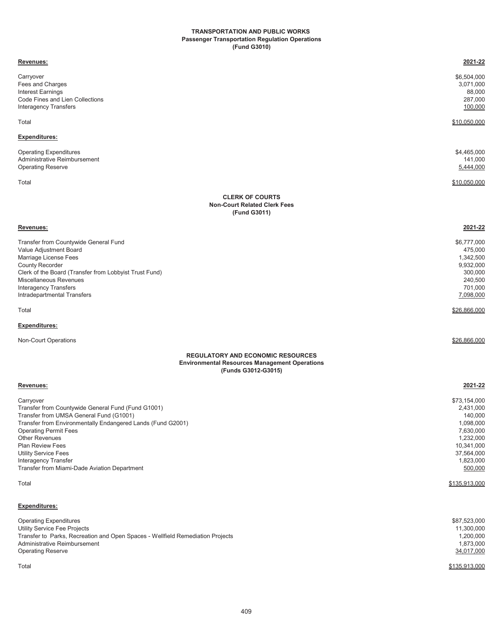#### **Passenger Transportation Regulation Operations (Fund G3010) TRANSPORTATION AND PUBLIC WORKS**

| Revenues:                                                                                                                                                                                                                                                                                                                                                                            | 2021-22                                                                                                                                          |
|--------------------------------------------------------------------------------------------------------------------------------------------------------------------------------------------------------------------------------------------------------------------------------------------------------------------------------------------------------------------------------------|--------------------------------------------------------------------------------------------------------------------------------------------------|
| Carryover<br>Fees and Charges<br>Interest Earnings<br>Code Fines and Lien Collections<br><b>Interagency Transfers</b>                                                                                                                                                                                                                                                                | \$6,504,000<br>3,071,000<br>88,000<br>287,000<br>100,000                                                                                         |
| Total                                                                                                                                                                                                                                                                                                                                                                                | \$10,050,000                                                                                                                                     |
| Expenditures:                                                                                                                                                                                                                                                                                                                                                                        |                                                                                                                                                  |
| <b>Operating Expenditures</b><br>Administrative Reimbursement<br><b>Operating Reserve</b>                                                                                                                                                                                                                                                                                            | \$4,465,000<br>141,000<br>5,444,000                                                                                                              |
| Total                                                                                                                                                                                                                                                                                                                                                                                | \$10,050,000                                                                                                                                     |
| <b>CLERK OF COURTS</b><br><b>Non-Court Related Clerk Fees</b><br>(Fund G3011)                                                                                                                                                                                                                                                                                                        |                                                                                                                                                  |
| Revenues:                                                                                                                                                                                                                                                                                                                                                                            | 2021-22                                                                                                                                          |
| Transfer from Countywide General Fund<br>Value Adjustment Board<br>Marriage License Fees<br><b>County Recorder</b><br>Clerk of the Board (Transfer from Lobbyist Trust Fund)<br>Miscellaneous Revenues<br>Interagency Transfers<br>Intradepartmental Transfers                                                                                                                       | \$6,777,000<br>475,000<br>1,342,500<br>9,932,000<br>300,000<br>240,500<br>701,000<br>7,098,000                                                   |
| Total                                                                                                                                                                                                                                                                                                                                                                                | \$26,866,000                                                                                                                                     |
| Expenditures:                                                                                                                                                                                                                                                                                                                                                                        |                                                                                                                                                  |
| Non-Court Operations                                                                                                                                                                                                                                                                                                                                                                 | \$26,866,000                                                                                                                                     |
| <b>REGULATORY AND ECONOMIC RESOURCES</b><br><b>Environmental Resources Management Operations</b><br>(Funds G3012-G3015)                                                                                                                                                                                                                                                              |                                                                                                                                                  |
| Revenues:                                                                                                                                                                                                                                                                                                                                                                            | 2021-22                                                                                                                                          |
| Carryover<br>Transfer from Countywide General Fund (Fund G1001)<br>Transfer from UMSA General Fund (G1001)<br>Transfer from Environmentally Endangered Lands (Fund G2001)<br><b>Operating Permit Fees</b><br><b>Other Revenues</b><br><b>Plan Review Fees</b><br><b>Utility Service Fees</b><br><b>Interagency Transfer</b><br>Transfer from Miami-Dade Aviation Department<br>Total | \$73,154,000<br>2,431,000<br>140,000<br>1,098,000<br>7,630,000<br>1,232,000<br>10,341,000<br>37,564,000<br>1,823,000<br>500,000<br>\$135,913,000 |
|                                                                                                                                                                                                                                                                                                                                                                                      |                                                                                                                                                  |
| <b>Expenditures:</b><br><b>Operating Expenditures</b>                                                                                                                                                                                                                                                                                                                                | \$87,523,000                                                                                                                                     |
| Utility Service Fee Projects<br>Transfer to Parks, Recreation and Open Spaces - Wellfield Remediation Projects<br>Administrative Reimbursement<br><b>Operating Reserve</b>                                                                                                                                                                                                           | 11,300,000<br>1,200,000<br>1,873,000<br>34,017,000                                                                                               |
| Total                                                                                                                                                                                                                                                                                                                                                                                | \$135,913,000                                                                                                                                    |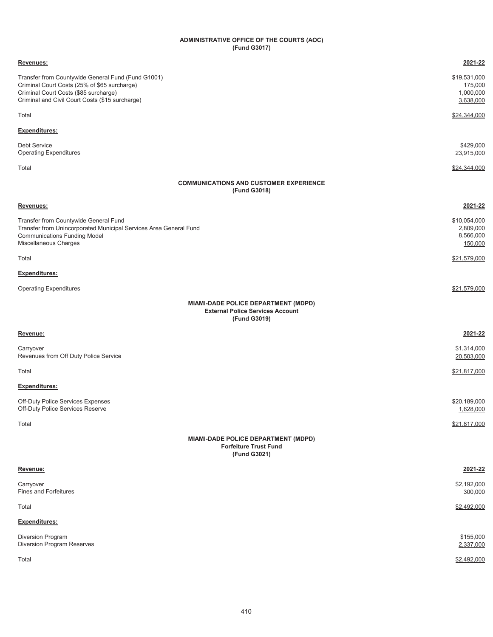#### **ADMINISTRATIVE OFFICE OF THE COURTS (AOC) (Fund G3017)**

| Revenues:                                                                                                                                                                                      | 2021-22                                           |
|------------------------------------------------------------------------------------------------------------------------------------------------------------------------------------------------|---------------------------------------------------|
| Transfer from Countywide General Fund (Fund G1001)<br>Criminal Court Costs (25% of \$65 surcharge)<br>Criminal Court Costs (\$85 surcharge)<br>Criminal and Civil Court Costs (\$15 surcharge) | \$19,531,000<br>175,000<br>1,000,000<br>3,638,000 |
| Total                                                                                                                                                                                          | \$24,344,000                                      |
| <b>Expenditures:</b>                                                                                                                                                                           |                                                   |
| <b>Debt Service</b><br><b>Operating Expenditures</b>                                                                                                                                           | \$429,000<br>23,915,000                           |
| Total                                                                                                                                                                                          | \$24,344,000                                      |
| <b>COMMUNICATIONS AND CUSTOMER EXPERIENCE</b><br>(Fund G3018)                                                                                                                                  |                                                   |
| Revenues:                                                                                                                                                                                      | 2021-22                                           |
| Transfer from Countywide General Fund<br>Transfer from Unincorporated Municipal Services Area General Fund<br><b>Communications Funding Model</b><br>Miscellaneous Charges                     | \$10,054,000<br>2,809,000<br>8,566,000<br>150,000 |
| Total                                                                                                                                                                                          | \$21,579,000                                      |
| Expenditures:                                                                                                                                                                                  |                                                   |
| <b>Operating Expenditures</b>                                                                                                                                                                  | \$21,579,000                                      |
| <b>MIAMI-DADE POLICE DEPARTMENT (MDPD)</b><br><b>External Police Services Account</b><br>(Fund G3019)                                                                                          |                                                   |
| Revenue:                                                                                                                                                                                       | 2021-22                                           |
| Carryover<br>Revenues from Off Duty Police Service                                                                                                                                             | \$1,314,000<br>20,503,000                         |
| Total                                                                                                                                                                                          | \$21,817,000                                      |
| <b>Expenditures:</b>                                                                                                                                                                           |                                                   |
| <b>Off-Duty Police Services Expenses</b><br>Off-Duty Police Services Reserve                                                                                                                   | \$20,189,000<br>1,628,000                         |
| Total                                                                                                                                                                                          | \$21,817,000                                      |
| MIAMI-DADE POLICE DEPARTMENT (MDPD)<br><b>Forfeiture Trust Fund</b><br>(Fund G3021)                                                                                                            |                                                   |
| Revenue:                                                                                                                                                                                       | 2021-22                                           |
| Carryover<br><b>Fines and Forfeitures</b>                                                                                                                                                      | \$2,192,000<br>300,000                            |
| Total                                                                                                                                                                                          | \$2,492,000                                       |
| <b>Expenditures:</b>                                                                                                                                                                           |                                                   |
| Diversion Program<br>Diversion Program Reserves                                                                                                                                                | \$155,000<br>2,337,000                            |
| Total                                                                                                                                                                                          | \$2,492,000                                       |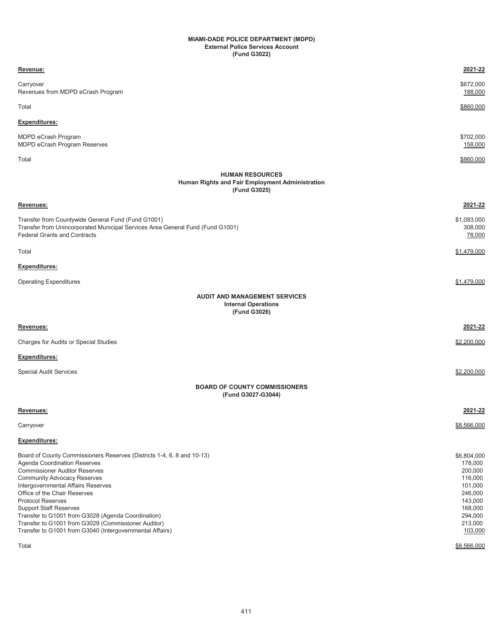#### **MIAMI-DADE POLICE DEPARTMENT (MDPD) External Police Services Account (Fund G3022)**

| Revenue:                                                                                                                                                                                                                                                                                                                                                                                                                                                                                                  | 2021-22                                                                                                                                  |
|-----------------------------------------------------------------------------------------------------------------------------------------------------------------------------------------------------------------------------------------------------------------------------------------------------------------------------------------------------------------------------------------------------------------------------------------------------------------------------------------------------------|------------------------------------------------------------------------------------------------------------------------------------------|
| Carryover<br>Revenues from MDPD eCrash Program                                                                                                                                                                                                                                                                                                                                                                                                                                                            | \$672,000<br>188,000                                                                                                                     |
| Total                                                                                                                                                                                                                                                                                                                                                                                                                                                                                                     | \$860,000                                                                                                                                |
| Expenditures:                                                                                                                                                                                                                                                                                                                                                                                                                                                                                             |                                                                                                                                          |
| MDPD eCrash Program<br>MDPD eCrash Program Reserves                                                                                                                                                                                                                                                                                                                                                                                                                                                       | \$702,000<br>158,000                                                                                                                     |
| Total                                                                                                                                                                                                                                                                                                                                                                                                                                                                                                     | \$860,000                                                                                                                                |
| <b>HUMAN RESOURCES</b><br>Human Rights and Fair Employment Administration<br>(Fund G3025)                                                                                                                                                                                                                                                                                                                                                                                                                 |                                                                                                                                          |
| Revenues:                                                                                                                                                                                                                                                                                                                                                                                                                                                                                                 | 2021-22                                                                                                                                  |
| Transfer from Countywide General Fund (Fund G1001)<br>Transfer from Unincorporated Municipal Services Area General Fund (Fund G1001)<br><b>Federal Grants and Contracts</b>                                                                                                                                                                                                                                                                                                                               | \$1,093,000<br>308,000<br>78,000                                                                                                         |
| Total                                                                                                                                                                                                                                                                                                                                                                                                                                                                                                     | \$1,479,000                                                                                                                              |
| <b>Expenditures:</b>                                                                                                                                                                                                                                                                                                                                                                                                                                                                                      |                                                                                                                                          |
| <b>Operating Expenditures</b>                                                                                                                                                                                                                                                                                                                                                                                                                                                                             | \$1,479,000                                                                                                                              |
| <b>AUDIT AND MANAGEMENT SERVICES</b><br><b>Internal Operations</b><br>(Fund G3026)                                                                                                                                                                                                                                                                                                                                                                                                                        |                                                                                                                                          |
| Revenues:                                                                                                                                                                                                                                                                                                                                                                                                                                                                                                 | 2021-22                                                                                                                                  |
| Charges for Audits or Special Studies                                                                                                                                                                                                                                                                                                                                                                                                                                                                     | \$2,200,000                                                                                                                              |
| <b>Expenditures:</b>                                                                                                                                                                                                                                                                                                                                                                                                                                                                                      |                                                                                                                                          |
| <b>Special Audit Services</b>                                                                                                                                                                                                                                                                                                                                                                                                                                                                             | \$2,200,000                                                                                                                              |
| <b>BOARD OF COUNTY COMMISSIONERS</b><br>(Fund G3027-G3044)                                                                                                                                                                                                                                                                                                                                                                                                                                                |                                                                                                                                          |
| Revenues:                                                                                                                                                                                                                                                                                                                                                                                                                                                                                                 | <u>2021-22</u>                                                                                                                           |
| Carryover                                                                                                                                                                                                                                                                                                                                                                                                                                                                                                 | \$8,566,000                                                                                                                              |
| <b>Expenditures:</b>                                                                                                                                                                                                                                                                                                                                                                                                                                                                                      |                                                                                                                                          |
| Board of County Commissioners Reserves (Districts 1-4, 6, 8 and 10-13)<br>Agenda Coordination Reserves<br><b>Commissioner Auditor Reserves</b><br><b>Community Advocacy Reserves</b><br>Intergovernmental Affairs Reserves<br>Office of the Chair Reserves<br><b>Protocol Reserves</b><br><b>Support Staff Reserves</b><br>Transfer to G1001 from G3028 (Agenda Coordination)<br>Transfer to G1001 from G3029 (Commissioner Auditor)<br>Transfer to G1001 from G3040 (Intergovernmental Affairs)<br>Total | \$6,804,000<br>178,000<br>200,000<br>116,000<br>101,000<br>246,000<br>143,000<br>168,000<br>294,000<br>213,000<br>103,000<br>\$8,566,000 |
|                                                                                                                                                                                                                                                                                                                                                                                                                                                                                                           |                                                                                                                                          |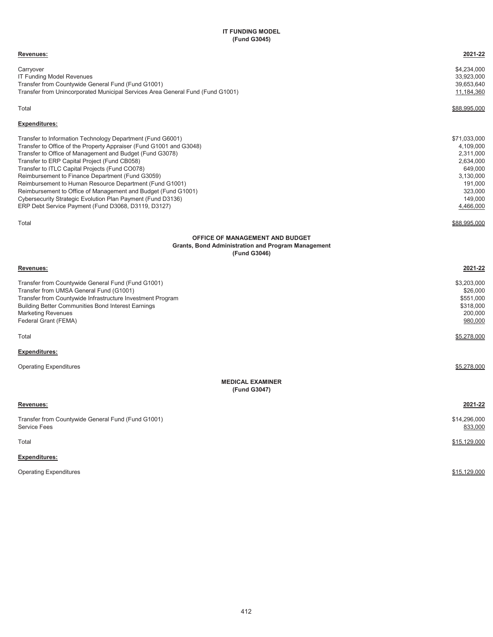# **IT FUNDING MODEL (Fund G3045)**

| Revenues:                                                                                                                                                                                                                                                                                                                                                                                                                                                                                                                                                                                                      | 2021-22                                                                                                                                   |
|----------------------------------------------------------------------------------------------------------------------------------------------------------------------------------------------------------------------------------------------------------------------------------------------------------------------------------------------------------------------------------------------------------------------------------------------------------------------------------------------------------------------------------------------------------------------------------------------------------------|-------------------------------------------------------------------------------------------------------------------------------------------|
| Carryover<br>IT Funding Model Revenues<br>Transfer from Countywide General Fund (Fund G1001)<br>Transfer from Unincorporated Municipal Services Area General Fund (Fund G1001)                                                                                                                                                                                                                                                                                                                                                                                                                                 | \$4,234,000<br>33,923,000<br>39,653,640<br>11,184,360                                                                                     |
| Total                                                                                                                                                                                                                                                                                                                                                                                                                                                                                                                                                                                                          | \$88,995,000                                                                                                                              |
| <b>Expenditures:</b>                                                                                                                                                                                                                                                                                                                                                                                                                                                                                                                                                                                           |                                                                                                                                           |
| Transfer to Information Technology Department (Fund G6001)<br>Transfer to Office of the Property Appraiser (Fund G1001 and G3048)<br>Transfer to Office of Management and Budget (Fund G3078)<br>Transfer to ERP Capital Project (Fund CB058)<br>Transfer to ITLC Capital Projects (Fund CO078)<br>Reimbursement to Finance Department (Fund G3059)<br>Reimbursement to Human Resource Department (Fund G1001)<br>Reimbursement to Office of Management and Budget (Fund G1001)<br>Cybersecurity Strategic Evolution Plan Payment (Fund D3136)<br>ERP Debt Service Payment (Fund D3068, D3119, D3127)<br>Total | \$71,033,000<br>4,109,000<br>2,311,000<br>2,634,000<br>649,000<br>3,130,000<br>191,000<br>323,000<br>149,000<br>4,466,000<br>\$88,995,000 |
| OFFICE OF MANAGEMENT AND BUDGET<br><b>Grants, Bond Administration and Program Management</b><br>(Fund G3046)                                                                                                                                                                                                                                                                                                                                                                                                                                                                                                   |                                                                                                                                           |
| Revenues:                                                                                                                                                                                                                                                                                                                                                                                                                                                                                                                                                                                                      | 2021-22                                                                                                                                   |
| Transfer from Countywide General Fund (Fund G1001)<br>Transfer from UMSA General Fund (G1001)<br>Transfer from Countywide Infrastructure Investment Program<br>Building Better Communities Bond Interest Earnings<br>Marketing Revenues<br>Federal Grant (FEMA)                                                                                                                                                                                                                                                                                                                                                | \$3,203,000<br>\$26,000<br>\$551,000<br>\$318,000<br>200,000<br>980,000                                                                   |
| Total                                                                                                                                                                                                                                                                                                                                                                                                                                                                                                                                                                                                          | <u>\$5,278,000</u>                                                                                                                        |
| <b>Expenditures:</b>                                                                                                                                                                                                                                                                                                                                                                                                                                                                                                                                                                                           |                                                                                                                                           |
| <b>Operating Expenditures</b>                                                                                                                                                                                                                                                                                                                                                                                                                                                                                                                                                                                  | \$5,278,000                                                                                                                               |
| <b>MEDICAL EXAMINER</b><br>(Fund G3047)                                                                                                                                                                                                                                                                                                                                                                                                                                                                                                                                                                        |                                                                                                                                           |
| Revenues:                                                                                                                                                                                                                                                                                                                                                                                                                                                                                                                                                                                                      | 2021-22                                                                                                                                   |
| Transfer from Countywide General Fund (Fund G1001)<br>Service Fees                                                                                                                                                                                                                                                                                                                                                                                                                                                                                                                                             | \$14,296,000<br>833,000                                                                                                                   |
| Total                                                                                                                                                                                                                                                                                                                                                                                                                                                                                                                                                                                                          | \$15,129,000                                                                                                                              |
| Expenditures:                                                                                                                                                                                                                                                                                                                                                                                                                                                                                                                                                                                                  |                                                                                                                                           |
| <b>Operating Expenditures</b>                                                                                                                                                                                                                                                                                                                                                                                                                                                                                                                                                                                  | \$15,129,000                                                                                                                              |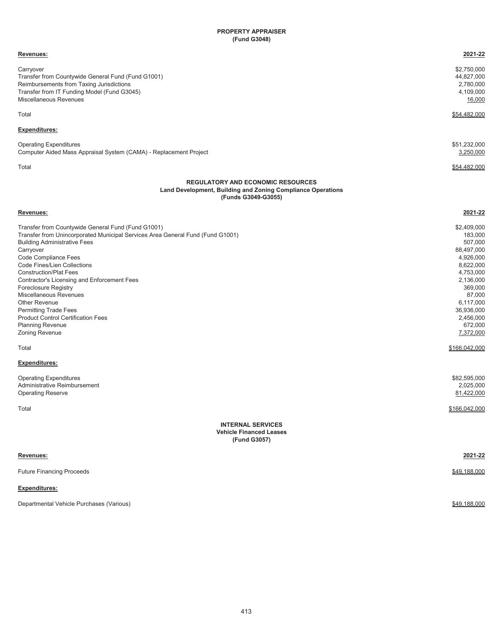# **PROPERTY APPRAISER (Fund G3048)**

| Revenues:                                                                                                                      | 2021-22       |
|--------------------------------------------------------------------------------------------------------------------------------|---------------|
| Carryover                                                                                                                      | \$2,750,000   |
| Transfer from Countywide General Fund (Fund G1001)                                                                             | 44,827,000    |
| Reimbursements from Taxing Jurisdictions                                                                                       | 2,780,000     |
| Transfer from IT Funding Model (Fund G3045)                                                                                    | 4,109,000     |
| Miscellaneous Revenues                                                                                                         | 16,000        |
| Total                                                                                                                          | \$54,482,000  |
| <b>Expenditures:</b>                                                                                                           |               |
| <b>Operating Expenditures</b>                                                                                                  | \$51,232,000  |
| Computer Aided Mass Appraisal System (CAMA) - Replacement Project                                                              | 3,250,000     |
|                                                                                                                                |               |
| Total                                                                                                                          | \$54,482,000  |
| <b>REGULATORY AND ECONOMIC RESOURCES</b><br>Land Development, Building and Zoning Compliance Operations<br>(Funds G3049-G3055) |               |
| Revenues:                                                                                                                      | 2021-22       |
| Transfer from Countywide General Fund (Fund G1001)                                                                             | \$2,409,000   |
| Transfer from Unincorporated Municipal Services Area General Fund (Fund G1001)                                                 | 183,000       |
| <b>Building Administrative Fees</b>                                                                                            | 507,000       |
| Carryover                                                                                                                      | 88,497,000    |
| Code Compliance Fees                                                                                                           | 4,926,000     |
| Code Fines/Lien Collections                                                                                                    | 8,622,000     |
| <b>Construction/Plat Fees</b>                                                                                                  | 4,753,000     |
| Contractor's Licensing and Enforcement Fees                                                                                    | 2,136,000     |
| Foreclosure Registry                                                                                                           | 369,000       |
| Miscellaneous Revenues                                                                                                         | 87,000        |
| <b>Other Revenue</b>                                                                                                           | 6,117,000     |
| <b>Permitting Trade Fees</b>                                                                                                   | 36,936,000    |
| <b>Product Control Certification Fees</b>                                                                                      | 2,456,000     |
| <b>Planning Revenue</b>                                                                                                        | 672,000       |
| Zoning Revenue                                                                                                                 | 7,372,000     |
| Total                                                                                                                          | \$166,042,000 |
| Expenditures:                                                                                                                  |               |
| <b>Operating Expenditures</b>                                                                                                  | \$82,595,000  |
| Administrative Reimbursement                                                                                                   | 2,025,000     |
| <b>Operating Reserve</b>                                                                                                       | 81,422,000    |
| Total                                                                                                                          | \$166,042,000 |
| <b>INTERNAL SERVICES</b><br><b>Vehicle Financed Leases</b><br>(Fund G3057)                                                     |               |
| <u>Revenues:</u>                                                                                                               | 2021-22       |
| <b>Future Financing Proceeds</b>                                                                                               | \$49,188,000  |
| <b>Expenditures:</b>                                                                                                           |               |
|                                                                                                                                |               |

Departmental Vehicle Purchases (Various) **\$49,188,000** \$49,188,000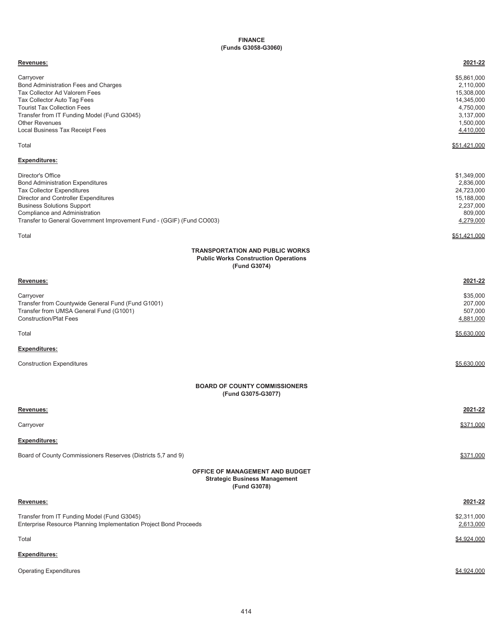## **FINANCE (Funds G3058-G3060)**

| Revenues:                                                                                                                                                                                                                                                                                                 | 2021-22                                                                                                  |
|-----------------------------------------------------------------------------------------------------------------------------------------------------------------------------------------------------------------------------------------------------------------------------------------------------------|----------------------------------------------------------------------------------------------------------|
| Carryover<br>Bond Administration Fees and Charges<br>Tax Collector Ad Valorem Fees<br>Tax Collector Auto Tag Fees<br><b>Tourist Tax Collection Fees</b><br>Transfer from IT Funding Model (Fund G3045)<br><b>Other Revenues</b><br>Local Business Tax Receipt Fees                                        | \$5,861,000<br>2,110,000<br>15,308,000<br>14,345,000<br>4,750,000<br>3,137,000<br>1,500,000<br>4,410,000 |
| Total                                                                                                                                                                                                                                                                                                     | \$51,421,000                                                                                             |
| <b>Expenditures:</b><br>Director's Office<br><b>Bond Administration Expenditures</b><br>Tax Collector Expenditures<br>Director and Controller Expenditures<br><b>Business Solutions Support</b><br>Compliance and Administration<br>Transfer to General Government Improvement Fund - (GGIF) (Fund CO003) | \$1,349,000<br>2,836,000<br>24,723,000<br>15,188,000<br>2,237,000<br>809,000<br>4,279,000                |
| Total                                                                                                                                                                                                                                                                                                     | \$51,421,000                                                                                             |
| <b>TRANSPORTATION AND PUBLIC WORKS</b><br><b>Public Works Construction Operations</b><br>(Fund G3074)                                                                                                                                                                                                     |                                                                                                          |
| Revenues:                                                                                                                                                                                                                                                                                                 | 2021-22                                                                                                  |
| Carryover<br>Transfer from Countywide General Fund (Fund G1001)<br>Transfer from UMSA General Fund (G1001)<br><b>Construction/Plat Fees</b>                                                                                                                                                               | \$35,000<br>207,000<br>507,000<br>4,881,000                                                              |
| Total                                                                                                                                                                                                                                                                                                     | \$5,630,000                                                                                              |
| Expenditures:                                                                                                                                                                                                                                                                                             |                                                                                                          |
| <b>Construction Expenditures</b>                                                                                                                                                                                                                                                                          | \$5,630,000                                                                                              |
| <b>BOARD OF COUNTY COMMISSIONERS</b><br>(Fund G3075-G3077)                                                                                                                                                                                                                                                |                                                                                                          |
| Revenues:                                                                                                                                                                                                                                                                                                 | 2021-22                                                                                                  |
| Carryover                                                                                                                                                                                                                                                                                                 | \$371,000                                                                                                |
| <b>Expenditures:</b>                                                                                                                                                                                                                                                                                      |                                                                                                          |
| Board of County Commissioners Reserves (Districts 5,7 and 9)                                                                                                                                                                                                                                              | \$371,000                                                                                                |
| <b>OFFICE OF MANAGEMENT AND BUDGET</b><br><b>Strategic Business Management</b><br>(Fund G3078)                                                                                                                                                                                                            |                                                                                                          |
| Revenues:                                                                                                                                                                                                                                                                                                 | 2021-22                                                                                                  |
| Transfer from IT Funding Model (Fund G3045)<br>Enterprise Resource Planning Implementation Project Bond Proceeds                                                                                                                                                                                          | \$2,311,000<br>2,613,000                                                                                 |
| Total                                                                                                                                                                                                                                                                                                     | \$4,924,000                                                                                              |
| <b>Expenditures:</b>                                                                                                                                                                                                                                                                                      |                                                                                                          |
| <b>Operating Expenditures</b>                                                                                                                                                                                                                                                                             | \$4,924,000                                                                                              |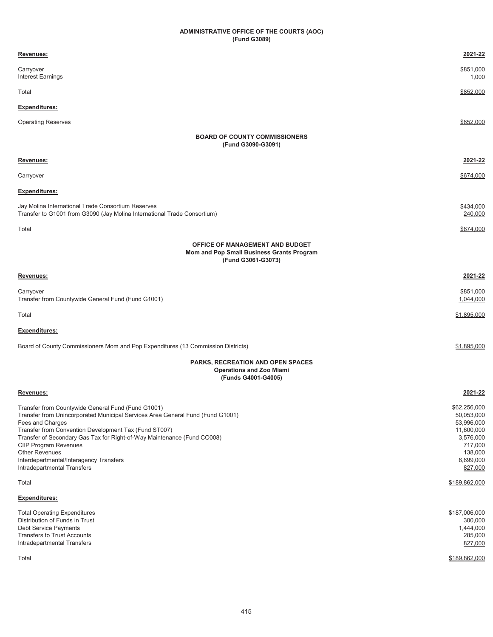# **ADMINISTRATIVE OFFICE OF THE COURTS (AOC) (Fund G3089)**

| <u>Revenues:</u>                                                                                                                                                                                                                                                                                                                                                                                                         | 2021-22                                                                                                           |
|--------------------------------------------------------------------------------------------------------------------------------------------------------------------------------------------------------------------------------------------------------------------------------------------------------------------------------------------------------------------------------------------------------------------------|-------------------------------------------------------------------------------------------------------------------|
| Carryover<br>Interest Earnings                                                                                                                                                                                                                                                                                                                                                                                           | \$851,000<br>1,000                                                                                                |
| Total                                                                                                                                                                                                                                                                                                                                                                                                                    | \$852,000                                                                                                         |
| Expenditures:                                                                                                                                                                                                                                                                                                                                                                                                            |                                                                                                                   |
| <b>Operating Reserves</b>                                                                                                                                                                                                                                                                                                                                                                                                | \$852,000                                                                                                         |
| <b>BOARD OF COUNTY COMMISSIONERS</b><br>(Fund G3090-G3091)                                                                                                                                                                                                                                                                                                                                                               |                                                                                                                   |
| <u>Revenues:</u>                                                                                                                                                                                                                                                                                                                                                                                                         | 2021-22                                                                                                           |
| Carryover                                                                                                                                                                                                                                                                                                                                                                                                                | \$674,000                                                                                                         |
| <u>Expenditures:</u>                                                                                                                                                                                                                                                                                                                                                                                                     |                                                                                                                   |
| Jay Molina International Trade Consortium Reserves<br>Transfer to G1001 from G3090 (Jay Molina International Trade Consortium)                                                                                                                                                                                                                                                                                           | \$434,000<br>240,000                                                                                              |
| Total                                                                                                                                                                                                                                                                                                                                                                                                                    | \$674,000                                                                                                         |
| OFFICE OF MANAGEMENT AND BUDGET<br>Mom and Pop Small Business Grants Program<br>(Fund G3061-G3073)                                                                                                                                                                                                                                                                                                                       |                                                                                                                   |
| Revenues:                                                                                                                                                                                                                                                                                                                                                                                                                | 2021-22                                                                                                           |
| Carryover<br>Transfer from Countywide General Fund (Fund G1001)                                                                                                                                                                                                                                                                                                                                                          | \$851,000<br>1,044,000                                                                                            |
| Total                                                                                                                                                                                                                                                                                                                                                                                                                    | \$1,895,000                                                                                                       |
| <u>Expenditures:</u>                                                                                                                                                                                                                                                                                                                                                                                                     |                                                                                                                   |
| Board of County Commissioners Mom and Pop Expenditures (13 Commission Districts)                                                                                                                                                                                                                                                                                                                                         | \$1,895,000                                                                                                       |
| <b>PARKS, RECREATION AND OPEN SPACES</b><br><b>Operations and Zoo Miami</b><br>(Funds G4001-G4005)                                                                                                                                                                                                                                                                                                                       |                                                                                                                   |
| Revenues:                                                                                                                                                                                                                                                                                                                                                                                                                | 2021-22                                                                                                           |
| Transfer from Countywide General Fund (Fund G1001)<br>Transfer from Unincorporated Municipal Services Area General Fund (Fund G1001)<br>Fees and Charges<br>Transfer from Convention Development Tax (Fund ST007)<br>Transfer of Secondary Gas Tax for Right-of-Way Maintenance (Fund CO008)<br><b>CIIP Program Revenues</b><br>Other Revenues<br>Interdepartmental/Interagency Transfers<br>Intradepartmental Transfers | \$62,256,000<br>50,053,000<br>53,996,000<br>11,600,000<br>3,576,000<br>717,000<br>138,000<br>6,699,000<br>827,000 |
| Total                                                                                                                                                                                                                                                                                                                                                                                                                    | \$189,862,000                                                                                                     |
| <u>Expenditures:</u>                                                                                                                                                                                                                                                                                                                                                                                                     |                                                                                                                   |
| <b>Total Operating Expenditures</b><br>Distribution of Funds in Trust<br>Debt Service Payments<br><b>Transfers to Trust Accounts</b><br>Intradepartmental Transfers<br>Total                                                                                                                                                                                                                                             | \$187,006,000<br>300,000<br>1,444,000<br>285,000<br>827,000                                                       |
|                                                                                                                                                                                                                                                                                                                                                                                                                          | \$189,862,000                                                                                                     |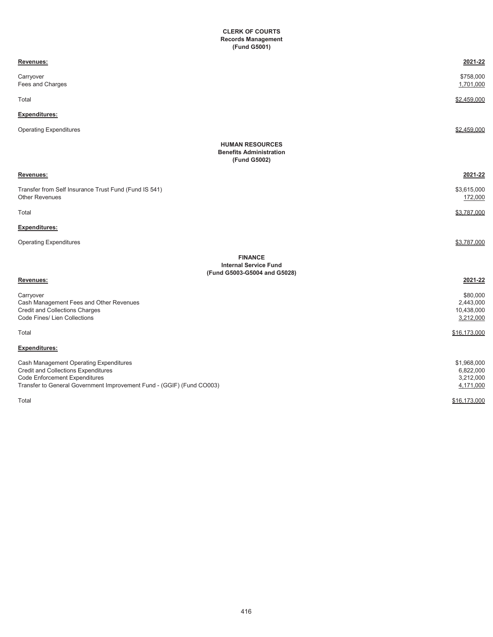## **CLERK OF COURTS Records Management (Fund G5001)**

| Revenues:                                                                                                                                                                                      | 2021-22                                            |
|------------------------------------------------------------------------------------------------------------------------------------------------------------------------------------------------|----------------------------------------------------|
| Carryover<br>Fees and Charges                                                                                                                                                                  | \$758,000<br>1,701,000                             |
| Total                                                                                                                                                                                          | \$2.459.000                                        |
| Expenditures:                                                                                                                                                                                  |                                                    |
| <b>Operating Expenditures</b>                                                                                                                                                                  | \$2,459,000                                        |
| <b>HUMAN RESOURCES</b><br><b>Benefits Administration</b><br>(Fund G5002)                                                                                                                       |                                                    |
| Revenues:                                                                                                                                                                                      | 2021-22                                            |
| Transfer from Self Insurance Trust Fund (Fund IS 541)<br><b>Other Revenues</b>                                                                                                                 | \$3,615,000<br>172,000                             |
| Total                                                                                                                                                                                          | \$3,787,000                                        |
| <b>Expenditures:</b>                                                                                                                                                                           |                                                    |
| <b>Operating Expenditures</b>                                                                                                                                                                  | \$3,787,000                                        |
| <b>FINANCE</b><br><b>Internal Service Fund</b><br>(Fund G5003-G5004 and G5028)                                                                                                                 |                                                    |
| Revenues:                                                                                                                                                                                      | 2021-22                                            |
| Carryover<br>Cash Management Fees and Other Revenues<br><b>Credit and Collections Charges</b><br>Code Fines/ Lien Collections                                                                  | \$80,000<br>2,443,000<br>10,438,000<br>3,212,000   |
| Total                                                                                                                                                                                          | \$16,173,000                                       |
| <b>Expenditures:</b>                                                                                                                                                                           |                                                    |
| Cash Management Operating Expenditures<br><b>Credit and Collections Expenditures</b><br>Code Enforcement Expenditures<br>Transfer to General Government Improvement Fund - (GGIF) (Fund CO003) | \$1,968,000<br>6,822,000<br>3,212,000<br>4,171,000 |
| Total                                                                                                                                                                                          | \$16,173,000                                       |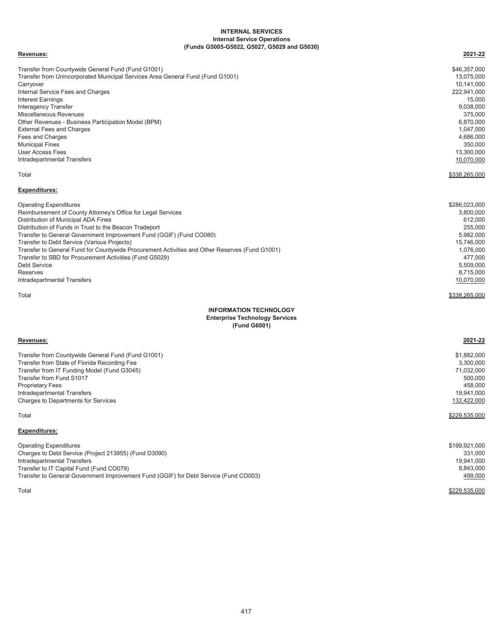#### **Internal Service Operations (Funds G5005-G5022, G5027, G5029 and G5030) INTERNAL SERVICES**

#### **Revenues: 2021-22**

| Transfer from Countywide General Fund (Fund G1001)                                             | \$46,357,000  |
|------------------------------------------------------------------------------------------------|---------------|
| Transfer from Unincorporated Municipal Services Area General Fund (Fund G1001)                 | 13,075,000    |
| Carryover                                                                                      | 10,141,000    |
| Internal Service Fees and Charges                                                              | 222,941,000   |
| <b>Interest Earnings</b>                                                                       | 15,000        |
| <b>Interagency Transfer</b>                                                                    | 9,038,000     |
| <b>Miscellaneous Revenues</b>                                                                  | 375,000       |
| Other Revenues - Business Participation Model (BPM)                                            | 6,870,000     |
| <b>External Fees and Charges</b>                                                               | 1,047,000     |
| Fees and Charges                                                                               | 4,686,000     |
| <b>Municipal Fines</b>                                                                         | 350,000       |
| <b>User Access Fees</b>                                                                        | 13,300,000    |
| Intradepartmental Transfers                                                                    | 10,070,000    |
| Total                                                                                          | \$338,265,000 |
| <b>Expenditures:</b>                                                                           |               |
| <b>Operating Expenditures</b>                                                                  | \$286,023,000 |
| Reimbursement of County Attorney's Office for Legal Services                                   | 3,800,000     |
| Distribution of Municipal ADA Fines                                                            | 612,000       |
| Distribution of Funds in Trust to the Beacon Tradeport                                         | 255,000       |
| Transfer to General Government Improvement Fund (GGIF) (Fund CO080)                            | 5,982,000     |
| Transfer to Debt Service (Various Projects)                                                    | 15,746,000    |
| Transfer to General Fund for Countywide Procurement Activities and Other Reserves (Fund G1001) | 1,076,000     |
| Transfer to SBD for Procurement Activities (Fund G5029)                                        | 477,000       |
| <b>Debt Service</b>                                                                            | 5,509,000     |
| Reserves                                                                                       | 8,715,000     |
| Intradepartmental Transfers                                                                    | 10,070,000    |
| Total                                                                                          | \$338.265.000 |
| <b>INFORMATION TECHNOLOGY</b>                                                                  |               |
| <b>Enterprise Technology Services</b>                                                          |               |
| (Fund G6001)                                                                                   |               |
| Revenues:                                                                                      | 2021-22       |

| Transfer from Countywide General Fund (Fund G1001)                                                                                                                                                                                                                                         | \$1,882,000                                                                     |
|--------------------------------------------------------------------------------------------------------------------------------------------------------------------------------------------------------------------------------------------------------------------------------------------|---------------------------------------------------------------------------------|
| Transfer from State of Florida Recording Fee                                                                                                                                                                                                                                               | 3,300,000                                                                       |
| Transfer from IT Funding Model (Fund G3045)                                                                                                                                                                                                                                                | 71,032,000                                                                      |
| Transfer from Fund S1017                                                                                                                                                                                                                                                                   | 500,000                                                                         |
| <b>Proprietary Fees</b>                                                                                                                                                                                                                                                                    | 458.000                                                                         |
| Intradepartmental Transfers                                                                                                                                                                                                                                                                | 19,941,000                                                                      |
| <b>Charges to Departments for Services</b>                                                                                                                                                                                                                                                 | 132,422,000                                                                     |
| Total<br><b>Expenditures:</b><br><b>Operating Expenditures</b><br>Charges to Debt Service (Project 213955) (Fund D3090)<br>Intradepartmental Transfers<br>Transfer to IT Capital Fund (Fund CO079)<br>Transfer to General Government Improvement Fund (GGIF) for Debt Service (Fund CO003) | \$229,535,000<br>\$199,921,000<br>331.000<br>19,941,000<br>8,843,000<br>499,000 |

 $\$229,535,000$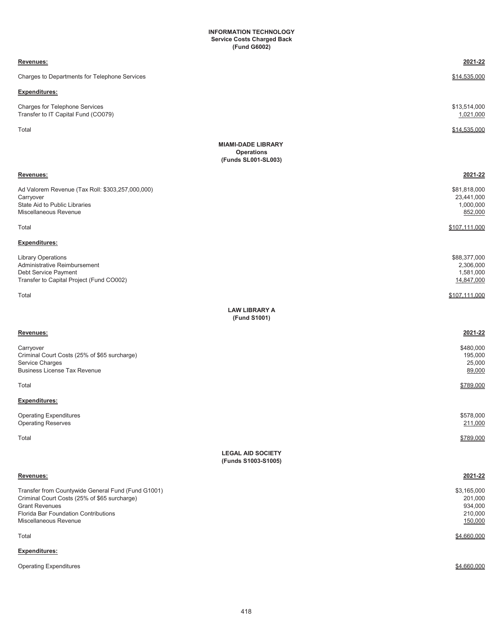#### **(Fund G6002) Service Costs Charged Back INFORMATION TECHNOLOGY**

| Revenues:                                                                                                                                                                                    | 2021-22                                                 |
|----------------------------------------------------------------------------------------------------------------------------------------------------------------------------------------------|---------------------------------------------------------|
| Charges to Departments for Telephone Services                                                                                                                                                | \$14,535,000                                            |
| <b>Expenditures:</b>                                                                                                                                                                         |                                                         |
| Charges for Telephone Services<br>Transfer to IT Capital Fund (CO079)                                                                                                                        | \$13,514,000<br>1,021,000                               |
| Total                                                                                                                                                                                        | \$14,535,000                                            |
| <b>MIAMI-DADE LIBRARY</b><br><b>Operations</b><br>(Funds SL001-SL003)                                                                                                                        |                                                         |
| Revenues:                                                                                                                                                                                    | 2021-22                                                 |
| Ad Valorem Revenue (Tax Roll: \$303,257,000,000)<br>Carryover<br>State Aid to Public Libraries<br>Miscellaneous Revenue                                                                      | \$81,818,000<br>23,441,000<br>1,000,000<br>852,000      |
| Total                                                                                                                                                                                        | \$107,111,000                                           |
| Expenditures:                                                                                                                                                                                |                                                         |
| <b>Library Operations</b><br>Administrative Reimbursement<br>Debt Service Payment<br>Transfer to Capital Project (Fund CO002)                                                                | \$88,377,000<br>2,306,000<br>1,581,000<br>14,847,000    |
| Total                                                                                                                                                                                        | \$107,111,000                                           |
| <b>LAW LIBRARY A</b><br>(Fund S1001)                                                                                                                                                         |                                                         |
| Revenues:                                                                                                                                                                                    | 2021-22                                                 |
| Carryover<br>Criminal Court Costs (25% of \$65 surcharge)<br>Service Charges<br><b>Business License Tax Revenue</b>                                                                          | \$480,000<br>195,000<br>25,000<br>89,000                |
| Total                                                                                                                                                                                        | \$789,000                                               |
| <b>Expenditures:</b>                                                                                                                                                                         |                                                         |
| <b>Operating Expenditures</b><br><b>Operating Reserves</b>                                                                                                                                   | \$578,000<br>211,000                                    |
| Total                                                                                                                                                                                        | \$789,000                                               |
| <b>LEGAL AID SOCIETY</b><br>(Funds S1003-S1005)                                                                                                                                              |                                                         |
| Revenues:                                                                                                                                                                                    | 2021-22                                                 |
| Transfer from Countywide General Fund (Fund G1001)<br>Criminal Court Costs (25% of \$65 surcharge)<br><b>Grant Revenues</b><br>Florida Bar Foundation Contributions<br>Miscellaneous Revenue | \$3,165,000<br>201,000<br>934,000<br>210,000<br>150,000 |
| Total                                                                                                                                                                                        | \$4,660,000                                             |
| <b>Expenditures:</b>                                                                                                                                                                         |                                                         |
| <b>Operating Expenditures</b>                                                                                                                                                                | \$4,660,000                                             |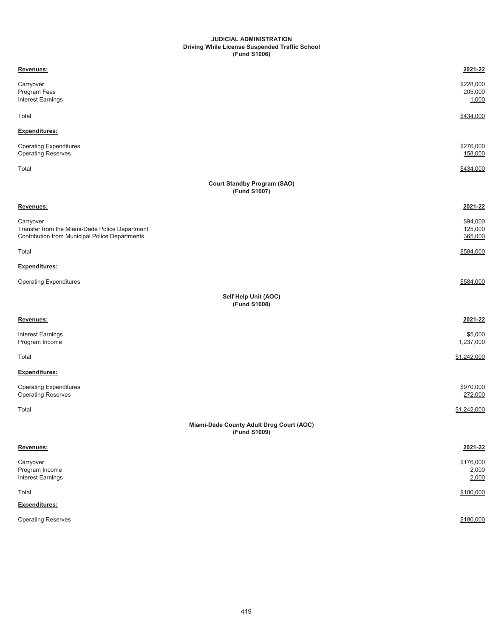#### **JUDICIAL ADMINISTRATION (Fund S1006) Driving While License Suspended Traffic School**

| Revenues:                                                                                                     | 2021-22                        |
|---------------------------------------------------------------------------------------------------------------|--------------------------------|
| Carryover<br>Program Fees<br>Interest Earnings                                                                | \$228,000<br>205,000<br>1,000  |
| Total                                                                                                         | \$434,000                      |
| Expenditures:                                                                                                 |                                |
| <b>Operating Expenditures</b><br><b>Operating Reserves</b>                                                    | \$276,000<br>158,000           |
| Total                                                                                                         | \$434,000                      |
| <b>Court Standby Program (SAO)</b><br>(Fund S1007)                                                            |                                |
| Revenues:                                                                                                     | 2021-22                        |
| Carryover<br>Transfer from the Miami-Dade Police Department<br>Contribution from Municipal Police Departments | \$94,000<br>125,000<br>365,000 |
| Total                                                                                                         | \$584,000                      |
| Expenditures:                                                                                                 |                                |
| <b>Operating Expenditures</b>                                                                                 | \$584.000                      |
| Self Help Unit (AOC)<br>(Fund S1008)                                                                          |                                |
| Revenues:                                                                                                     | 2021-22                        |
| Interest Earnings<br>Program Income                                                                           | \$5,000<br>1,237,000           |
| Total                                                                                                         | \$1,242,000                    |
| Expenditures:                                                                                                 |                                |
| <b>Operating Expenditures</b><br>Operating Reserves                                                           | \$970,000<br>272,000           |
| Total                                                                                                         | \$1,242,000                    |
| Miami-Dade County Adult Drug Court (AOC)<br>(Fund S1009)                                                      |                                |
| Revenues:                                                                                                     | 2021-22                        |
| Carryover<br>Program Income<br>Interest Earnings                                                              | \$176,000<br>2,000<br>2,000    |
| Total                                                                                                         | \$180,000                      |
| Expenditures:                                                                                                 |                                |
| Operating Reserves                                                                                            | \$180,000                      |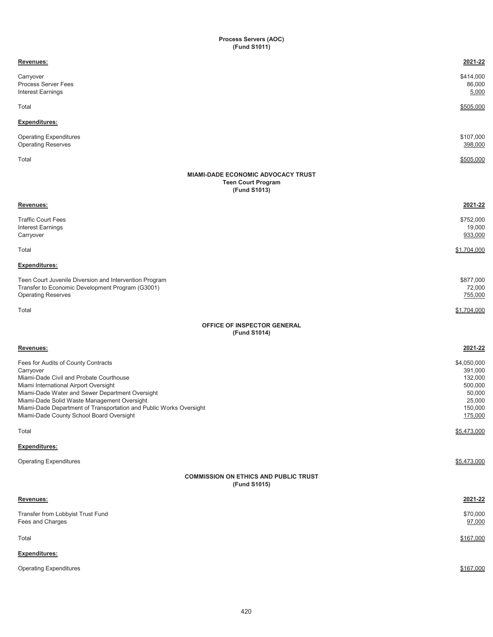#### **Process Servers (AOC) (Fund S1011)**

| Revenues:                                                                                                                                                                                                                                                                                                                                                | 2021-22                                                                                |
|----------------------------------------------------------------------------------------------------------------------------------------------------------------------------------------------------------------------------------------------------------------------------------------------------------------------------------------------------------|----------------------------------------------------------------------------------------|
| Carryover<br><b>Process Server Fees</b><br><b>Interest Earnings</b>                                                                                                                                                                                                                                                                                      | \$414,000<br>86,000<br>5,000                                                           |
| Total                                                                                                                                                                                                                                                                                                                                                    | \$505,000                                                                              |
| <b>Expenditures:</b>                                                                                                                                                                                                                                                                                                                                     |                                                                                        |
| <b>Operating Expenditures</b><br><b>Operating Reserves</b>                                                                                                                                                                                                                                                                                               | \$107,000<br>398,000                                                                   |
| Total                                                                                                                                                                                                                                                                                                                                                    | \$505,000                                                                              |
| <b>MIAMI-DADE ECONOMIC ADVOCACY TRUST</b><br><b>Teen Court Program</b><br>(Fund S1013)                                                                                                                                                                                                                                                                   |                                                                                        |
| Revenues:                                                                                                                                                                                                                                                                                                                                                | 2021-22                                                                                |
| <b>Traffic Court Fees</b><br>Interest Earnings<br>Carryover                                                                                                                                                                                                                                                                                              | \$752,000<br>19,000<br>933,000                                                         |
| Total                                                                                                                                                                                                                                                                                                                                                    | \$1,704,000                                                                            |
| <b>Expenditures:</b>                                                                                                                                                                                                                                                                                                                                     |                                                                                        |
| Teen Court Juvenile Diversion and Intervention Program<br>Transfer to Economic Development Program (G3001)<br><b>Operating Reserves</b>                                                                                                                                                                                                                  | \$877,000<br>72,000<br>755,000                                                         |
| Total                                                                                                                                                                                                                                                                                                                                                    | \$1,704,000                                                                            |
| OFFICE OF INSPECTOR GENERAL<br>(Fund S1014)                                                                                                                                                                                                                                                                                                              |                                                                                        |
| Revenues:                                                                                                                                                                                                                                                                                                                                                | 2021-22                                                                                |
| Fees for Audits of County Contracts<br>Carryover<br>Miami-Dade Civil and Probate Courthouse<br>Miami International Airport Oversight<br>Miami-Dade Water and Sewer Department Oversight<br>Miami-Dade Solid Waste Management Oversight<br>Miami-Dade Department of Transportation and Public Works Oversight<br>Miami-Dade County School Board Oversight | \$4,050,000<br>391,000<br>132,000<br>500,000<br>50,000<br>25,000<br>150,000<br>175,000 |
| Total                                                                                                                                                                                                                                                                                                                                                    | \$5,473,000                                                                            |
| <b>Expenditures:</b>                                                                                                                                                                                                                                                                                                                                     |                                                                                        |
| <b>Operating Expenditures</b>                                                                                                                                                                                                                                                                                                                            | \$5,473,000                                                                            |
| <b>COMMISSION ON ETHICS AND PUBLIC TRUST</b><br>(Fund S1015)                                                                                                                                                                                                                                                                                             |                                                                                        |
| Revenues:                                                                                                                                                                                                                                                                                                                                                | 2021-22                                                                                |
| Transfer from Lobbyist Trust Fund<br>Fees and Charges                                                                                                                                                                                                                                                                                                    | \$70,000<br>97,000                                                                     |
| Total                                                                                                                                                                                                                                                                                                                                                    | \$167,000                                                                              |
| <b>Expenditures:</b>                                                                                                                                                                                                                                                                                                                                     |                                                                                        |
| <b>Operating Expenditures</b>                                                                                                                                                                                                                                                                                                                            | \$167,000                                                                              |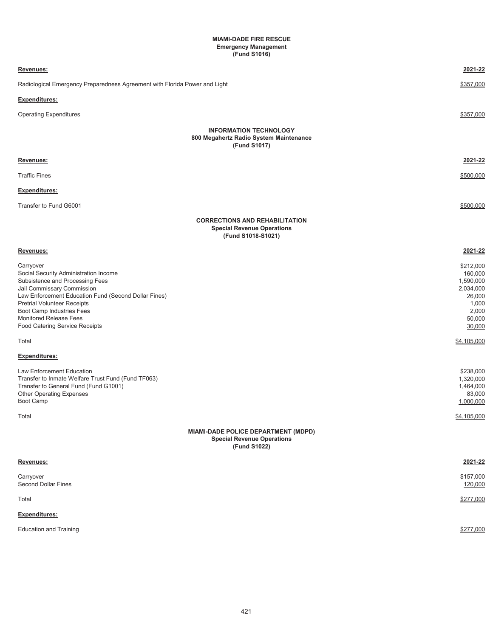#### **MIAMI-DADE FIRE RESCUE (Fund S1016) Emergency Management**

| Revenues:                                                                                                                                                                                                                                                                                                           | 2021-22                                                                                                       |
|---------------------------------------------------------------------------------------------------------------------------------------------------------------------------------------------------------------------------------------------------------------------------------------------------------------------|---------------------------------------------------------------------------------------------------------------|
| Radiological Emergency Preparedness Agreement with Florida Power and Light                                                                                                                                                                                                                                          | \$357,000                                                                                                     |
| Expenditures:                                                                                                                                                                                                                                                                                                       |                                                                                                               |
| <b>Operating Expenditures</b>                                                                                                                                                                                                                                                                                       | \$357,000                                                                                                     |
|                                                                                                                                                                                                                                                                                                                     | <b>INFORMATION TECHNOLOGY</b><br>800 Megahertz Radio System Maintenance<br>(Fund S1017)                       |
| Revenues:                                                                                                                                                                                                                                                                                                           | 2021-22                                                                                                       |
| <b>Traffic Fines</b>                                                                                                                                                                                                                                                                                                | \$500,000                                                                                                     |
| Expenditures:                                                                                                                                                                                                                                                                                                       |                                                                                                               |
| Transfer to Fund G6001                                                                                                                                                                                                                                                                                              | \$500.000                                                                                                     |
|                                                                                                                                                                                                                                                                                                                     | <b>CORRECTIONS AND REHABILITATION</b><br><b>Special Revenue Operations</b><br>(Fund S1018-S1021)              |
| Revenues:                                                                                                                                                                                                                                                                                                           | 2021-22                                                                                                       |
| Carryover<br>Social Security Administration Income<br>Subsistence and Processing Fees<br>Jail Commissary Commission<br>Law Enforcement Education Fund (Second Dollar Fines)<br><b>Pretrial Volunteer Receipts</b><br>Boot Camp Industries Fees<br>Monitored Release Fees<br>Food Catering Service Receipts<br>Total | \$212,000<br>160,000<br>1,590,000<br>2,034,000<br>26,000<br>1,000<br>2,000<br>50,000<br>30,000<br>\$4,105,000 |
| Expenditures:                                                                                                                                                                                                                                                                                                       |                                                                                                               |
| Law Enforcement Education<br>Transfer to Inmate Welfare Trust Fund (Fund TF063)<br>Transfer to General Fund (Fund G1001)<br><b>Other Operating Expenses</b><br>Boot Camp                                                                                                                                            | \$238,000<br>1,320,000<br>1,464,000<br>83,000<br>1,000,000                                                    |
| Total                                                                                                                                                                                                                                                                                                               | \$4,105,000<br>MIAMI-DADE POLICE DEPARTMENT (MDPD)<br><b>Special Revenue Operations</b><br>(Fund S1022)       |
| Revenues:                                                                                                                                                                                                                                                                                                           | 2021-22                                                                                                       |
| Carryover<br><b>Second Dollar Fines</b>                                                                                                                                                                                                                                                                             | \$157,000<br>120,000                                                                                          |
| Total                                                                                                                                                                                                                                                                                                               | \$277,000                                                                                                     |
| Expenditures:                                                                                                                                                                                                                                                                                                       |                                                                                                               |
| <b>Education and Training</b>                                                                                                                                                                                                                                                                                       | \$277,000                                                                                                     |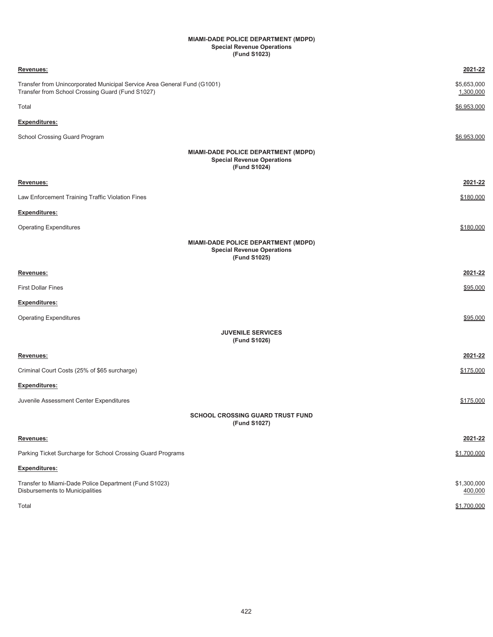#### **MIAMI-DADE POLICE DEPARTMENT (MDPD) Special Revenue Operations (Fund S1023)**

| Revenues:                                                                                                                    | 2021-22                  |
|------------------------------------------------------------------------------------------------------------------------------|--------------------------|
| Transfer from Unincorporated Municipal Service Area General Fund (G1001)<br>Transfer from School Crossing Guard (Fund S1027) | \$5,653,000<br>1,300,000 |
| Total                                                                                                                        | \$6,953,000              |
| <b>Expenditures:</b>                                                                                                         |                          |
| School Crossing Guard Program                                                                                                | \$6,953,000              |
| MIAMI-DADE POLICE DEPARTMENT (MDPD)<br><b>Special Revenue Operations</b><br>(Fund S1024)                                     |                          |
| Revenues:                                                                                                                    | 2021-22                  |
| Law Enforcement Training Traffic Violation Fines                                                                             | \$180,000                |
| <b>Expenditures:</b>                                                                                                         |                          |
| <b>Operating Expenditures</b>                                                                                                | \$180,000                |
| MIAMI-DADE POLICE DEPARTMENT (MDPD)<br><b>Special Revenue Operations</b><br>(Fund S1025)                                     |                          |
| Revenues:                                                                                                                    | 2021-22                  |
| <b>First Dollar Fines</b>                                                                                                    | \$95,000                 |
| Expenditures:                                                                                                                |                          |
| <b>Operating Expenditures</b>                                                                                                | \$95,000                 |
| <b>JUVENILE SERVICES</b><br>(Fund S1026)                                                                                     |                          |
| Revenues:                                                                                                                    | 2021-22                  |
| Criminal Court Costs (25% of \$65 surcharge)                                                                                 | \$175,000                |
| <b>Expenditures:</b>                                                                                                         |                          |
| Juvenile Assessment Center Expenditures                                                                                      | \$175,000                |
| <b>SCHOOL CROSSING GUARD TRUST FUND</b><br>(Fund S1027)                                                                      |                          |
| Revenues:                                                                                                                    | 2021-22                  |
| Parking Ticket Surcharge for School Crossing Guard Programs                                                                  | \$1,700,000              |
| Expenditures:                                                                                                                |                          |
| Transfer to Miami-Dade Police Department (Fund S1023)<br>Disbursements to Municipalities                                     | \$1,300,000<br>400,000   |
| Total                                                                                                                        | \$1,700,000              |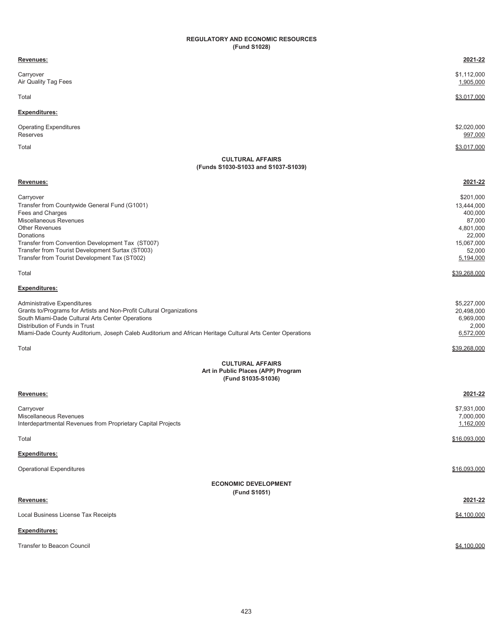#### **REGULATORY AND ECONOMIC RESOURCES (Fund S1028)**

| Revenues:                                                                                                                                                                                                                                                                                                                                                                                                                                                                                                                             | 2021-22                                                                                                                                                                     |
|---------------------------------------------------------------------------------------------------------------------------------------------------------------------------------------------------------------------------------------------------------------------------------------------------------------------------------------------------------------------------------------------------------------------------------------------------------------------------------------------------------------------------------------|-----------------------------------------------------------------------------------------------------------------------------------------------------------------------------|
| Carryover<br>Air Quality Tag Fees                                                                                                                                                                                                                                                                                                                                                                                                                                                                                                     | \$1,112,000<br>1,905,000                                                                                                                                                    |
| Total                                                                                                                                                                                                                                                                                                                                                                                                                                                                                                                                 | \$3,017,000                                                                                                                                                                 |
| <b>Expenditures:</b>                                                                                                                                                                                                                                                                                                                                                                                                                                                                                                                  |                                                                                                                                                                             |
| <b>Operating Expenditures</b><br>Reserves                                                                                                                                                                                                                                                                                                                                                                                                                                                                                             | \$2,020,000<br>997,000                                                                                                                                                      |
| Total                                                                                                                                                                                                                                                                                                                                                                                                                                                                                                                                 | \$3,017,000                                                                                                                                                                 |
| <b>CULTURAL AFFAIRS</b><br>(Funds S1030-S1033 and S1037-S1039)                                                                                                                                                                                                                                                                                                                                                                                                                                                                        |                                                                                                                                                                             |
| Revenues:                                                                                                                                                                                                                                                                                                                                                                                                                                                                                                                             | 2021-22                                                                                                                                                                     |
| Carryover<br>Transfer from Countywide General Fund (G1001)<br>Fees and Charges<br>Miscellaneous Revenues<br><b>Other Revenues</b><br>Donations<br>Transfer from Convention Development Tax (ST007)<br>Transfer from Tourist Development Surtax (ST003)<br>Transfer from Tourist Development Tax (ST002)<br>Total<br><b>Expenditures:</b><br>Administrative Expenditures<br>Grants to/Programs for Artists and Non-Profit Cultural Organizations<br>South Miami-Dade Cultural Arts Center Operations<br>Distribution of Funds in Trust | \$201,000<br>13,444,000<br>400,000<br>87,000<br>4,801,000<br>22,000<br>15,067,000<br>52,000<br>5,194,000<br>\$39.268.000<br>\$5,227,000<br>20,498,000<br>6,969,000<br>2,000 |
| Miami-Dade County Auditorium, Joseph Caleb Auditorium and African Heritage Cultural Arts Center Operations                                                                                                                                                                                                                                                                                                                                                                                                                            | 6,572,000                                                                                                                                                                   |
| Total                                                                                                                                                                                                                                                                                                                                                                                                                                                                                                                                 | \$39,268,000                                                                                                                                                                |
| <b>CULTURAL AFFAIRS</b><br>Art in Public Places (APP) Program<br>(Fund S1035-S1036)                                                                                                                                                                                                                                                                                                                                                                                                                                                   |                                                                                                                                                                             |
| Revenues:                                                                                                                                                                                                                                                                                                                                                                                                                                                                                                                             | 2021-22                                                                                                                                                                     |
| Carryover<br>Miscellaneous Revenues<br>Interdepartmental Revenues from Proprietary Capital Projects                                                                                                                                                                                                                                                                                                                                                                                                                                   | \$7,931,000<br>7,000,000<br>1,162,000                                                                                                                                       |
| Total                                                                                                                                                                                                                                                                                                                                                                                                                                                                                                                                 | \$16,093,000                                                                                                                                                                |
| Expenditures:                                                                                                                                                                                                                                                                                                                                                                                                                                                                                                                         |                                                                                                                                                                             |
| <b>Operational Expenditures</b>                                                                                                                                                                                                                                                                                                                                                                                                                                                                                                       | \$16,093,000                                                                                                                                                                |
| <b>ECONOMIC DEVELOPMENT</b><br>(Fund S1051)                                                                                                                                                                                                                                                                                                                                                                                                                                                                                           |                                                                                                                                                                             |
| Revenues:                                                                                                                                                                                                                                                                                                                                                                                                                                                                                                                             | 2021-22                                                                                                                                                                     |
| Local Business License Tax Receipts                                                                                                                                                                                                                                                                                                                                                                                                                                                                                                   | \$4,100,000                                                                                                                                                                 |
| <b>Expenditures:</b>                                                                                                                                                                                                                                                                                                                                                                                                                                                                                                                  |                                                                                                                                                                             |
| Transfer to Beacon Council                                                                                                                                                                                                                                                                                                                                                                                                                                                                                                            | \$4,100,000                                                                                                                                                                 |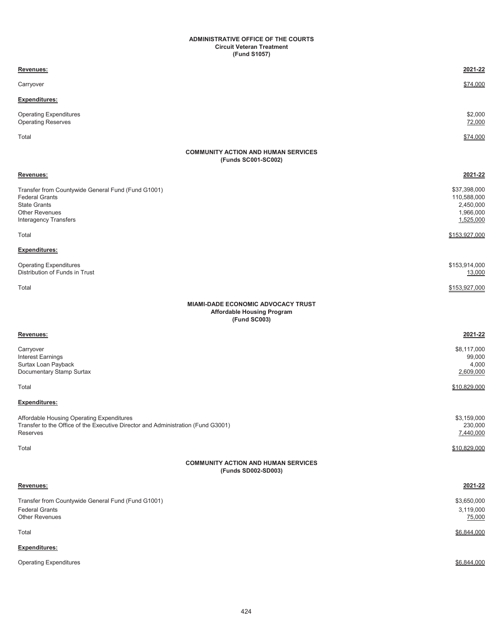#### **ADMINISTRATIVE OFFICE OF THE COURTS (Fund S1057) Circuit Veteran Treatment**

| Revenues:                                                                                                                                        | 2021-22                                                            |
|--------------------------------------------------------------------------------------------------------------------------------------------------|--------------------------------------------------------------------|
| Carryover                                                                                                                                        | \$74,000                                                           |
| <b>Expenditures:</b>                                                                                                                             |                                                                    |
| <b>Operating Expenditures</b><br><b>Operating Reserves</b>                                                                                       | \$2,000<br>72,000                                                  |
| Total                                                                                                                                            | \$74,000                                                           |
| <b>COMMUNITY ACTION AND HUMAN SERVICES</b><br>(Funds SC001-SC002)                                                                                |                                                                    |
| Revenues:                                                                                                                                        | 2021-22                                                            |
| Transfer from Countywide General Fund (Fund G1001)<br><b>Federal Grants</b><br><b>State Grants</b><br>Other Revenues<br>Interagency Transfers    | \$37,398,000<br>110,588,000<br>2,450,000<br>1,966,000<br>1,525,000 |
| Total                                                                                                                                            | \$153,927,000                                                      |
| <b>Expenditures:</b>                                                                                                                             |                                                                    |
| <b>Operating Expenditures</b><br>Distribution of Funds in Trust                                                                                  | \$153,914,000<br>13,000                                            |
| Total                                                                                                                                            | \$153,927,000                                                      |
| <b>MIAMI-DADE ECONOMIC ADVOCACY TRUST</b><br><b>Affordable Housing Program</b><br>(Fund SC003)                                                   |                                                                    |
| Revenues:                                                                                                                                        | 2021-22                                                            |
| Carryover<br>Interest Earnings<br>Surtax Loan Payback<br>Documentary Stamp Surtax                                                                | \$8,117,000<br>99,000<br>4,000<br>2,609,000                        |
| Total                                                                                                                                            | \$10,829,000                                                       |
| <b>Expenditures:</b>                                                                                                                             |                                                                    |
| Affordable Housing Operating Expenditures<br>Transfer to the Office of the Executive Director and Administration (Fund G3001)<br><b>Reserves</b> | \$3,159,000<br>230,000<br>7,440,000                                |
| Total                                                                                                                                            | \$10,829,000                                                       |
| <b>COMMUNITY ACTION AND HUMAN SERVICES</b><br>(Funds SD002-SD003)                                                                                |                                                                    |
| Revenues:                                                                                                                                        | 2021-22                                                            |
| Transfer from Countywide General Fund (Fund G1001)<br><b>Federal Grants</b><br><b>Other Revenues</b>                                             | \$3,650,000<br>3,119,000<br>75,000                                 |
| Total                                                                                                                                            | \$6,844,000                                                        |
| Expenditures:                                                                                                                                    |                                                                    |
| <b>Operating Expenditures</b>                                                                                                                    | \$6,844,000                                                        |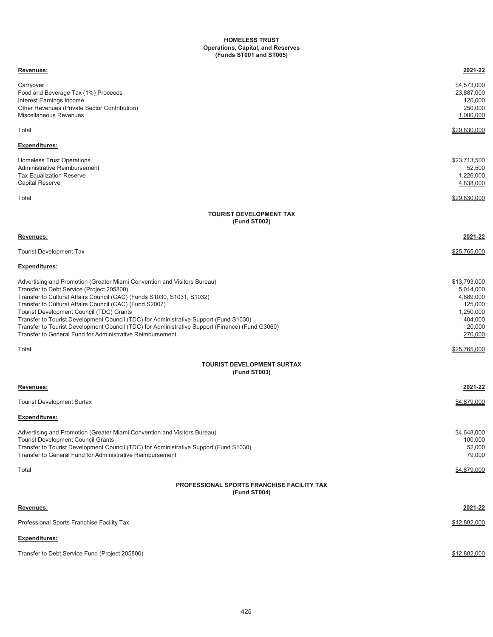#### **HOMELESS TRUST Operations, Capital, and Reserves (Funds ST001 and ST005)**

| Revenues:                                                                                                                                                                                                                                                                                                                                                                                                                                                                                                                                                       | 2021-22                                                                                        |
|-----------------------------------------------------------------------------------------------------------------------------------------------------------------------------------------------------------------------------------------------------------------------------------------------------------------------------------------------------------------------------------------------------------------------------------------------------------------------------------------------------------------------------------------------------------------|------------------------------------------------------------------------------------------------|
| Carryover<br>Food and Beverage Tax (1%) Proceeds<br>Interest Earnings Income<br>Other Revenues (Private Sector Contribution)<br>Miscellaneous Revenues                                                                                                                                                                                                                                                                                                                                                                                                          | \$4,573,000<br>23,887,000<br>120,000<br>250,000<br>1,000,000                                   |
| Total                                                                                                                                                                                                                                                                                                                                                                                                                                                                                                                                                           | \$29,830,000                                                                                   |
| <b>Expenditures:</b>                                                                                                                                                                                                                                                                                                                                                                                                                                                                                                                                            |                                                                                                |
| Homeless Trust Operations<br>Administrative Reimbursement<br><b>Tax Equalization Reserve</b><br><b>Capital Reserve</b>                                                                                                                                                                                                                                                                                                                                                                                                                                          | \$23,713,500<br>52,500<br>1,226,000<br>4,838,000                                               |
| Total                                                                                                                                                                                                                                                                                                                                                                                                                                                                                                                                                           | \$29.830.000                                                                                   |
| <b>TOURIST DEVELOPMENT TAX</b><br>(Fund ST002)                                                                                                                                                                                                                                                                                                                                                                                                                                                                                                                  |                                                                                                |
| Revenues:                                                                                                                                                                                                                                                                                                                                                                                                                                                                                                                                                       | 2021-22                                                                                        |
| <b>Tourist Development Tax</b>                                                                                                                                                                                                                                                                                                                                                                                                                                                                                                                                  | <u>\$25,765,000</u>                                                                            |
| <b>Expenditures:</b>                                                                                                                                                                                                                                                                                                                                                                                                                                                                                                                                            |                                                                                                |
| Advertising and Promotion (Greater Miami Convention and Visitors Bureau)<br>Transfer to Debt Service (Project 205800)<br>Transfer to Cultural Affairs Council (CAC) (Funds S1030, S1031, S1032)<br>Transfer to Cultural Affairs Council (CAC) (Fund S2007)<br>Tourist Development Council (TDC) Grants<br>Transfer to Tourist Development Council (TDC) for Administrative Support (Fund S1030)<br>Transfer to Tourist Development Council (TDC) for Administrative Support (Finance) (Fund G3060)<br>Transfer to General Fund for Administrative Reimbursement | \$13,793,000<br>5,014,000<br>4,889,000<br>125,000<br>1,250,000<br>404,000<br>20,000<br>270,000 |
| Total                                                                                                                                                                                                                                                                                                                                                                                                                                                                                                                                                           | <u>\$25,765,000</u>                                                                            |
| <b>TOURIST DEVELOPMENT SURTAX</b><br>(Fund ST003)                                                                                                                                                                                                                                                                                                                                                                                                                                                                                                               |                                                                                                |
| Revenues:                                                                                                                                                                                                                                                                                                                                                                                                                                                                                                                                                       | 2021-22                                                                                        |
| <b>Tourist Development Surtax</b>                                                                                                                                                                                                                                                                                                                                                                                                                                                                                                                               | \$4,879,000                                                                                    |
| <b>Expenditures:</b>                                                                                                                                                                                                                                                                                                                                                                                                                                                                                                                                            |                                                                                                |
| Advertising and Promotion (Greater Miami Convention and Visitors Bureau)<br><b>Tourist Development Council Grants</b><br>Transfer to Tourist Development Council (TDC) for Administrative Support (Fund S1030)<br>Transfer to General Fund for Administrative Reimbursement                                                                                                                                                                                                                                                                                     | \$4,648,000<br>100,000<br>52,000<br>79,000                                                     |
| Total                                                                                                                                                                                                                                                                                                                                                                                                                                                                                                                                                           | \$4,879,000                                                                                    |
| <b>PROFESSIONAL SPORTS FRANCHISE FACILITY TAX</b><br>(Fund ST004)                                                                                                                                                                                                                                                                                                                                                                                                                                                                                               |                                                                                                |
| Revenues:                                                                                                                                                                                                                                                                                                                                                                                                                                                                                                                                                       | 2021-22                                                                                        |
| Professional Sports Franchise Facility Tax                                                                                                                                                                                                                                                                                                                                                                                                                                                                                                                      | \$12,882,000                                                                                   |
| <b>Expenditures:</b>                                                                                                                                                                                                                                                                                                                                                                                                                                                                                                                                            |                                                                                                |
| Transfer to Debt Service Fund (Project 205800)                                                                                                                                                                                                                                                                                                                                                                                                                                                                                                                  | \$12,882,000                                                                                   |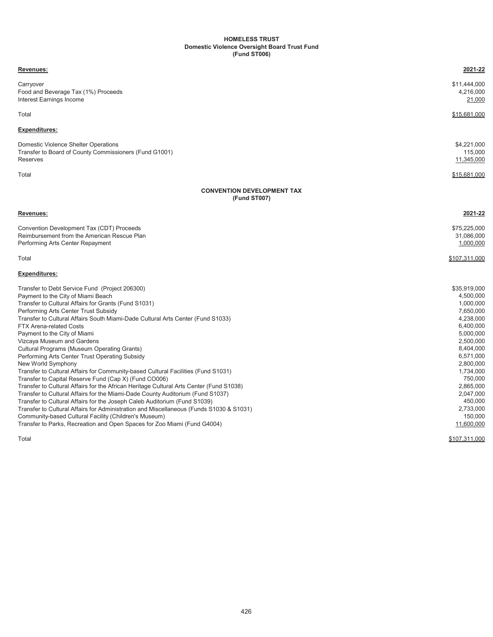#### **Domestic Violence Oversight Board Trust Fund HOMELESS TRUST (Fund ST006)**

| Revenues:                                                                                                                                                                                                                                                                                                                                                                                                                                                                                                                                                                                                                                                                                                                                                                                                                                                                                                                                                                                                                                                                                                                                                                                             | 2021-22                                                                                                                                                                                                             |
|-------------------------------------------------------------------------------------------------------------------------------------------------------------------------------------------------------------------------------------------------------------------------------------------------------------------------------------------------------------------------------------------------------------------------------------------------------------------------------------------------------------------------------------------------------------------------------------------------------------------------------------------------------------------------------------------------------------------------------------------------------------------------------------------------------------------------------------------------------------------------------------------------------------------------------------------------------------------------------------------------------------------------------------------------------------------------------------------------------------------------------------------------------------------------------------------------------|---------------------------------------------------------------------------------------------------------------------------------------------------------------------------------------------------------------------|
| Carryover<br>\$11,444,000<br>Food and Beverage Tax (1%) Proceeds<br>Interest Earnings Income                                                                                                                                                                                                                                                                                                                                                                                                                                                                                                                                                                                                                                                                                                                                                                                                                                                                                                                                                                                                                                                                                                          | 4,216,000<br>21,000                                                                                                                                                                                                 |
| \$15.681.000<br>Total                                                                                                                                                                                                                                                                                                                                                                                                                                                                                                                                                                                                                                                                                                                                                                                                                                                                                                                                                                                                                                                                                                                                                                                 |                                                                                                                                                                                                                     |
| <b>Expenditures:</b>                                                                                                                                                                                                                                                                                                                                                                                                                                                                                                                                                                                                                                                                                                                                                                                                                                                                                                                                                                                                                                                                                                                                                                                  |                                                                                                                                                                                                                     |
| \$4,221,000<br>Domestic Violence Shelter Operations<br>Transfer to Board of County Commissioners (Fund G1001)<br>Reserves<br>11,345,000                                                                                                                                                                                                                                                                                                                                                                                                                                                                                                                                                                                                                                                                                                                                                                                                                                                                                                                                                                                                                                                               | 115,000                                                                                                                                                                                                             |
| Total<br>\$15,681,000                                                                                                                                                                                                                                                                                                                                                                                                                                                                                                                                                                                                                                                                                                                                                                                                                                                                                                                                                                                                                                                                                                                                                                                 |                                                                                                                                                                                                                     |
| <b>CONVENTION DEVELOPMENT TAX</b>                                                                                                                                                                                                                                                                                                                                                                                                                                                                                                                                                                                                                                                                                                                                                                                                                                                                                                                                                                                                                                                                                                                                                                     |                                                                                                                                                                                                                     |
| (Fund ST007)                                                                                                                                                                                                                                                                                                                                                                                                                                                                                                                                                                                                                                                                                                                                                                                                                                                                                                                                                                                                                                                                                                                                                                                          |                                                                                                                                                                                                                     |
| Revenues:                                                                                                                                                                                                                                                                                                                                                                                                                                                                                                                                                                                                                                                                                                                                                                                                                                                                                                                                                                                                                                                                                                                                                                                             | 2021-22                                                                                                                                                                                                             |
| Convention Development Tax (CDT) Proceeds<br>\$75,225,000<br>Reimbursement from the American Rescue Plan<br>31,086,000<br>Performing Arts Center Repayment                                                                                                                                                                                                                                                                                                                                                                                                                                                                                                                                                                                                                                                                                                                                                                                                                                                                                                                                                                                                                                            | 1,000,000                                                                                                                                                                                                           |
| Total<br>\$107,311,000                                                                                                                                                                                                                                                                                                                                                                                                                                                                                                                                                                                                                                                                                                                                                                                                                                                                                                                                                                                                                                                                                                                                                                                |                                                                                                                                                                                                                     |
| <b>Expenditures:</b>                                                                                                                                                                                                                                                                                                                                                                                                                                                                                                                                                                                                                                                                                                                                                                                                                                                                                                                                                                                                                                                                                                                                                                                  |                                                                                                                                                                                                                     |
| \$35,919,000<br>Transfer to Debt Service Fund (Project 206300)<br>Payment to the City of Miami Beach<br>Transfer to Cultural Affairs for Grants (Fund S1031)<br>Performing Arts Center Trust Subsidy<br>Transfer to Cultural Affairs South Miami-Dade Cultural Arts Center (Fund S1033)<br><b>FTX Arena-related Costs</b><br>Payment to the City of Miami<br>Vizcaya Museum and Gardens<br><b>Cultural Programs (Museum Operating Grants)</b><br>Performing Arts Center Trust Operating Subsidy<br>New World Symphony<br>Transfer to Cultural Affairs for Community-based Cultural Facilities (Fund S1031)<br>Transfer to Capital Reserve Fund (Cap X) (Fund CO006)<br>Transfer to Cultural Affairs for the African Heritage Cultural Arts Center (Fund S1038)<br>Transfer to Cultural Affairs for the Miami-Dade County Auditorium (Fund S1037)<br>Transfer to Cultural Affairs for the Joseph Caleb Auditorium (Fund S1039)<br>Transfer to Cultural Affairs for Administration and Miscellaneous (Funds S1030 & S1031)<br>Community-based Cultural Facility (Children's Museum)<br>Transfer to Parks, Recreation and Open Spaces for Zoo Miami (Fund G4004)<br>11,600,000<br>\$107,311,000<br>Total | 4,500,000<br>1,000,000<br>7,650,000<br>4,238,000<br>6,400,000<br>5,000,000<br>2,500,000<br>8,404,000<br>6,571,000<br>2,800,000<br>1,734,000<br>750,000<br>2,865,000<br>2,047,000<br>450,000<br>2,733,000<br>150,000 |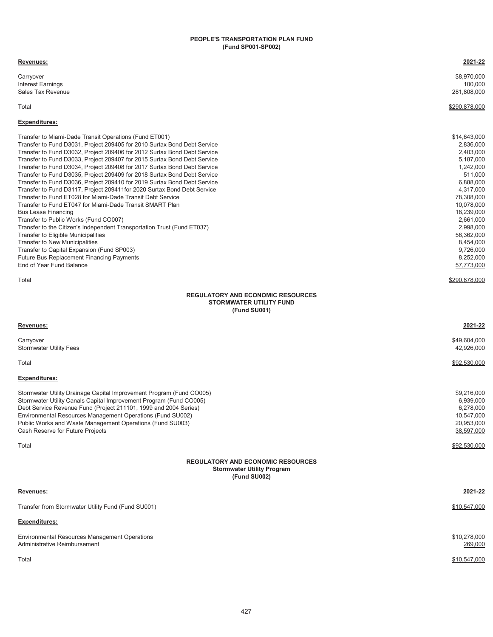#### **PEOPLE'S TRANSPORTATION PLAN FUND (Fund SP001-SP002)**

| Revenues:                                                                                                                                                                                                                                                                                                                                                                                                                                                                                                                                                                                                                                                                                                                                                                                                                                                                                                                                                                                                                                                                                           | 2021-22                                                                                                                                                                                                                                      |
|-----------------------------------------------------------------------------------------------------------------------------------------------------------------------------------------------------------------------------------------------------------------------------------------------------------------------------------------------------------------------------------------------------------------------------------------------------------------------------------------------------------------------------------------------------------------------------------------------------------------------------------------------------------------------------------------------------------------------------------------------------------------------------------------------------------------------------------------------------------------------------------------------------------------------------------------------------------------------------------------------------------------------------------------------------------------------------------------------------|----------------------------------------------------------------------------------------------------------------------------------------------------------------------------------------------------------------------------------------------|
| Carryover<br><b>Interest Earnings</b><br><b>Sales Tax Revenue</b>                                                                                                                                                                                                                                                                                                                                                                                                                                                                                                                                                                                                                                                                                                                                                                                                                                                                                                                                                                                                                                   | \$8,970,000<br>100,000<br>281,808,000                                                                                                                                                                                                        |
| Total                                                                                                                                                                                                                                                                                                                                                                                                                                                                                                                                                                                                                                                                                                                                                                                                                                                                                                                                                                                                                                                                                               | \$290,878,000                                                                                                                                                                                                                                |
| <b>Expenditures:</b>                                                                                                                                                                                                                                                                                                                                                                                                                                                                                                                                                                                                                                                                                                                                                                                                                                                                                                                                                                                                                                                                                |                                                                                                                                                                                                                                              |
| Transfer to Miami-Dade Transit Operations (Fund ET001)<br>Transfer to Fund D3031, Project 209405 for 2010 Surtax Bond Debt Service<br>Transfer to Fund D3032, Project 209406 for 2012 Surtax Bond Debt Service<br>Transfer to Fund D3033, Project 209407 for 2015 Surtax Bond Debt Service<br>Transfer to Fund D3034, Project 209408 for 2017 Surtax Bond Debt Service<br>Transfer to Fund D3035, Project 209409 for 2018 Surtax Bond Debt Service<br>Transfer to Fund D3036, Project 209410 for 2019 Surtax Bond Debt Service<br>Transfer to Fund D3117, Project 209411for 2020 Surtax Bond Debt Service<br>Transfer to Fund ET028 for Miami-Dade Transit Debt Service<br>Transfer to Fund ET047 for Miami-Dade Transit SMART Plan<br><b>Bus Lease Financing</b><br>Transfer to Public Works (Fund CO007)<br>Transfer to the Citizen's Independent Transportation Trust (Fund ET037)<br>Transfer to Eligible Municipalities<br><b>Transfer to New Municipalities</b><br>Transfer to Capital Expansion (Fund SP003)<br><b>Future Bus Replacement Financing Payments</b><br>End of Year Fund Balance | \$14,643,000<br>2,836,000<br>2,403,000<br>5,187,000<br>1,242,000<br>511,000<br>6,888,000<br>4,317,000<br>78,308,000<br>10,078,000<br>18,239,000<br>2,661,000<br>2,998,000<br>56,362,000<br>8,454,000<br>9,726,000<br>8,252,000<br>57,773,000 |
| Total                                                                                                                                                                                                                                                                                                                                                                                                                                                                                                                                                                                                                                                                                                                                                                                                                                                                                                                                                                                                                                                                                               | \$290.878.000                                                                                                                                                                                                                                |
| <b>REGULATORY AND ECONOMIC RESOURCES</b><br><b>STORMWATER UTILITY FUND</b><br>(Fund SU001)                                                                                                                                                                                                                                                                                                                                                                                                                                                                                                                                                                                                                                                                                                                                                                                                                                                                                                                                                                                                          |                                                                                                                                                                                                                                              |
| Revenues:                                                                                                                                                                                                                                                                                                                                                                                                                                                                                                                                                                                                                                                                                                                                                                                                                                                                                                                                                                                                                                                                                           | 2021-22                                                                                                                                                                                                                                      |
| Carryover<br><b>Stormwater Utility Fees</b>                                                                                                                                                                                                                                                                                                                                                                                                                                                                                                                                                                                                                                                                                                                                                                                                                                                                                                                                                                                                                                                         | \$49,604,000<br>42,926,000                                                                                                                                                                                                                   |
| Total                                                                                                                                                                                                                                                                                                                                                                                                                                                                                                                                                                                                                                                                                                                                                                                                                                                                                                                                                                                                                                                                                               | \$92,530,000                                                                                                                                                                                                                                 |
| <b>Expenditures:</b>                                                                                                                                                                                                                                                                                                                                                                                                                                                                                                                                                                                                                                                                                                                                                                                                                                                                                                                                                                                                                                                                                |                                                                                                                                                                                                                                              |
| Stormwater Utility Drainage Capital Improvement Program (Fund CO005)<br>Stormwater Utility Canals Capital Improvement Program (Fund CO005)<br>Debt Service Revenue Fund (Project 211101, 1999 and 2004 Series)<br>Environmental Resources Management Operations (Fund SU002)<br>Public Works and Waste Management Operations (Fund SU003)<br>Cash Reserve for Future Projects                                                                                                                                                                                                                                                                                                                                                                                                                                                                                                                                                                                                                                                                                                                       | \$9,216,000<br>6,939,000<br>6,278,000<br>10,547,000<br>20,953,000<br>38,597,000                                                                                                                                                              |
| Total                                                                                                                                                                                                                                                                                                                                                                                                                                                                                                                                                                                                                                                                                                                                                                                                                                                                                                                                                                                                                                                                                               | \$92,530,000                                                                                                                                                                                                                                 |
| <b>REGULATORY AND ECONOMIC RESOURCES</b><br><b>Stormwater Utility Program</b><br>(Fund SU002)                                                                                                                                                                                                                                                                                                                                                                                                                                                                                                                                                                                                                                                                                                                                                                                                                                                                                                                                                                                                       |                                                                                                                                                                                                                                              |
| Revenues:                                                                                                                                                                                                                                                                                                                                                                                                                                                                                                                                                                                                                                                                                                                                                                                                                                                                                                                                                                                                                                                                                           | 2021-22                                                                                                                                                                                                                                      |
| Transfer from Stormwater Utility Fund (Fund SU001)                                                                                                                                                                                                                                                                                                                                                                                                                                                                                                                                                                                                                                                                                                                                                                                                                                                                                                                                                                                                                                                  | \$10,547,000                                                                                                                                                                                                                                 |
| <b>Expenditures:</b>                                                                                                                                                                                                                                                                                                                                                                                                                                                                                                                                                                                                                                                                                                                                                                                                                                                                                                                                                                                                                                                                                |                                                                                                                                                                                                                                              |
| Environmental Resources Management Operations<br>Administrative Reimbursement                                                                                                                                                                                                                                                                                                                                                                                                                                                                                                                                                                                                                                                                                                                                                                                                                                                                                                                                                                                                                       | \$10,278,000<br>269,000                                                                                                                                                                                                                      |
| Total                                                                                                                                                                                                                                                                                                                                                                                                                                                                                                                                                                                                                                                                                                                                                                                                                                                                                                                                                                                                                                                                                               | \$10,547,000                                                                                                                                                                                                                                 |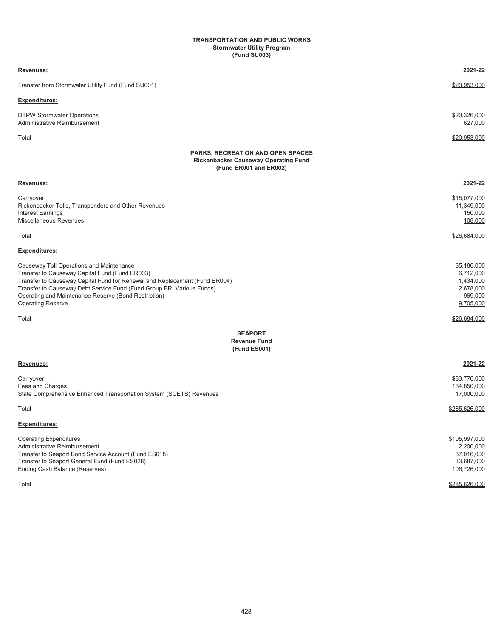#### **TRANSPORTATION AND PUBLIC WORKS Stormwater Utility Program (Fund SU003)**

| Revenues:                                                                                                                                                                                                                                                                                                                             | 2021-22                                                                    |
|---------------------------------------------------------------------------------------------------------------------------------------------------------------------------------------------------------------------------------------------------------------------------------------------------------------------------------------|----------------------------------------------------------------------------|
| Transfer from Stormwater Utility Fund (Fund SU001)                                                                                                                                                                                                                                                                                    | \$20,953,000                                                               |
| Expenditures:                                                                                                                                                                                                                                                                                                                         |                                                                            |
| <b>DTPW Stormwater Operations</b><br>Administrative Reimbursement                                                                                                                                                                                                                                                                     | \$20,326,000<br>627,000                                                    |
| Total                                                                                                                                                                                                                                                                                                                                 | \$20,953,000                                                               |
| <b>PARKS, RECREATION AND OPEN SPACES</b><br><b>Rickenbacker Causeway Operating Fund</b><br>(Fund ER001 and ER002)                                                                                                                                                                                                                     |                                                                            |
| Revenues:                                                                                                                                                                                                                                                                                                                             | 2021-22                                                                    |
| Carryover<br>Rickenbacker Tolls, Transponders and Other Revenues<br><b>Interest Earnings</b><br>Miscellaneous Revenues                                                                                                                                                                                                                | \$15,077,000<br>11,349,000<br>150,000<br>108,000                           |
| Total                                                                                                                                                                                                                                                                                                                                 | \$26,684,000                                                               |
| <b>Expenditures:</b>                                                                                                                                                                                                                                                                                                                  |                                                                            |
| Causeway Toll Operations and Maintenance<br>Transfer to Causeway Capital Fund (Fund ER003)<br>Transfer to Causeway Capital Fund for Renewal and Replacement (Fund ER004)<br>Transfer to Causeway Debt Service Fund (Fund Group ER, Various Funds)<br>Operating and Maintenance Reserve (Bond Restriction)<br><b>Operating Reserve</b> | \$5,186,000<br>6,712,000<br>1,434,000<br>2,678,000<br>969,000<br>9,705,000 |
| Total                                                                                                                                                                                                                                                                                                                                 | \$26,684,000                                                               |
| <b>SEAPORT</b><br><b>Revenue Fund</b><br>(Fund ES001)                                                                                                                                                                                                                                                                                 |                                                                            |
| Revenues:                                                                                                                                                                                                                                                                                                                             | 2021-22                                                                    |
| Carryover<br>Fees and Charges<br>State Comprehensive Enhanced Transportation System (SCETS) Revenues                                                                                                                                                                                                                                  | \$83,776,000<br>184,850,000<br>17,000,000                                  |
| Total                                                                                                                                                                                                                                                                                                                                 | \$285.626.000                                                              |
| Expenditures:                                                                                                                                                                                                                                                                                                                         |                                                                            |
| <b>Operating Expenditures</b><br>Administrative Reimbursement<br>Transfer to Seaport Bond Service Account (Fund ES018)<br>Transfer to Seaport General Fund (Fund ES028)<br>Ending Cash Balance (Reserves)                                                                                                                             | \$105,997,000<br>2,200,000<br>37,016,000<br>33,687,000<br>106,726,000      |
| Total                                                                                                                                                                                                                                                                                                                                 | \$285,626,000                                                              |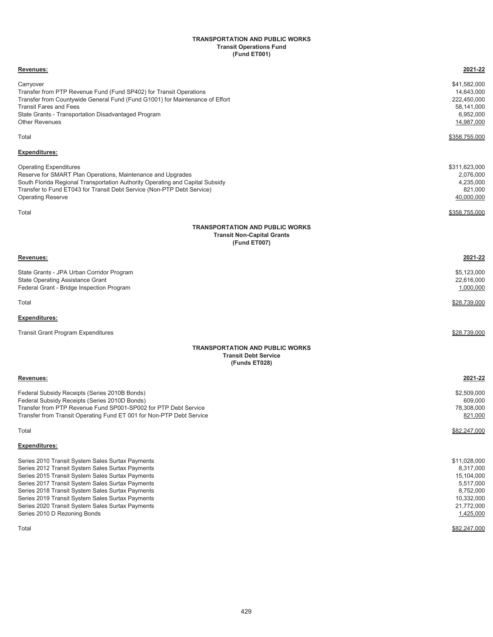#### **Transit Operations Fund (Fund ET001) TRANSPORTATION AND PUBLIC WORKS**

| Revenues:                                                                                                                                                                                                                                                                                                                                                                                                         | 2021-22                                                                                                                    |
|-------------------------------------------------------------------------------------------------------------------------------------------------------------------------------------------------------------------------------------------------------------------------------------------------------------------------------------------------------------------------------------------------------------------|----------------------------------------------------------------------------------------------------------------------------|
| Carryover<br>Transfer from PTP Revenue Fund (Fund SP402) for Transit Operations<br>Transfer from Countywide General Fund (Fund G1001) for Maintenance of Effort<br><b>Transit Fares and Fees</b><br>State Grants - Transportation Disadvantaged Program<br><b>Other Revenues</b>                                                                                                                                  | \$41,582,000<br>14,643,000<br>222,450,000<br>58,141,000<br>6,952,000<br>14,987,000                                         |
| Total                                                                                                                                                                                                                                                                                                                                                                                                             | <u>\$358,755,000</u>                                                                                                       |
| <b>Expenditures:</b>                                                                                                                                                                                                                                                                                                                                                                                              |                                                                                                                            |
| <b>Operating Expenditures</b><br>Reserve for SMART Plan Operations, Maintenance and Upgrades<br>South Florida Regional Transportation Authority Operating and Capital Subsidy<br>Transfer to Fund ET043 for Transit Debt Service (Non-PTP Debt Service)<br><b>Operating Reserve</b>                                                                                                                               | \$311,623,000<br>2,076,000<br>4,235,000<br>821,000<br>40,000,000                                                           |
| Total                                                                                                                                                                                                                                                                                                                                                                                                             | <u>\$358,755,000</u>                                                                                                       |
| <b>TRANSPORTATION AND PUBLIC WORKS</b><br><b>Transit Non-Capital Grants</b><br>(Fund ET007)                                                                                                                                                                                                                                                                                                                       |                                                                                                                            |
| Revenues:                                                                                                                                                                                                                                                                                                                                                                                                         | 2021-22                                                                                                                    |
| State Grants - JPA Urban Corridor Program<br><b>State Operating Assistance Grant</b><br>Federal Grant - Bridge Inspection Program                                                                                                                                                                                                                                                                                 | \$5,123,000<br>22,616,000<br>1,000,000                                                                                     |
| Total                                                                                                                                                                                                                                                                                                                                                                                                             | \$28,739,000                                                                                                               |
| <b>Expenditures:</b>                                                                                                                                                                                                                                                                                                                                                                                              |                                                                                                                            |
| <b>Transit Grant Program Expenditures</b>                                                                                                                                                                                                                                                                                                                                                                         | \$28,739,000                                                                                                               |
| <b>TRANSPORTATION AND PUBLIC WORKS</b><br><b>Transit Debt Service</b><br>(Funds ET028)                                                                                                                                                                                                                                                                                                                            |                                                                                                                            |
| Revenues:                                                                                                                                                                                                                                                                                                                                                                                                         | 2021-22                                                                                                                    |
| Federal Subsidy Receipts (Series 2010B Bonds)<br>Federal Subsidy Receipts (Series 2010D Bonds)<br>Transfer from PTP Revenue Fund SP001-SP002 for PTP Debt Service<br>Transfer from Transit Operating Fund ET 001 for Non-PTP Debt Service                                                                                                                                                                         | \$2,509,000<br>609,000<br>78,308,000<br>821,000                                                                            |
| Total                                                                                                                                                                                                                                                                                                                                                                                                             | \$82,247,000                                                                                                               |
| <b>Expenditures:</b>                                                                                                                                                                                                                                                                                                                                                                                              |                                                                                                                            |
| Series 2010 Transit System Sales Surtax Payments<br>Series 2012 Transit System Sales Surtax Payments<br>Series 2015 Transit System Sales Surtax Payments<br>Series 2017 Transit System Sales Surtax Payments<br>Series 2018 Transit System Sales Surtax Payments<br>Series 2019 Transit System Sales Surtax Payments<br>Series 2020 Transit System Sales Surtax Payments<br>Series 2010 D Rezoning Bonds<br>Total | \$11,028,000<br>8,317,000<br>15,104,000<br>5,517,000<br>8,752,000<br>10,332,000<br>21,772,000<br>1,425,000<br>\$82,247,000 |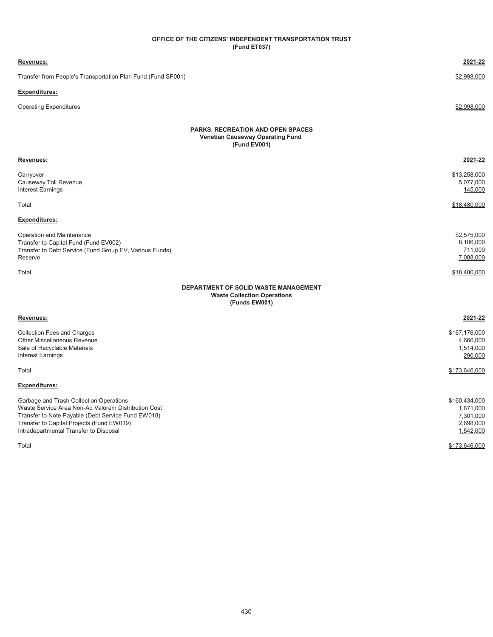### **(Fund ET037) OFFICE OF THE CITIZENS' INDEPENDENT TRANSPORTATION TRUST**

| Revenues:                                                                                                                                                                                                                                   | 2021-22                                                           |
|---------------------------------------------------------------------------------------------------------------------------------------------------------------------------------------------------------------------------------------------|-------------------------------------------------------------------|
| Transfer from People's Transportation Plan Fund (Fund SP001)                                                                                                                                                                                | \$2,998,000                                                       |
| <b>Expenditures:</b>                                                                                                                                                                                                                        |                                                                   |
| <b>Operating Expenditures</b>                                                                                                                                                                                                               | \$2,998,000                                                       |
| <b>PARKS, RECREATION AND OPEN SPACES</b><br><b>Venetian Causeway Operating Fund</b><br>(Fund EV001)                                                                                                                                         |                                                                   |
| <u>Revenues:</u>                                                                                                                                                                                                                            | 2021-22                                                           |
| Carryover<br>Causeway Toll Revenue<br><b>Interest Earnings</b>                                                                                                                                                                              | \$13,258,000<br>5,077,000<br>145,000                              |
| Total                                                                                                                                                                                                                                       | \$18,480,000                                                      |
| Expenditures:                                                                                                                                                                                                                               |                                                                   |
| Operation and Maintenance<br>Transfer to Capital Fund (Fund EV002)<br>Transfer to Debt Service (Fund Group EV, Various Funds)<br>Reserve                                                                                                    | \$2,575,000<br>8,106,000<br>711,000<br>7,088,000                  |
| Total                                                                                                                                                                                                                                       | \$18,480,000                                                      |
| <b>DEPARTMENT OF SOLID WASTE MANAGEMENT</b><br><b>Waste Collection Operations</b><br>(Funds EW001)                                                                                                                                          |                                                                   |
| Revenues:                                                                                                                                                                                                                                   | 2021-22                                                           |
| <b>Collection Fees and Charges</b><br><b>Other Miscellaneous Revenue</b><br>Sale of Recyclable Materials<br><b>Interest Earnings</b>                                                                                                        | \$167,176,000<br>4,666,000<br>1,514,000<br>290,000                |
| Total                                                                                                                                                                                                                                       | \$173,646,000                                                     |
| <b>Expenditures:</b>                                                                                                                                                                                                                        |                                                                   |
| Garbage and Trash Collection Operations<br>Waste Service Area Non-Ad Valorem Distribution Cost<br>Transfer to Note Payable (Debt Service Fund EW018)<br>Transfer to Capital Projects (Fund EW019)<br>Intradepartmental Transfer to Disposal | \$160,434,000<br>1,671,000<br>7,301,000<br>2,698,000<br>1,542,000 |
| Total                                                                                                                                                                                                                                       | \$173,646,000                                                     |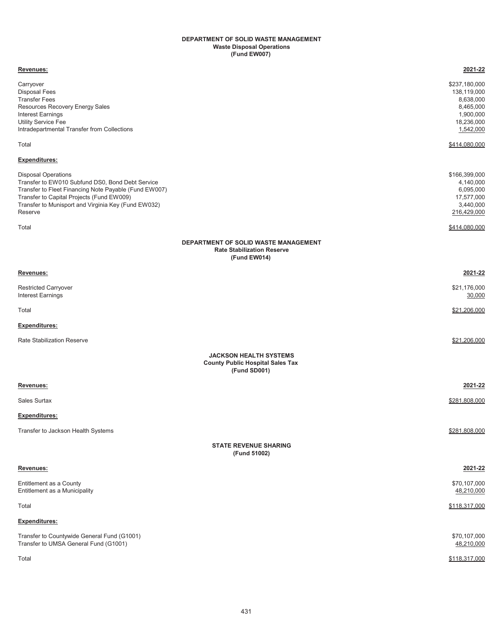#### **Waste Disposal Operations (Fund EW007) DEPARTMENT OF SOLID WASTE MANAGEMENT**

| Revenues:                                                                                                                                                                                                                                              | 2021-22                                                                                        |
|--------------------------------------------------------------------------------------------------------------------------------------------------------------------------------------------------------------------------------------------------------|------------------------------------------------------------------------------------------------|
| Carryover<br><b>Disposal Fees</b><br><b>Transfer Fees</b><br>Resources Recovery Energy Sales<br>Interest Earnings<br><b>Utility Service Fee</b><br>Intradepartmental Transfer from Collections                                                         | \$237,180,000<br>138,119,000<br>8,638,000<br>8,465,000<br>1,900,000<br>18,236,000<br>1,542,000 |
| Total                                                                                                                                                                                                                                                  | \$414,080,000                                                                                  |
| <b>Expenditures:</b>                                                                                                                                                                                                                                   |                                                                                                |
| <b>Disposal Operations</b><br>Transfer to EW010 Subfund DS0, Bond Debt Service<br>Transfer to Fleet Financing Note Payable (Fund EW007)<br>Transfer to Capital Projects (Fund EW009)<br>Transfer to Munisport and Virginia Key (Fund EW032)<br>Reserve | \$166,399,000<br>4,140,000<br>6,095,000<br>17,577,000<br>3,440,000<br>216,429,000              |
| Total                                                                                                                                                                                                                                                  | \$414,080,000                                                                                  |
| DEPARTMENT OF SOLID WASTE MANAGEMENT<br><b>Rate Stabilization Reserve</b><br>(Fund EW014)                                                                                                                                                              |                                                                                                |
| Revenues:                                                                                                                                                                                                                                              | 2021-22                                                                                        |
| <b>Restricted Carryover</b><br><b>Interest Earnings</b>                                                                                                                                                                                                | \$21,176,000<br>30,000                                                                         |
| Total                                                                                                                                                                                                                                                  | \$21,206,000                                                                                   |
| Expenditures:                                                                                                                                                                                                                                          |                                                                                                |
| <b>Rate Stabilization Reserve</b>                                                                                                                                                                                                                      | \$21,206,000                                                                                   |
| <b>JACKSON HEALTH SYSTEMS</b><br><b>County Public Hospital Sales Tax</b><br>(Fund SD001)                                                                                                                                                               |                                                                                                |
| Revenues:                                                                                                                                                                                                                                              | 2021-22                                                                                        |
| Sales Surtax                                                                                                                                                                                                                                           | \$281,808,000                                                                                  |
| <b>Expenditures:</b>                                                                                                                                                                                                                                   |                                                                                                |
| Transfer to Jackson Health Systems                                                                                                                                                                                                                     | \$281,808,000                                                                                  |
| <b>STATE REVENUE SHARING</b><br>(Fund 51002)                                                                                                                                                                                                           |                                                                                                |
| Revenues:                                                                                                                                                                                                                                              | 2021-22                                                                                        |
| Entitlement as a County<br>Entitlement as a Municipality                                                                                                                                                                                               | \$70,107,000<br>48,210,000                                                                     |
| Total                                                                                                                                                                                                                                                  | \$118,317,000                                                                                  |
| <b>Expenditures:</b>                                                                                                                                                                                                                                   |                                                                                                |
| Transfer to Countywide General Fund (G1001)<br>Transfer to UMSA General Fund (G1001)                                                                                                                                                                   | \$70,107,000<br>48,210,000                                                                     |
| Total                                                                                                                                                                                                                                                  | \$118,317,000                                                                                  |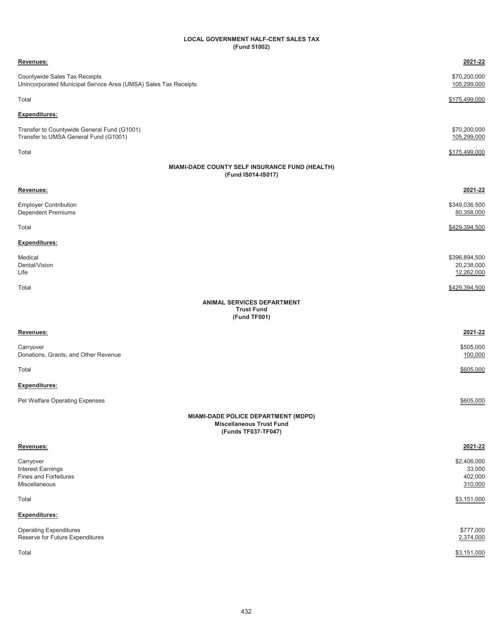### **LOCAL GOVERNMENT HALF-CENT SALES TAX (Fund 51002)**

| Revenues:                                                                                            | 2021-22                                     |
|------------------------------------------------------------------------------------------------------|---------------------------------------------|
| Countywide Sales Tax Receipts<br>Unincorporated Municipal Service Area (UMSA) Sales Tax Receipts     | \$70,200,000<br>105,299,000                 |
| Total                                                                                                | \$175,499,000                               |
| <u>Expenditures:</u>                                                                                 |                                             |
| Transfer to Countywide General Fund (G1001)<br>Transfer to UMSA General Fund (G1001)                 | \$70,200,000<br>105,299,000                 |
| Total                                                                                                | \$175,499,000                               |
| MIAMI-DADE COUNTY SELF INSURANCE FUND (HEALTH)<br>(Fund IS014-IS017)                                 |                                             |
| <u>Revenues:</u>                                                                                     | 2021-22                                     |
| <b>Employer Contribution</b><br>Dependent Premiums                                                   | \$349,036,500<br>80,358,000                 |
| Total                                                                                                | \$429,394,500                               |
| <u>Expenditures:</u>                                                                                 |                                             |
| Medical<br>Dental/Vision<br>Life                                                                     | \$396,894,500<br>20,238,000<br>12,262,000   |
| Total                                                                                                | \$429,394,500                               |
| ANIMAL SERVICES DEPARTMENT<br><b>Trust Fund</b><br>(Fund TF001)                                      |                                             |
| <u>Revenues:</u>                                                                                     | 2021-22                                     |
| Carryover<br>Donations, Grants, and Other Revenue                                                    | \$505,000<br>100,000                        |
| Total                                                                                                | \$605,000                                   |
| <u>Expenditures:</u>                                                                                 |                                             |
| Pet Welfare Operating Expenses                                                                       | \$605,000                                   |
| <b>MIAMI-DADE POLICE DEPARTMENT (MDPD)</b><br><b>Miscellaneous Trust Fund</b><br>(Funds TF037-TF047) |                                             |
| Revenues:                                                                                            | 2021-22                                     |
| Carryover<br>Interest Earnings<br><b>Fines and Forfeitures</b><br>Miscellaneous                      | \$2,406,000<br>33,000<br>402,000<br>310,000 |
| Total                                                                                                | \$3,151,000                                 |
| <b>Expenditures:</b>                                                                                 |                                             |
| <b>Operating Expenditures</b><br>Reserve for Future Expenditures                                     | \$777,000<br>2,374,000                      |
| Total                                                                                                | \$3,151,000                                 |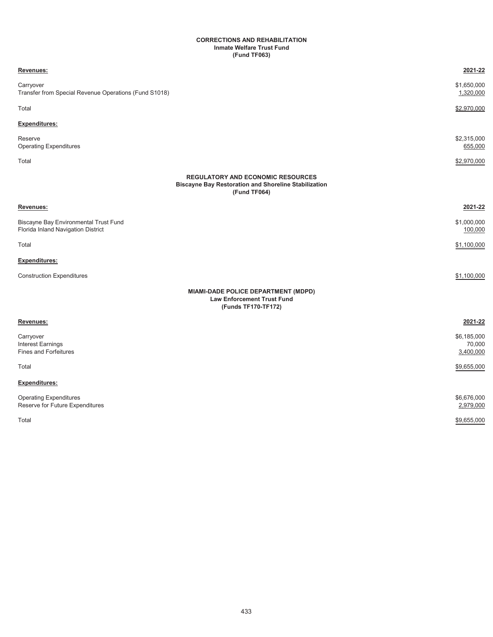#### **CORRECTIONS AND REHABILITATION Inmate Welfare Trust Fund (Fund TF063)**

| Revenues:                                                                   | 2021-22                                                                                                                 |
|-----------------------------------------------------------------------------|-------------------------------------------------------------------------------------------------------------------------|
| Carryover<br>Transfer from Special Revenue Operations (Fund S1018)          | \$1,650,000<br>1,320,000                                                                                                |
| Total                                                                       | \$2,970,000                                                                                                             |
| <b>Expenditures:</b>                                                        |                                                                                                                         |
| Reserve<br><b>Operating Expenditures</b>                                    | \$2,315,000<br>655,000                                                                                                  |
| Total                                                                       | \$2,970,000                                                                                                             |
|                                                                             | <b>REGULATORY AND ECONOMIC RESOURCES</b><br><b>Biscayne Bay Restoration and Shoreline Stabilization</b><br>(Fund TF064) |
| Revenues:                                                                   | 2021-22                                                                                                                 |
| Biscayne Bay Environmental Trust Fund<br>Florida Inland Navigation District | \$1,000,000<br>100,000                                                                                                  |
| Total                                                                       | \$1,100,000                                                                                                             |
| Expenditures:                                                               |                                                                                                                         |
| <b>Construction Expenditures</b>                                            | \$1,100,000                                                                                                             |
|                                                                             | MIAMI-DADE POLICE DEPARTMENT (MDPD)<br><b>Law Enforcement Trust Fund</b><br>(Funds TF170-TF172)                         |
| Revenues:                                                                   | 2021-22                                                                                                                 |
| Carryover<br>Interest Earnings<br><b>Fines and Forfeitures</b>              | \$6,185,000<br>70,000<br>3,400,000                                                                                      |
| Total                                                                       | \$9,655,000                                                                                                             |
| Expenditures:                                                               |                                                                                                                         |
| <b>Operating Expenditures</b><br>Reserve for Future Expenditures            | \$6,676,000<br>2,979,000                                                                                                |
| Total                                                                       | \$9,655,000                                                                                                             |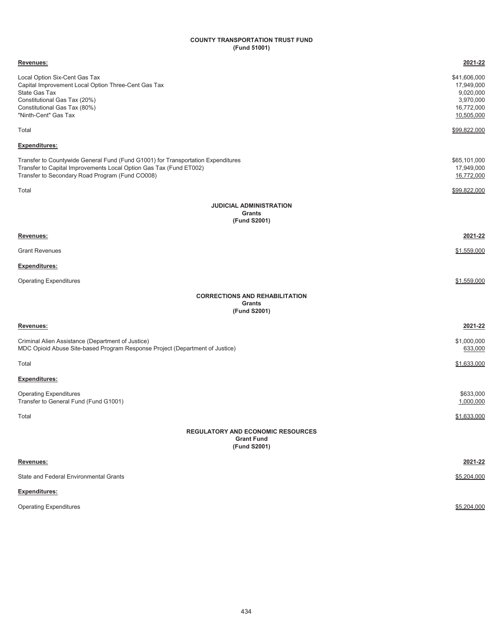# **COUNTY TRANSPORTATION TRUST FUND (Fund 51001)**

| Revenues:                                                                                                                                                                                                 | 2021-22                                                                          |
|-----------------------------------------------------------------------------------------------------------------------------------------------------------------------------------------------------------|----------------------------------------------------------------------------------|
| Local Option Six-Cent Gas Tax<br>Capital Improvement Local Option Three-Cent Gas Tax<br>State Gas Tax<br>Constitutional Gas Tax (20%)<br>Constitutional Gas Tax (80%)<br>"Ninth-Cent" Gas Tax             | \$41,606,000<br>17,949,000<br>9,020,000<br>3,970,000<br>16,772,000<br>10,505,000 |
| Total                                                                                                                                                                                                     | \$99,822,000                                                                     |
| <b>Expenditures:</b>                                                                                                                                                                                      |                                                                                  |
| Transfer to Countywide General Fund (Fund G1001) for Transportation Expenditures<br>Transfer to Capital Improvements Local Option Gas Tax (Fund ET002)<br>Transfer to Secondary Road Program (Fund CO008) | \$65,101,000<br>17,949,000<br>16,772,000                                         |
| Total                                                                                                                                                                                                     | \$99,822,000                                                                     |
| <b>JUDICIAL ADMINISTRATION</b>                                                                                                                                                                            |                                                                                  |
| Grants<br>(Fund S2001)                                                                                                                                                                                    |                                                                                  |
| Revenues:                                                                                                                                                                                                 | 2021-22                                                                          |
| <b>Grant Revenues</b>                                                                                                                                                                                     | \$1,559,000                                                                      |
| <b>Expenditures:</b>                                                                                                                                                                                      |                                                                                  |
| <b>Operating Expenditures</b>                                                                                                                                                                             | \$1,559,000                                                                      |
| <b>CORRECTIONS AND REHABILITATION</b>                                                                                                                                                                     |                                                                                  |
| Grants<br>(Fund S2001)                                                                                                                                                                                    |                                                                                  |
| Revenues:                                                                                                                                                                                                 | 2021-22                                                                          |
| Criminal Alien Assistance (Department of Justice)<br>MDC Opioid Abuse Site-based Program Response Project (Department of Justice)                                                                         | \$1,000,000<br>633,000                                                           |
| Total                                                                                                                                                                                                     | \$1,633,000                                                                      |
| <b>Expenditures:</b>                                                                                                                                                                                      |                                                                                  |
| <b>Operating Expenditures</b><br>Transfer to General Fund (Fund G1001)                                                                                                                                    | \$633,000<br>1,000,000                                                           |
| Total                                                                                                                                                                                                     | \$1,633,000                                                                      |
| <b>REGULATORY AND ECONOMIC RESOURCES</b>                                                                                                                                                                  |                                                                                  |
| <b>Grant Fund</b><br>(Fund S2001)                                                                                                                                                                         |                                                                                  |
| Revenues:                                                                                                                                                                                                 | 2021-22                                                                          |
| State and Federal Environmental Grants                                                                                                                                                                    | \$5,204,000                                                                      |
| <b>Expenditures:</b>                                                                                                                                                                                      |                                                                                  |
| <b>Operating Expenditures</b>                                                                                                                                                                             | \$5,204,000                                                                      |
|                                                                                                                                                                                                           |                                                                                  |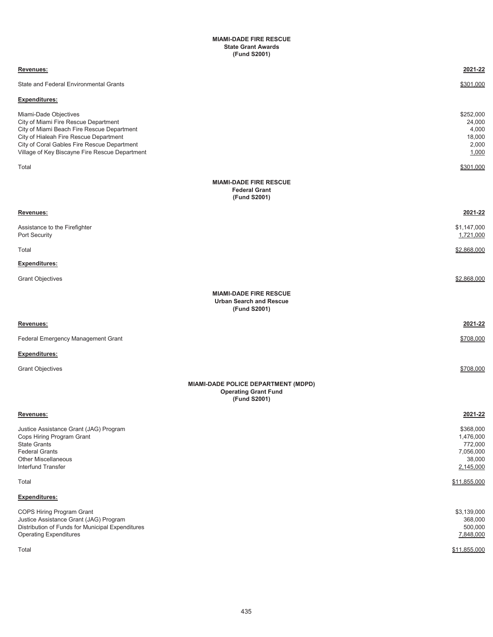#### **MIAMI-DADE FIRE RESCUE State Grant Awards (Fund S2001)**

| Revenues:                                                                                                                                                                                                                                              | 2021-22                                                               |
|--------------------------------------------------------------------------------------------------------------------------------------------------------------------------------------------------------------------------------------------------------|-----------------------------------------------------------------------|
| <b>State and Federal Environmental Grants</b>                                                                                                                                                                                                          | \$301,000                                                             |
| <b>Expenditures:</b>                                                                                                                                                                                                                                   |                                                                       |
| Miami-Dade Objectives<br>City of Miami Fire Rescue Department<br>City of Miami Beach Fire Rescue Department<br>City of Hialeah Fire Rescue Department<br>City of Coral Gables Fire Rescue Department<br>Village of Key Biscayne Fire Rescue Department | \$252,000<br>24,000<br>4,000<br>18,000<br>2,000<br>1,000              |
| Total                                                                                                                                                                                                                                                  | \$301,000                                                             |
| <b>MIAMI-DADE FIRE RESCUE</b><br><b>Federal Grant</b><br>(Fund S2001)                                                                                                                                                                                  |                                                                       |
| Revenues:                                                                                                                                                                                                                                              | 2021-22                                                               |
| Assistance to the Firefighter<br>Port Security                                                                                                                                                                                                         | \$1,147,000<br>1,721,000                                              |
| Total                                                                                                                                                                                                                                                  | \$2,868,000                                                           |
| <b>Expenditures:</b>                                                                                                                                                                                                                                   |                                                                       |
| <b>Grant Objectives</b>                                                                                                                                                                                                                                | \$2,868,000                                                           |
| <b>MIAMI-DADE FIRE RESCUE</b><br><b>Urban Search and Rescue</b><br>(Fund S2001)                                                                                                                                                                        |                                                                       |
| Revenues:                                                                                                                                                                                                                                              | 2021-22                                                               |
| Federal Emergency Management Grant                                                                                                                                                                                                                     | \$708.000                                                             |
| <b>Expenditures:</b>                                                                                                                                                                                                                                   |                                                                       |
| <b>Grant Objectives</b>                                                                                                                                                                                                                                | \$708,000                                                             |
| MIAMI-DADE POLICE DEPARTMENT (MDPD)<br><b>Operating Grant Fund</b><br>(Fund S2001)                                                                                                                                                                     |                                                                       |
| Revenues:                                                                                                                                                                                                                                              | 2021-22                                                               |
| Justice Assistance Grant (JAG) Program<br>Cops Hiring Program Grant<br><b>State Grants</b><br><b>Federal Grants</b><br><b>Other Miscellaneous</b><br><b>Interfund Transfer</b>                                                                         | \$368,000<br>1,476,000<br>772,000<br>7,056,000<br>38,000<br>2,145,000 |
| Total                                                                                                                                                                                                                                                  | \$11,855,000                                                          |
| <b>Expenditures:</b>                                                                                                                                                                                                                                   |                                                                       |
| COPS Hiring Program Grant<br>Justice Assistance Grant (JAG) Program<br>Distribution of Funds for Municipal Expenditures<br><b>Operating Expenditures</b>                                                                                               | \$3,139,000<br>368,000<br>500,000<br>7,848,000                        |
| Total                                                                                                                                                                                                                                                  | \$11,855,000                                                          |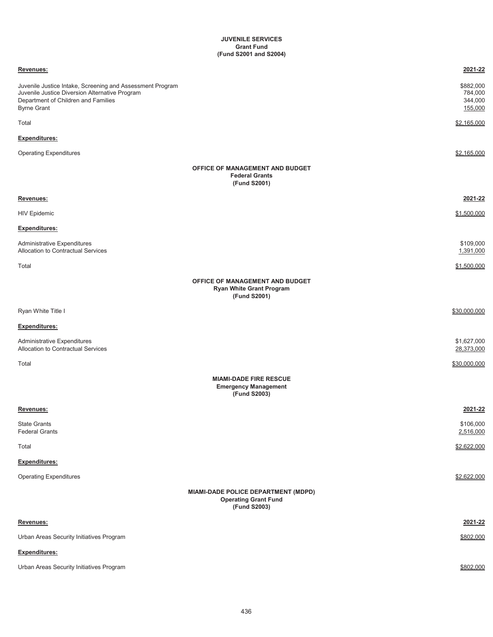## **JUVENILE SERVICES (Fund S2001 and S2004) Grant Fund**

| Revenues:                                                                                                                                                                |                                                                                    | 2021-22                                    |
|--------------------------------------------------------------------------------------------------------------------------------------------------------------------------|------------------------------------------------------------------------------------|--------------------------------------------|
| Juvenile Justice Intake, Screening and Assessment Program<br>Juvenile Justice Diversion Alternative Program<br>Department of Children and Families<br><b>Byrne Grant</b> |                                                                                    | \$882,000<br>784,000<br>344,000<br>155,000 |
| Total                                                                                                                                                                    |                                                                                    | \$2,165,000                                |
| Expenditures:                                                                                                                                                            |                                                                                    |                                            |
| <b>Operating Expenditures</b>                                                                                                                                            |                                                                                    | \$2,165,000                                |
|                                                                                                                                                                          | OFFICE OF MANAGEMENT AND BUDGET<br><b>Federal Grants</b><br>(Fund S2001)           |                                            |
| Revenues:                                                                                                                                                                |                                                                                    | <u>2021-22</u>                             |
| <b>HIV Epidemic</b>                                                                                                                                                      |                                                                                    | \$1,500,000                                |
| <b>Expenditures:</b>                                                                                                                                                     |                                                                                    |                                            |
| Administrative Expenditures<br>Allocation to Contractual Services                                                                                                        |                                                                                    | \$109,000<br>1,391,000                     |
| Total                                                                                                                                                                    |                                                                                    | \$1,500,000                                |
|                                                                                                                                                                          | OFFICE OF MANAGEMENT AND BUDGET<br><b>Ryan White Grant Program</b><br>(Fund S2001) |                                            |
| Ryan White Title I                                                                                                                                                       |                                                                                    | \$30,000,000                               |
| Expenditures:                                                                                                                                                            |                                                                                    |                                            |
| <b>Administrative Expenditures</b><br>Allocation to Contractual Services                                                                                                 |                                                                                    | \$1,627,000<br>28,373,000                  |
| Total                                                                                                                                                                    |                                                                                    | \$30,000,000                               |
|                                                                                                                                                                          | <b>MIAMI-DADE FIRE RESCUE</b><br><b>Emergency Management</b><br>(Fund S2003)       |                                            |
| Revenues:                                                                                                                                                                |                                                                                    | 2021-22                                    |
| <b>State Grants</b><br><b>Federal Grants</b>                                                                                                                             |                                                                                    | \$106,000<br>2,516,000                     |
| Total                                                                                                                                                                    |                                                                                    | \$2,622,000                                |
| Expenditures:                                                                                                                                                            |                                                                                    |                                            |
| <b>Operating Expenditures</b>                                                                                                                                            |                                                                                    | \$2,622,000                                |
|                                                                                                                                                                          | MIAMI-DADE POLICE DEPARTMENT (MDPD)<br><b>Operating Grant Fund</b><br>(Fund S2003) |                                            |
| Revenues:                                                                                                                                                                |                                                                                    | 2021-22                                    |
| Urban Areas Security Initiatives Program                                                                                                                                 |                                                                                    | \$802,000                                  |
| Expenditures:                                                                                                                                                            |                                                                                    |                                            |
| Urban Areas Security Initiatives Program                                                                                                                                 |                                                                                    | \$802,000                                  |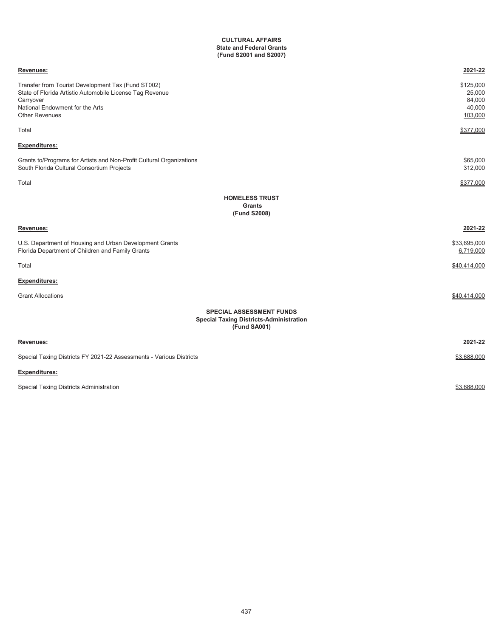#### **State and Federal Grants (Fund S2001 and S2007) CULTURAL AFFAIRS**

| Revenues:                                                                                                                                                                               | 2021-22                                            |
|-----------------------------------------------------------------------------------------------------------------------------------------------------------------------------------------|----------------------------------------------------|
| Transfer from Tourist Development Tax (Fund ST002)<br>State of Florida Artistic Automobile License Tag Revenue<br>Carryover<br>National Endowment for the Arts<br><b>Other Revenues</b> | \$125,000<br>25,000<br>84,000<br>40,000<br>103,000 |
| Total                                                                                                                                                                                   | \$377,000                                          |
| <b>Expenditures:</b>                                                                                                                                                                    |                                                    |
| Grants to/Programs for Artists and Non-Profit Cultural Organizations<br>South Florida Cultural Consortium Projects                                                                      | \$65,000<br>312,000                                |
| Total                                                                                                                                                                                   | \$377,000                                          |
| <b>HOMELESS TRUST</b><br><b>Grants</b><br>(Fund S2008)                                                                                                                                  |                                                    |
| Revenues:                                                                                                                                                                               | 2021-22                                            |
| U.S. Department of Housing and Urban Development Grants<br>Florida Department of Children and Family Grants                                                                             | \$33,695,000<br>6,719,000                          |
| Total                                                                                                                                                                                   | \$40,414,000                                       |
| <b>Expenditures:</b>                                                                                                                                                                    |                                                    |
| <b>Grant Allocations</b>                                                                                                                                                                | \$40,414,000                                       |
| <b>SPECIAL ASSESSMENT FUNDS</b><br><b>Special Taxing Districts-Administration</b><br>(Fund SA001)                                                                                       |                                                    |
| Revenues:                                                                                                                                                                               | 2021-22                                            |
| Special Taxing Districts FY 2021-22 Assessments - Various Districts                                                                                                                     | \$3,688,000                                        |
| Expenditures:                                                                                                                                                                           |                                                    |
| Special Taxing Districts Administration                                                                                                                                                 | \$3,688,000                                        |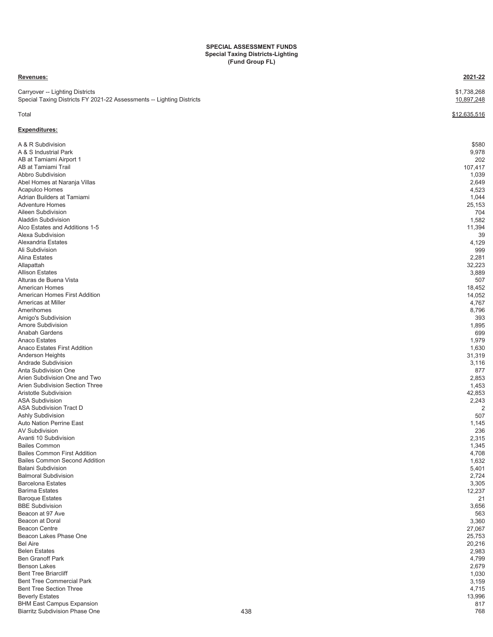#### **SPECIAL ASSESSMENT FUNDS Special Taxing Districts-Lighting (Fund Group FL)**

#### **Revenues: 2021-22**

**Expenditures:**

Carryover -- Lighting Districts \$1,738,268 Special Taxing Districts FY 2021-22 Assessments -- Lighting Districts 10,897,248

# Total  $\$12,635,516$

| A & R Subdivision                     | \$580          |
|---------------------------------------|----------------|
| A & S Industrial Park                 | 9,978          |
| AB at Tamiami Airport 1               | 202            |
| AB at Tamiami Trail                   | 107,417        |
| Abbro Subdivision                     | 1,039          |
| Abel Homes at Naranja Villas          | 2,649          |
| Acapulco Homes                        | 4,523          |
| Adrian Builders at Tamiami            | 1,044          |
| <b>Adventure Homes</b>                | 25,153         |
| Aileen Subdivision                    | 704            |
| <b>Aladdin Subdivision</b>            | 1,582          |
| Alco Estates and Additions 1-5        | 11,394         |
| Alexa Subdivision                     |                |
|                                       | 39             |
| Alexandria Estates                    | 4,129          |
| Ali Subdivision                       | 999            |
| <b>Alina Estates</b>                  | 2,281          |
| Allapattah                            | 32,223         |
| <b>Allison Estates</b>                | 3,889          |
| Alturas de Buena Vista                | 507            |
| <b>American Homes</b>                 | 18,452         |
| American Homes First Addition         | 14,052         |
| Americas at Miller                    | 4,767          |
| Amerihomes                            | 8,796          |
| Amigo's Subdivision                   | 393            |
| Amore Subdivision                     | 1,895          |
| Anabah Gardens                        | 699            |
| Anaco Estates                         | 1,979          |
| Anaco Estates First Addition          | 1,630          |
| Anderson Heights                      | 31,319         |
| Andrade Subdivision                   | 3,116          |
| Anta Subdivision One                  | 877            |
| Arien Subdivision One and Two         | 2,853          |
| Arien Subdivision Section Three       | 1,453          |
| Aristotle Subdivision                 | 42,853         |
| <b>ASA Subdivision</b>                |                |
|                                       | 2,243          |
| ASA Subdivision Tract D               | $\overline{2}$ |
| Ashly Subdivision                     | 507            |
| Auto Nation Perrine East              | 1,145          |
| <b>AV Subdivision</b>                 | 236            |
| Avanti 10 Subdivision                 | 2,315          |
| <b>Bailes Common</b>                  | 1,345          |
| <b>Bailes Common First Addition</b>   | 4,708          |
| <b>Bailes Common Second Addition</b>  | 1,632          |
| <b>Balani Subdivision</b>             | 5,401          |
| <b>Balmoral Subdivision</b>           | 2,724          |
| <b>Barcelona Estates</b>              | 3,305          |
| <b>Barima Estates</b>                 | 12,237         |
| <b>Baroque Estates</b>                | 21             |
| <b>BBE Subdivision</b>                | 3,656          |
| Beacon at 97 Ave                      | 563            |
| Beacon at Doral                       | 3,360          |
| <b>Beacon Centre</b>                  | 27,067         |
| Beacon Lakes Phase One                | 25,753         |
| <b>Bel Aire</b>                       | 20,216         |
| <b>Belen Estates</b>                  | 2,983          |
| <b>Ben Granoff Park</b>               | 4,799          |
| <b>Benson Lakes</b>                   | 2,679          |
| <b>Bent Tree Briarcliff</b>           | 1,030          |
| <b>Bent Tree Commercial Park</b>      |                |
|                                       | 3,159          |
| <b>Bent Tree Section Three</b>        | 4,715          |
| <b>Beverly Estates</b>                | 13,996         |
| <b>BHM East Campus Expansion</b>      | 817            |
| <b>Biarritz Subdivision Phase One</b> | 438<br>768     |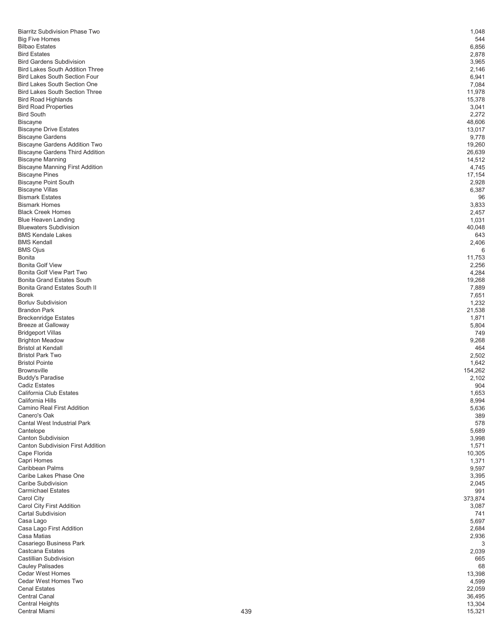| <b>Biarritz Subdivision Phase Two</b>                    |     | 1,048            |
|----------------------------------------------------------|-----|------------------|
| <b>Big Five Homes</b>                                    |     | 544              |
| <b>Bilbao Estates</b>                                    |     | 6,856            |
| <b>Bird Estates</b>                                      |     | 2,878            |
| <b>Bird Gardens Subdivision</b>                          |     | 3,965            |
| <b>Bird Lakes South Addition Three</b>                   |     | 2,146            |
| <b>Bird Lakes South Section Four</b>                     |     | 6,941            |
| <b>Bird Lakes South Section One</b>                      |     | 7,084            |
| <b>Bird Lakes South Section Three</b>                    |     | 11,978           |
| <b>Bird Road Highlands</b>                               |     | 15,378           |
| <b>Bird Road Properties</b>                              |     | 3,041            |
| <b>Bird South</b>                                        |     | 2,272            |
| <b>Biscayne</b>                                          |     | 48,606           |
| <b>Biscayne Drive Estates</b>                            |     | 13,017           |
| <b>Biscayne Gardens</b><br>Biscayne Gardens Addition Two |     | 9,778<br>19,260  |
| <b>Biscayne Gardens Third Addition</b>                   |     | 26,639           |
| <b>Biscayne Manning</b>                                  |     | 14,512           |
| <b>Biscayne Manning First Addition</b>                   |     | 4,745            |
| <b>Biscayne Pines</b>                                    |     | 17,154           |
| <b>Biscayne Point South</b>                              |     | 2,928            |
| <b>Biscayne Villas</b>                                   |     | 6,387            |
| <b>Bismark Estates</b>                                   |     | 96               |
| <b>Bismark Homes</b>                                     |     | 3,833            |
| <b>Black Creek Homes</b>                                 |     | 2,457            |
| <b>Blue Heaven Landing</b>                               |     | 1,031            |
| <b>Bluewaters Subdivision</b>                            |     | 40,048           |
| <b>BMS Kendale Lakes</b>                                 |     | 643              |
| <b>BMS Kendall</b>                                       |     | 2,406            |
| <b>BMS Ojus</b>                                          |     | 6                |
| Bonita<br><b>Bonita Golf View</b>                        |     | 11,753<br>2,256  |
| Bonita Golf View Part Two                                |     | 4,284            |
| <b>Bonita Grand Estates South</b>                        |     | 19,268           |
| Bonita Grand Estates South II                            |     | 7,889            |
| <b>Borek</b>                                             |     | 7,651            |
| <b>Borluv Subdivision</b>                                |     | 1,232            |
| <b>Brandon Park</b>                                      |     | 21,538           |
| <b>Breckenridge Estates</b>                              |     | 1,871            |
| Breeze at Galloway                                       |     | 5,804            |
| <b>Bridgeport Villas</b>                                 |     | 749              |
| <b>Brighton Meadow</b>                                   |     | 9,268            |
| <b>Bristol at Kendall</b>                                |     | 464              |
| <b>Bristol Park Two</b>                                  |     | 2,502            |
| <b>Bristol Pointe</b><br><b>Brownsville</b>              |     | 1,642<br>154,262 |
| <b>Buddy's Paradise</b>                                  |     | 2,102            |
| <b>Cadiz Estates</b>                                     |     | 904              |
| California Club Estates                                  |     | 1,653            |
| California Hills                                         |     | 8,994            |
| Camino Real First Addition                               |     | 5,636            |
| Canero's Oak                                             |     | 389              |
| Cantal West Industrial Park                              |     | 578              |
| Cantelope                                                |     | 5,689            |
| <b>Canton Subdivision</b>                                |     | 3,998            |
| <b>Canton Subdivision First Addition</b>                 |     | 1,571            |
| Cape Florida                                             |     | 10,305           |
| Capri Homes<br>Caribbean Palms                           |     | 1,371            |
| Caribe Lakes Phase One                                   |     | 9,597<br>3,395   |
| Caribe Subdivision                                       |     | 2,045            |
| <b>Carmichael Estates</b>                                |     | 991              |
| Carol City                                               |     | 373,874          |
| Carol City First Addition                                |     | 3,087            |
| Cartal Subdivision                                       |     | 741              |
| Casa Lago                                                |     | 5,697            |
| Casa Lago First Addition                                 |     | 2,684            |
| Casa Matias                                              |     | 2,936            |
| Casariego Business Park                                  |     | 3                |
| Castcana Estates                                         |     | 2,039            |
| Castillian Subdivision                                   |     | 665              |
| <b>Cauley Palisades</b><br>Cedar West Homes              |     | 68<br>13,398     |
| Cedar West Homes Two                                     |     | 4,599            |
| <b>Cenal Estates</b>                                     |     | 22,059           |
| <b>Central Canal</b>                                     |     | 36,495           |
| <b>Central Heights</b>                                   |     | 13,304           |
| Central Miami                                            | 439 | 15,321           |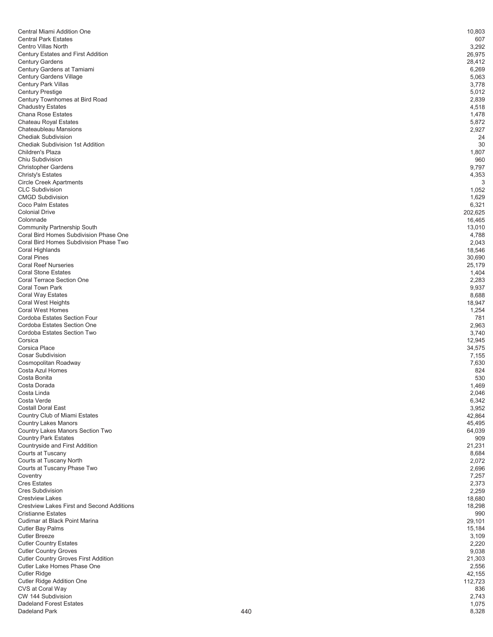| Central Miami Addition One                                                       | 10,803            |
|----------------------------------------------------------------------------------|-------------------|
| <b>Central Park Estates</b>                                                      | 607               |
| <b>Centro Villas North</b><br>Century Estates and First Addition                 | 3,292<br>26,975   |
| <b>Century Gardens</b>                                                           | 28,412            |
| Century Gardens at Tamiami                                                       | 6,269             |
| <b>Century Gardens Village</b>                                                   | 5,063             |
| Century Park Villas                                                              | 3,778             |
| <b>Century Prestige</b><br>Century Townhomes at Bird Road                        | 5,012<br>2,839    |
| <b>Chadustry Estates</b>                                                         | 4,518             |
| <b>Chana Rose Estates</b>                                                        | 1,478             |
| Chateau Royal Estates                                                            | 5,872             |
| Chateaubleau Mansions                                                            | 2,927             |
| <b>Chediak Subdivision</b><br><b>Chediak Subdivision 1st Addition</b>            | 24<br>30          |
| Children's Plaza                                                                 | 1,807             |
| Chiu Subdivision                                                                 | 960               |
| <b>Christopher Gardens</b>                                                       | 9,797             |
| <b>Christy's Estates</b>                                                         | 4,353             |
| <b>Circle Creek Apartments</b><br><b>CLC Subdivision</b>                         | 3                 |
| <b>CMGD Subdivision</b>                                                          | 1,052<br>1,629    |
| Coco Palm Estates                                                                | 6,321             |
| <b>Colonial Drive</b>                                                            | 202,625           |
| Colonnade                                                                        | 16,465            |
| <b>Community Partnership South</b>                                               | 13,010            |
| Coral Bird Homes Subdivision Phase One<br>Coral Bird Homes Subdivision Phase Two | 4,788<br>2,043    |
| Coral Highlands                                                                  | 18,546            |
| <b>Coral Pines</b>                                                               | 30,690            |
| <b>Coral Reef Nurseries</b>                                                      | 25,179            |
| <b>Coral Stone Estates</b>                                                       | 1,404             |
| <b>Coral Terrace Section One</b>                                                 | 2,283             |
| Coral Town Park<br>Coral Way Estates                                             | 9,937<br>8,688    |
| Coral West Heights                                                               | 18,947            |
| <b>Coral West Homes</b>                                                          | 1,254             |
| Cordoba Estates Section Four                                                     | 781               |
| Cordoba Estates Section One                                                      | 2,963             |
| Cordoba Estates Section Two<br>Corsica                                           | 3,740             |
| Corsica Place                                                                    | 12,945<br>34,575  |
| <b>Cosar Subdivision</b>                                                         | 7,155             |
| Cosmopolitan Roadway                                                             | 7,630             |
| Costa Azul Homes                                                                 | 824               |
| Costa Bonita                                                                     | 530               |
| Costa Dorada<br>Costa Linda                                                      | 1.469<br>2,046    |
| Costa Verde                                                                      | 6,342             |
| <b>Costall Doral East</b>                                                        | 3,952             |
| Country Club of Miami Estates                                                    | 42,864            |
| <b>Country Lakes Manors</b>                                                      | 45,495            |
| Country Lakes Manors Section Two<br><b>Country Park Estates</b>                  | 64,039<br>909     |
| Countryside and First Addition                                                   | 21,231            |
| Courts at Tuscany                                                                | 8,684             |
| Courts at Tuscany North                                                          | 2,072             |
| Courts at Tuscany Phase Two                                                      | 2,696             |
| Coventry<br><b>Cres Estates</b>                                                  | 7,257<br>2,373    |
| <b>Cres Subdivision</b>                                                          | 2,259             |
| <b>Crestview Lakes</b>                                                           | 18,680            |
| <b>Crestview Lakes First and Second Additions</b>                                | 18,298            |
| <b>Cristianne Estates</b>                                                        | 990               |
| Cudimar at Black Point Marina                                                    | 29,101            |
| <b>Cutler Bay Palms</b><br><b>Cutler Breeze</b>                                  | 15,184<br>3,109   |
| <b>Cutler Country Estates</b>                                                    | 2,220             |
| <b>Cutler Country Groves</b>                                                     | 9,038             |
| <b>Cutler Country Groves First Addition</b>                                      | 21,303            |
| Cutler Lake Homes Phase One                                                      | 2,556             |
| <b>Cutler Ridge</b><br>Cutler Ridge Addition One                                 | 42,155<br>112,723 |
| CVS at Coral Way                                                                 | 836               |
| CW 144 Subdivision                                                               | 2,743             |
| <b>Dadeland Forest Estates</b>                                                   | 1,075             |
| Dadeland Park                                                                    | 440<br>8,328      |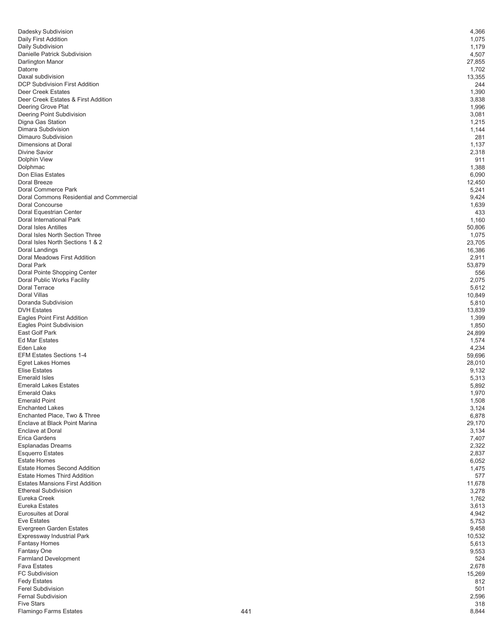| Dadesky Subdivision                                             | 4,366           |
|-----------------------------------------------------------------|-----------------|
| Daily First Addition<br>Daily Subdivision                       | 1,075<br>1,179  |
| Danielle Patrick Subdivision                                    | 4,507           |
| Darlington Manor                                                | 27,855          |
| Datorre                                                         | 1,702           |
| Daxal subdivision<br><b>DCP Subdivision First Addition</b>      | 13,355<br>244   |
| <b>Deer Creek Estates</b>                                       | 1,390           |
| Deer Creek Estates & First Addition                             | 3,838           |
| Deering Grove Plat                                              | 1,996           |
| Deering Point Subdivision<br>Digna Gas Station                  | 3,081<br>1,215  |
| Dimara Subdivision                                              | 1,144           |
| Dimauro Subdivision                                             | 281             |
| Dimensions at Doral                                             | 1,137           |
| Divine Savior<br>Dolphin View                                   | 2,318<br>911    |
| Dolphmac                                                        | 1,388           |
| Don Elias Estates                                               | 6,090           |
| Doral Breeze                                                    | 12,450          |
| Doral Commerce Park<br>Doral Commons Residential and Commercial | 5,241<br>9,424  |
| Doral Concourse                                                 | 1,639           |
| Doral Equestrian Center                                         | 433             |
| Doral International Park                                        | 1,160           |
| Doral Isles Antilles<br>Doral Isles North Section Three         | 50,806<br>1,075 |
| Doral Isles North Sections 1 & 2                                | 23,705          |
| Doral Landings                                                  | 16,386          |
| Doral Meadows First Addition                                    | 2,911           |
| Doral Park                                                      | 53,879<br>556   |
| Doral Pointe Shopping Center<br>Doral Public Works Facility     | 2,075           |
| Doral Terrace                                                   | 5,612           |
| Doral Villas                                                    | 10,849          |
| Doranda Subdivision<br><b>DVH Estates</b>                       | 5,810           |
| Eagles Point First Addition                                     | 13,839<br>1,399 |
| Eagles Point Subdivision                                        | 1,850           |
| East Golf Park                                                  | 24,899          |
| <b>Ed Mar Estates</b><br>Eden Lake                              | 1,574           |
| <b>EFM Estates Sections 1-4</b>                                 | 4,234<br>59,696 |
| Egret Lakes Homes                                               | 28,010          |
| <b>Elise Estates</b>                                            | 9,132           |
| <b>Emerald Isles</b>                                            | 5,313           |
| <b>Emerald Lakes Estates</b><br><b>Emerald Oaks</b>             | 5,892<br>1,970  |
| <b>Emerald Point</b>                                            | 1,508           |
| <b>Enchanted Lakes</b>                                          | 3,124           |
| Enchanted Place, Two & Three                                    | 6,878           |
| Enclave at Black Point Marina<br><b>Enclave at Doral</b>        | 29,170<br>3,134 |
| <b>Erica Gardens</b>                                            | 7,407           |
| Esplanadas Dreams                                               | 2,322           |
| <b>Esquerro Estates</b>                                         | 2,837           |
| <b>Estate Homes</b><br><b>Estate Homes Second Addition</b>      | 6,052<br>1,475  |
| <b>Estate Homes Third Addition</b>                              | 577             |
| <b>Estates Mansions First Addition</b>                          | 11,678          |
| <b>Ethereal Subdivision</b>                                     | 3,278           |
| Eureka Creek<br>Eureka Estates                                  | 1,762<br>3,613  |
| <b>Eurosuites at Doral</b>                                      | 4,942           |
| <b>Eve Estates</b>                                              | 5,753           |
| Evergreen Garden Estates                                        | 9,458           |
| Expressway Industrial Park<br><b>Fantasy Homes</b>              | 10,532<br>5,613 |
| Fantasy One                                                     | 9,553           |
| Farmland Development                                            | 524             |
| <b>Fava Estates</b>                                             | 2,678           |
| <b>FC Subdivision</b><br><b>Fedy Estates</b>                    | 15,269<br>812   |
| <b>Ferel Subdivision</b>                                        | 501             |
| <b>Fernal Subdivision</b>                                       | 2,596           |
| <b>Five Stars</b>                                               | 318             |
| Flamingo Farms Estates                                          | 441<br>8,844    |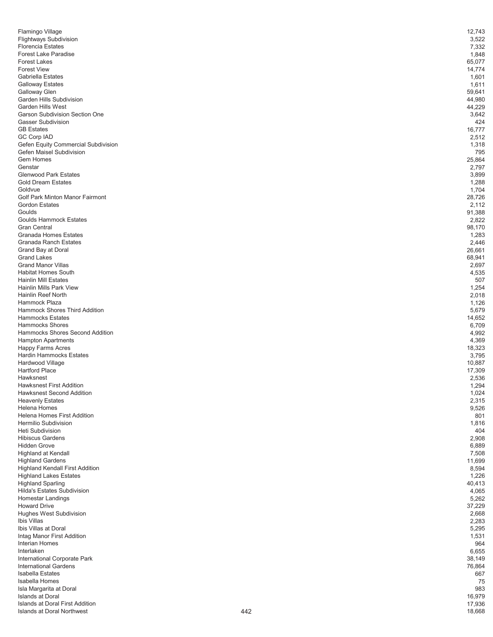| Flamingo Village                                             | 12,743           |
|--------------------------------------------------------------|------------------|
| <b>Flightways Subdivision</b><br><b>Florencia Estates</b>    | 3,522            |
| <b>Forest Lake Paradise</b>                                  | 7,332<br>1,848   |
| <b>Forest Lakes</b>                                          | 65,077           |
| <b>Forest View</b>                                           | 14,774           |
| <b>Gabriella Estates</b>                                     | 1,601            |
| <b>Galloway Estates</b><br>Galloway Glen                     | 1,611<br>59,641  |
| Garden Hills Subdivision                                     | 44,980           |
| Garden Hills West                                            | 44,229           |
| <b>Garson Subdivision Section One</b>                        | 3,642            |
| Gasser Subdivision                                           | 424              |
| <b>GB</b> Estates<br><b>GC Corp IAD</b>                      | 16,777<br>2,512  |
| Gefen Equity Commercial Subdivision                          | 1,318            |
| Gefen Maisel Subdivision                                     | 795              |
| Gem Homes                                                    | 25,864           |
| Genstar<br><b>Glenwood Park Estates</b>                      | 2,797            |
| <b>Gold Dream Estates</b>                                    | 3,899<br>1,288   |
| Goldvue                                                      | 1,704            |
| Golf Park Minton Manor Fairmont                              | 28,726           |
| <b>Gordon Estates</b>                                        | 2,112            |
| Goulds<br><b>Goulds Hammock Estates</b>                      | 91,388<br>2,822  |
| <b>Gran Central</b>                                          | 98,170           |
| <b>Granada Homes Estates</b>                                 | 1,283            |
| <b>Granada Ranch Estates</b>                                 | 2,446            |
| Grand Bay at Doral<br><b>Grand Lakes</b>                     | 26,661<br>68,941 |
| <b>Grand Manor Villas</b>                                    | 2,697            |
| <b>Habitat Homes South</b>                                   | 4,535            |
| <b>Hainlin Mill Estates</b>                                  | 507              |
| <b>Hainlin Mills Park View</b><br>Hainlin Reef North         | 1,254<br>2,018   |
| Hammock Plaza                                                | 1,126            |
| <b>Hammock Shores Third Addition</b>                         | 5,679            |
| <b>Hammocks Estates</b>                                      | 14,652           |
| <b>Hammocks Shores</b><br>Hammocks Shores Second Addition    | 6,709<br>4,992   |
| <b>Hampton Apartments</b>                                    | 4,369            |
| <b>Happy Farms Acres</b>                                     | 18,323           |
| Hardin Hammocks Estates                                      | 3,795            |
| Hardwood Village<br><b>Hartford Place</b>                    | 10,887<br>17,309 |
| Hawksnest                                                    | 2,536            |
| <b>Hawksnest First Addition</b>                              | 1,294            |
| <b>Hawksnest Second Addition</b>                             | 1,024            |
| <b>Heavenly Estates</b><br>Helena Homes                      | 2,315<br>9,526   |
| <b>Helena Homes First Addition</b>                           | 801              |
| Hermilio Subdivision                                         | 1,816            |
| <b>Heti Subdivision</b>                                      | 404              |
| <b>Hibiscus Gardens</b><br><b>Hidden Grove</b>               | 2,908<br>6,889   |
| <b>Highland at Kendall</b>                                   | 7,508            |
| <b>Highland Gardens</b>                                      | 11,699           |
| <b>Highland Kendall First Addition</b>                       | 8,594            |
| <b>Highland Lakes Estates</b><br><b>Highland Sparling</b>    | 1,226            |
| Hilda's Estates Subdivision                                  | 40,413<br>4,065  |
| <b>Homestar Landings</b>                                     | 5,262            |
| <b>Howard Drive</b>                                          | 37,229           |
| Hughes West Subdivision<br>Ibis Villas                       | 2,668            |
| Ibis Villas at Doral                                         | 2,283<br>5,295   |
| Intag Manor First Addition                                   | 1,531            |
| Interian Homes                                               | 964              |
| Interlaken                                                   | 6,655            |
| International Corporate Park<br><b>International Gardens</b> | 38,149<br>76,864 |
| <b>Isabella Estates</b>                                      | 667              |
| Isabella Homes                                               | 75               |
| Isla Margarita at Doral<br><b>Islands at Doral</b>           | 983              |
| Islands at Doral First Addition                              | 16,979<br>17,936 |
| <b>Islands at Doral Northwest</b>                            | 442<br>18,668    |
|                                                              |                  |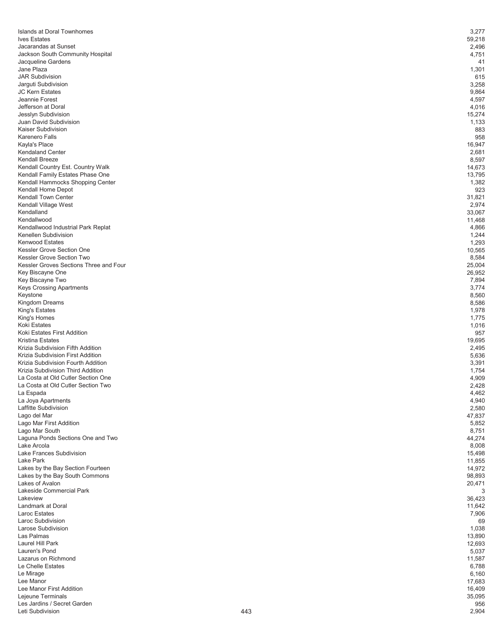| Islands at Doral Townhomes             |     | 3,277  |
|----------------------------------------|-----|--------|
| <b>Ives Estates</b>                    |     | 59,218 |
| Jacarandas at Sunset                   |     | 2,496  |
|                                        |     |        |
| Jackson South Community Hospital       |     | 4,751  |
| Jacqueline Gardens                     |     | 41     |
| Jane Plaza                             |     | 1,301  |
| <b>JAR Subdivision</b>                 |     | 615    |
|                                        |     |        |
| Jarguti Subdivision                    |     | 3,258  |
| <b>JC Kern Estates</b>                 |     | 9,864  |
| Jeannie Forest                         |     | 4,597  |
| Jefferson at Doral                     |     | 4,016  |
|                                        |     |        |
| Jesslyn Subdivision                    |     | 15,274 |
| Juan David Subdivision                 |     | 1,133  |
| Kaiser Subdivision                     |     | 883    |
| <b>Karenero Falls</b>                  |     | 958    |
|                                        |     |        |
| Kayla's Place                          |     | 16,947 |
| <b>Kendaland Center</b>                |     | 2,681  |
| <b>Kendall Breeze</b>                  |     | 8,597  |
|                                        |     |        |
| Kendall Country Est. Country Walk      |     | 14,673 |
| Kendall Family Estates Phase One       |     | 13,795 |
| Kendall Hammocks Shopping Center       |     | 1,382  |
| Kendall Home Depot                     |     | 923    |
|                                        |     |        |
| Kendall Town Center                    |     | 31,821 |
| Kendall Village West                   |     | 2,974  |
| Kendalland                             |     | 33,067 |
| Kendallwood                            |     |        |
|                                        |     | 11,468 |
| Kendallwood Industrial Park Replat     |     | 4,866  |
| Kenellen Subdivision                   |     | 1,244  |
| <b>Kenwood Estates</b>                 |     | 1,293  |
|                                        |     |        |
| Kessler Grove Section One              |     | 10,565 |
| Kessler Grove Section Two              |     | 8,584  |
| Kessler Groves Sections Three and Four |     | 25,004 |
|                                        |     |        |
| Key Biscayne One                       |     | 26,952 |
| Key Biscayne Two                       |     | 7,894  |
| Keys Crossing Apartments               |     | 3,774  |
| Keystone                               |     | 8,560  |
|                                        |     |        |
| Kingdom Dreams                         |     | 8,586  |
| King's Estates                         |     | 1,978  |
| King's Homes                           |     | 1,775  |
|                                        |     |        |
| Koki Estates                           |     | 1,016  |
| Koki Estates First Addition            |     | 957    |
| <b>Kristina Estates</b>                |     | 19,695 |
| Krizia Subdivision Fifth Addition      |     | 2,495  |
|                                        |     |        |
| Krizia Subdivision First Addition      |     | 5,636  |
| Krizia Subdivision Fourth Addition     |     | 3,391  |
| Krizia Subdivision Third Addition      |     | 1,754  |
|                                        |     |        |
| La Costa at Old Cutler Section One     |     | 4,909  |
| La Costa at Old Cutler Section Two     |     | 2,428  |
| La Espada                              |     | 4,462  |
| La Joya Apartments                     |     | 4,940  |
|                                        |     |        |
| Laffitte Subdivision                   |     | 2,580  |
| Lago del Mar                           |     | 47,837 |
| Lago Mar First Addition                |     | 5,852  |
| Lago Mar South                         |     |        |
|                                        |     | 8,751  |
| Laguna Ponds Sections One and Two      |     | 44,274 |
| Lake Arcola                            |     | 8,008  |
| Lake Frances Subdivision               |     | 15,498 |
| Lake Park                              |     |        |
|                                        |     | 11,855 |
| Lakes by the Bay Section Fourteen      |     | 14,972 |
| Lakes by the Bay South Commons         |     | 98,893 |
| Lakes of Avalon                        |     | 20,471 |
|                                        |     |        |
| Lakeside Commercial Park               |     | 3      |
| Lakeview                               |     | 36,423 |
| Landmark at Doral                      |     | 11,642 |
| <b>Laroc Estates</b>                   |     | 7,906  |
|                                        |     |        |
| Laroc Subdivision                      |     | 69     |
| Larose Subdivision                     |     | 1,038  |
| Las Palmas                             |     | 13,890 |
|                                        |     |        |
| Laurel Hill Park                       |     | 12,693 |
| Lauren's Pond                          |     | 5,037  |
| Lazarus on Richmond                    |     | 11,587 |
| Le Chelle Estates                      |     |        |
|                                        |     | 6,788  |
| Le Mirage                              |     | 6,160  |
| Lee Manor                              |     | 17,683 |
| Lee Manor First Addition               |     | 16,409 |
|                                        |     |        |
| Lejeune Terminals                      |     | 35,095 |
| Les Jardins / Secret Garden            |     | 956    |
| Leti Subdivision                       | 443 | 2,904  |
|                                        |     |        |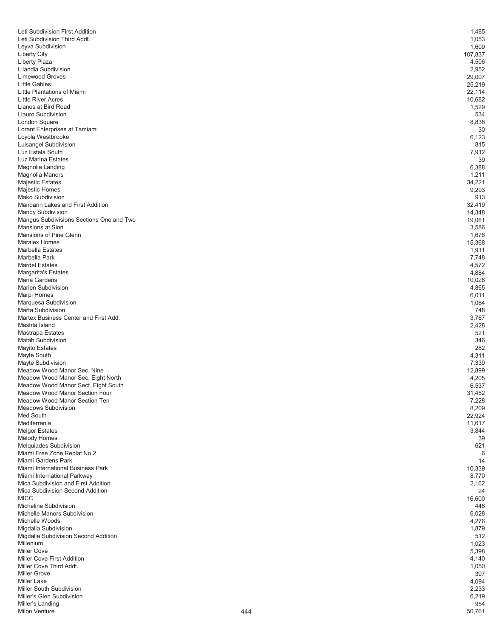| Leti Subdivision First Addition          | 1,485         |
|------------------------------------------|---------------|
| Leti Subdivision Third Addt.             | 1,053         |
| Leyva Subdivision                        | 1,609         |
| <b>Liberty City</b>                      | 107,837       |
|                                          |               |
| <b>Liberty Plaza</b>                     | 4,506         |
| Lilandia Subdivision                     | 2,952         |
| <b>Limewood Groves</b>                   | 29,007        |
| <b>Little Gables</b>                     | 25,219        |
|                                          |               |
| Little Plantations of Miami              | 22,114        |
| <b>Little River Acres</b>                | 10,682        |
| Llanos at Bird Road                      | 1,529         |
| <b>Llauro Subdivision</b>                | 534           |
|                                          |               |
| London Square                            | 8,838         |
| Lorant Enterprises at Tamiami            | 30            |
| Loyola Westbrooke                        | 6,123         |
| Luisangel Subdivision                    |               |
|                                          | 815           |
| Luz Estela South                         | 7,912         |
| Luz Marina Estates                       | 39            |
| Magnolia Landing                         | 6,388         |
|                                          |               |
| Magnolia Manors                          | 1,211         |
| <b>Majestic Estates</b>                  | 34,221        |
| Majestic Homes                           | 9,293         |
| Mako Subdivision                         | 913           |
|                                          |               |
| Mandarin Lakes and First Addition        | 32,419        |
| <b>Mandy Subdivision</b>                 | 14,348        |
| Mangus Subdivisions Sections One and Two | 19,061        |
| Mansions at Sion                         |               |
|                                          | 3,586         |
| Mansions of Pine Glenn                   | 1,676         |
| <b>Maralex Homes</b>                     | 15,368        |
| Marbella Estates                         | 1,911         |
|                                          |               |
| Marbella Park                            | 7,748         |
| <b>Mardel Estates</b>                    | 4,572         |
| <b>Margarita's Estates</b>               | 4,884         |
| Maria Gardens                            | 10,028        |
|                                          |               |
| <b>Marien Subdivision</b>                | 4,865         |
| Marpi Homes                              | 6,011         |
| Marquesa Subdivision                     | 1,084         |
| Marta Subdivision                        |               |
|                                          | 748           |
| Martex Business Center and First Add.    | 3,767         |
| Mashta Island                            | 2,428         |
| Mastrapa Estates                         | 521           |
|                                          |               |
| <b>Matah Subdivision</b>                 | 346           |
| Mayito Estates                           | 282           |
| Mayte South                              | 4,311         |
|                                          |               |
| Mayte Subdivision                        | 7,339         |
| Meadow Wood Manor Sec. Nine              | 12,899        |
| Meadow Wood Manor Sec. Eight North       | 4,205         |
| Meadow Wood Manor Sect. Eight South      | 6,537         |
|                                          |               |
| Meadow Wood Manor Section Four           | 31,452        |
| Meadow Wood Manor Section Ten            | 7,228         |
| <b>Meadows Subdivision</b>               | 8,209         |
| Med South                                | 22,924        |
|                                          |               |
| Mediterrania                             | 11,617        |
| <b>Melgor Estates</b>                    | 3,844         |
| Melody Homes                             | 39            |
| Melquiades Subdivision                   | 621           |
|                                          |               |
| Miami Free Zone Replat No 2              | 6             |
| Miami Gardens Park                       | 14            |
| Miami International Business Park        | 10,339        |
|                                          |               |
| Miami International Parkway              | 8,770         |
| Mica Subdivision and First Addition      | 2,162         |
| Mica Subdivision Second Addition         | 24            |
| <b>MICC</b>                              | 16,600        |
|                                          |               |
| Micheline Subdivision                    | 448           |
| Michelle Manors Subdivision              | 6,028         |
| Michelle Woods                           | 4,276         |
| Migdalia Subdivision                     | 1,879         |
|                                          |               |
| Migdalia Subdivision Second Addition     | 512           |
| Millenium                                | 1,023         |
| <b>Miller Cove</b>                       | 5,398         |
| Miller Cove First Addition               |               |
|                                          | 4,140         |
| Miller Cove Third Addt.                  | 1,050         |
| <b>Miller Grove</b>                      | 397           |
| Miller Lake                              | 4,094         |
|                                          |               |
| Miller South Subdivision                 | 2,233         |
| Miller's Glen Subdivision                | 6,219         |
| Miller's Landing                         | 954           |
| <b>Milon Venture</b>                     | 444<br>50,761 |
|                                          |               |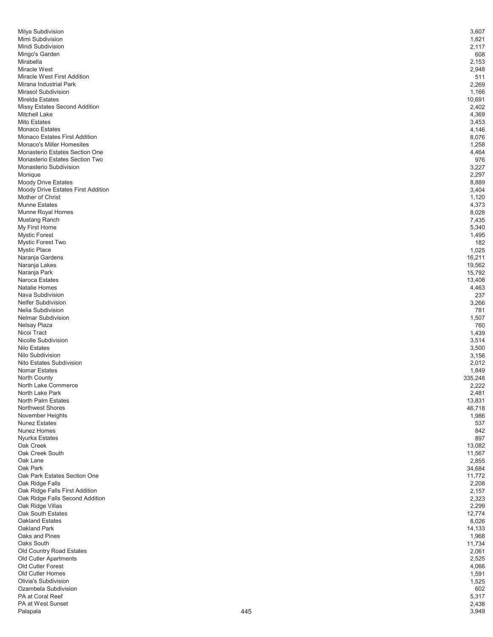| Milya Subdivision                                 | 3,607                 |
|---------------------------------------------------|-----------------------|
| Mimi Subdivision                                  | 1,821                 |
| Mindi Subdivision                                 | 2,117                 |
| Mingo's Garden                                    | 608                   |
| Mirabella                                         | 2,153                 |
| Miracle West                                      | 2,948                 |
| Miracle West First Addition                       | 511                   |
| Mirana Industrial Park                            | 2,269                 |
| <b>Mirasol Subdivision</b>                        | 1,166                 |
| Mirelda Estates<br>Missy Estates Second Addition  | 10,691<br>2,402       |
| <b>Mitchell Lake</b>                              | 4,369                 |
| <b>Mito Estates</b>                               | 3,453                 |
| Monaco Estates                                    | 4,146                 |
| <b>Monaco Estates First Addition</b>              | 8,076                 |
| Monaco's Miller Homesites                         | 1,258                 |
| Monasterio Estates Section One                    | 4,464                 |
| Monasterio Estates Section Two                    | 976                   |
| Monasterio Subdivision                            | 3,227                 |
| Monique                                           | 2,297                 |
| <b>Moody Drive Estates</b>                        | 8,889                 |
| Moody Drive Estates First Addition                | 3,404                 |
| Mother of Christ                                  | 1,120                 |
| <b>Munne Estates</b>                              | 4,373                 |
| Munne Royal Homes<br>Mustang Ranch                | 8,028<br>7,435        |
| My First Home                                     | 5,340                 |
| <b>Mystic Forest</b>                              | 1,495                 |
| Mystic Forest Two                                 | 182                   |
| <b>Mystic Place</b>                               | 1,025                 |
| Naranja Gardens                                   | 16,211                |
| Naranja Lakes                                     | 19,562                |
| Naranja Park                                      | 15,792                |
| Naroca Estates                                    | 13,408                |
| Natalie Homes                                     | 4,463                 |
| Nava Subdivision                                  | 237                   |
| <b>Nelfer Subdivision</b>                         | 3,266                 |
| Nelia Subdivision                                 | 781                   |
| <b>Nelmar Subdivision</b>                         | 1,507                 |
| Nelsay Plaza                                      | 760                   |
| Nicoi Tract<br>Nicolle Subdivision                | 1,439                 |
| <b>Nilo Estates</b>                               | 3,514<br>3,500        |
| Nilo Subdivision                                  | 3,156                 |
| Nito Estates Subdivision                          | 2,012                 |
| <b>Nomar Estates</b>                              | 1,849                 |
| <b>North County</b>                               | 335,248               |
| North Lake Commerce                               | 2,222                 |
| North Lake Park                                   | 2,481                 |
| <b>North Palm Estates</b>                         | 13,831                |
| <b>Northwest Shores</b>                           | 46,718                |
| November Heights                                  | 1,986                 |
| <b>Nunez Estates</b>                              | 537                   |
| Nunez Homes                                       | 842                   |
| Nyurka Estates                                    | 897<br>13,082         |
| Oak Creek<br>Oak Creek South                      | 11,567                |
| Oak Lane                                          | 2,855                 |
| Oak Park                                          | 34,684                |
| Oak Park Estates Section One                      | 11,772                |
| Oak Ridge Falls                                   | 2,208                 |
| Oak Ridge Falls First Addition                    | 2,157                 |
| Oak Ridge Falls Second Addition                   | 2,323                 |
| Oak Ridge Villas                                  | 2,299                 |
| Oak South Estates                                 | 12,774                |
| <b>Oakland Estates</b>                            | 8,026                 |
| Oakland Park                                      | 14,133                |
| Oaks and Pines                                    | 1,968                 |
| Oaks South                                        | 11,734                |
| Old Country Road Estates<br>Old Cutler Apartments | 2,061<br>2,525        |
| Old Cutler Forest                                 | 4,066                 |
| Old Cutler Homes                                  | 1,591                 |
| Olivia's Subdivision                              | 1,525                 |
| Ozambela Subdivision                              | 602                   |
| PA at Coral Reef                                  | 5,317                 |
| PA at West Sunset                                 |                       |
| Palapala                                          | 2,438<br>445<br>3,949 |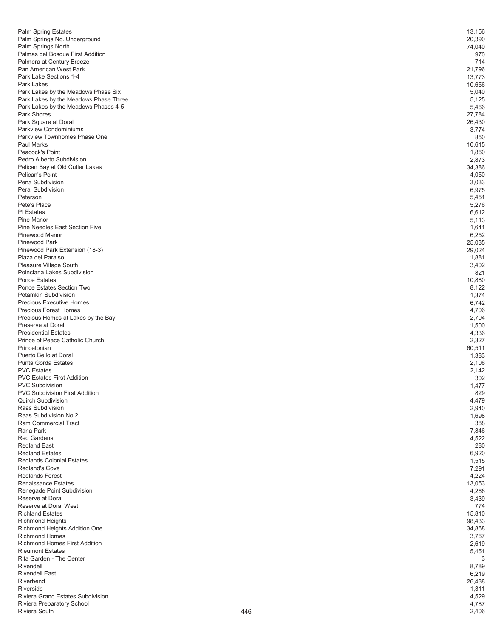| <b>Palm Spring Estates</b>                                                    | 13,156                |
|-------------------------------------------------------------------------------|-----------------------|
| Palm Springs No. Underground                                                  | 20,390                |
| Palm Springs North<br>Palmas del Bosque First Addition                        | 74,040<br>970         |
| Palmera at Century Breeze                                                     | 714                   |
| Pan American West Park                                                        | 21,796                |
| Park Lake Sections 1-4                                                        | 13,773                |
| Park Lakes                                                                    | 10,656                |
| Park Lakes by the Meadows Phase Six                                           | 5,040                 |
| Park Lakes by the Meadows Phase Three<br>Park Lakes by the Meadows Phases 4-5 | 5,125<br>5,466        |
| Park Shores                                                                   | 27,784                |
| Park Square at Doral                                                          | 26,430                |
| Parkview Condominiums                                                         | 3,774                 |
| Parkview Townhomes Phase One                                                  | 850                   |
| <b>Paul Marks</b>                                                             | 10,615                |
| Peacock's Point                                                               | 1,860                 |
| Pedro Alberto Subdivision<br>Pelican Bay at Old Cutler Lakes                  | 2,873<br>34,386       |
| Pelican's Point                                                               | 4,050                 |
| Pena Subdivision                                                              | 3,033                 |
| <b>Peral Subdivision</b>                                                      | 6,975                 |
| Peterson                                                                      | 5,451                 |
| Pete's Place                                                                  | 5,276                 |
| <b>PI</b> Estates                                                             | 6,612                 |
| Pine Manor<br><b>Pine Needles East Section Five</b>                           | 5,113<br>1,641        |
| <b>Pinewood Manor</b>                                                         | 6,252                 |
| Pinewood Park                                                                 | 25,035                |
| Pinewood Park Extension (18-3)                                                | 29,024                |
| Plaza del Paraiso                                                             | 1,881                 |
| Pleasure Village South                                                        | 3,402                 |
| Poinciana Lakes Subdivision                                                   | 821                   |
| <b>Ponce Estates</b><br>Ponce Estates Section Two                             | 10,880                |
| Potamkin Subdivision                                                          | 8,122<br>1,374        |
| Precious Executive Homes                                                      | 6,742                 |
| <b>Precious Forest Homes</b>                                                  | 4,706                 |
| Precious Homes at Lakes by the Bay                                            | 2,704                 |
| Preserve at Doral                                                             | 1,500                 |
| <b>Presidential Estates</b><br>Prince of Peace Catholic Church                | 4,336                 |
| Princetonian                                                                  | 2,327<br>60,511       |
| Puerto Bello at Doral                                                         | 1,383                 |
| <b>Punta Gorda Estates</b>                                                    | 2,106                 |
| <b>PVC Estates</b>                                                            | 2,142                 |
| <b>PVC Estates First Addition</b>                                             | 302                   |
| <b>PVC Subdivision</b><br><b>PVC Subdivision First Addition</b>               | 1,477<br>829          |
| <b>Quirch Subdivision</b>                                                     | 4,479                 |
| Raas Subdivision                                                              | 2,940                 |
| Raas Subdivision No 2                                                         | 1,698                 |
| Ram Commercial Tract                                                          | 388                   |
| Rana Park                                                                     | 7,846                 |
| <b>Red Gardens</b>                                                            | 4,522                 |
| <b>Redland East</b><br><b>Redland Estates</b>                                 | 280<br>6,920          |
| <b>Redlands Colonial Estates</b>                                              | 1,515                 |
| <b>Redland's Cove</b>                                                         | 7,291                 |
| <b>Redlands Forest</b>                                                        | 4,224                 |
| <b>Renaissance Estates</b>                                                    | 13,053                |
| Renegade Point Subdivision                                                    | 4,266                 |
| Reserve at Doral<br>Reserve at Doral West                                     | 3,439                 |
| <b>Richland Estates</b>                                                       | 774<br>15,810         |
| <b>Richmond Heights</b>                                                       | 98,433                |
| Richmond Heights Addition One                                                 | 34,868                |
| <b>Richmond Homes</b>                                                         | 3,767                 |
| <b>Richmond Homes First Addition</b>                                          | 2,619                 |
| <b>Rieumont Estates</b>                                                       | 5,451                 |
| Rita Garden - The Center<br>Rivendell                                         | 3                     |
| <b>Rivendell East</b>                                                         | 8,789<br>6,219        |
| Riverbend                                                                     | 26,438                |
| Riverside                                                                     | 1,311                 |
| Riviera Grand Estates Subdivision                                             |                       |
|                                                                               | 4,529                 |
| Riviera Preparatory School<br>Riviera South                                   | 4,787<br>446<br>2,406 |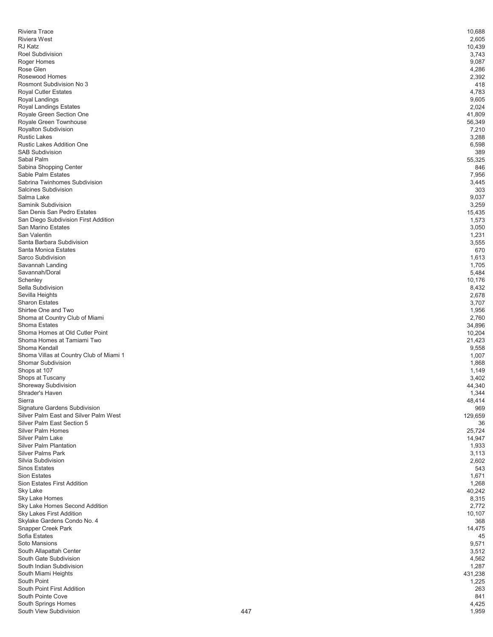| 10,688         |
|----------------|
| 2,605          |
| 10,439         |
| 3,743          |
| 9,087          |
| 4,286          |
| 2,392          |
| 418            |
| 4,783          |
| 9,605          |
| 2,024          |
| 41,809         |
| 56,349         |
| 7,210<br>3,288 |
| 6,598          |
| 389            |
| 55,325         |
| 846            |
| 7,956          |
| 3,445          |
| 303            |
| 9,037          |
| 3,259          |
| 15,435         |
| 1,573          |
| 3,050          |
| 1,231          |
| 3,555          |
| 670            |
| 1,613<br>1,705 |
| 5,484          |
| 10,176         |
| 8,432          |
| 2,678          |
| 3,707          |
| 1,956          |
| 2,760          |
| 34,896         |
| 10,204         |
| 21,423         |
| 9,558          |
| 1,007          |
| 1,868<br>1,149 |
| 3,402          |
| 44,340         |
| 1,344          |
| 48,414         |
| 969            |
| 129,659        |
| 36             |
| 25,724         |
| 14,947         |
| 1,933          |
| 3,113          |
| 2,602          |
| 543<br>1,671   |
| 1,268          |
| 40,242         |
| 8,315          |
| 2,772          |
| 10,107         |
| 368            |
| 14,475         |
| 45             |
| 9,571          |
| 3,512          |
| 4,562          |
| 1,287          |
|                |
| 431,238        |
| 1,225          |
| 263<br>841     |
| 4,425          |
|                |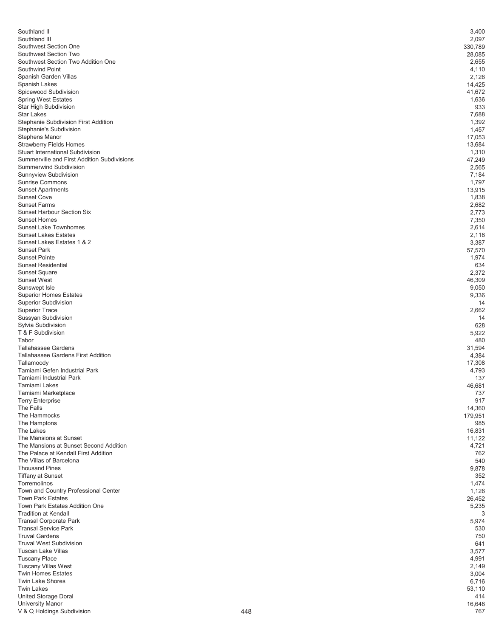| Southland II                                                          | 3,400             |
|-----------------------------------------------------------------------|-------------------|
| Southland III                                                         | 2,097             |
| Southwest Section One<br>Southwest Section Two                        | 330,789<br>28,085 |
| Southwest Section Two Addition One                                    | 2,655             |
| Southwind Point                                                       | 4,110             |
| Spanish Garden Villas                                                 | 2,126             |
| Spanish Lakes                                                         | 14,425            |
| Spicewood Subdivision                                                 | 41,672            |
| <b>Spring West Estates</b><br><b>Star High Subdivision</b>            | 1,636<br>933      |
| <b>Star Lakes</b>                                                     | 7,688             |
| Stephanie Subdivision First Addition                                  | 1,392             |
| Stephanie's Subdivision                                               | 1,457             |
| <b>Stephens Manor</b>                                                 | 17,053            |
| <b>Strawberry Fields Homes</b>                                        | 13,684            |
| <b>Stuart International Subdivision</b>                               | 1,310             |
| Summerville and First Addition Subdivisions<br>Summerwind Subdivision | 47,249<br>2,565   |
| Sunnyview Subdivision                                                 | 7,184             |
| <b>Sunrise Commons</b>                                                | 1,797             |
| <b>Sunset Apartments</b>                                              | 13,915            |
| <b>Sunset Cove</b>                                                    | 1,838             |
| <b>Sunset Farms</b>                                                   | 2,682             |
| <b>Sunset Harbour Section Six</b>                                     | 2,773             |
| <b>Sunset Homes</b><br><b>Sunset Lake Townhomes</b>                   | 7,350             |
| <b>Sunset Lakes Estates</b>                                           | 2,614<br>2,118    |
| Sunset Lakes Estates 1 & 2                                            | 3,387             |
| <b>Sunset Park</b>                                                    | 57,570            |
| <b>Sunset Pointe</b>                                                  | 1,974             |
| <b>Sunset Residential</b>                                             | 634               |
| <b>Sunset Square</b>                                                  | 2,372             |
| <b>Sunset West</b>                                                    | 46,309            |
| Sunswept Isle                                                         | 9,050             |
| <b>Superior Homes Estates</b><br><b>Superior Subdivision</b>          | 9,336<br>14       |
| <b>Superior Trace</b>                                                 | 2,662             |
| Sussyan Subdivision                                                   | 14                |
| Sylvia Subdivision                                                    | 628               |
| T & F Subdivision                                                     | 5,922             |
| Tabor                                                                 | 480               |
| <b>Tallahassee Gardens</b>                                            | 31,594            |
| <b>Tallahassee Gardens First Addition</b>                             | 4,384             |
| Tallamoody<br>Tamiami Gefen Industrial Park                           | 17,308<br>4,793   |
| <b>Tamiami Industrial Park</b>                                        | 137               |
| Tamiami Lakes                                                         | 46,681            |
| Tamiami Marketplace                                                   | 737               |
| <b>Terry Enterprise</b>                                               | 917               |
| The Falls                                                             | 14,360            |
| The Hammocks                                                          | 179,951           |
| The Hamptons<br>The Lakes                                             | 985<br>16,831     |
| The Mansions at Sunset                                                | 11,122            |
| The Mansions at Sunset Second Addition                                | 4,721             |
| The Palace at Kendall First Addition                                  | 762               |
| The Villas of Barcelona                                               | 540               |
| <b>Thousand Pines</b>                                                 | 9,878             |
| <b>Tiffany at Sunset</b>                                              | 352               |
| Torremolinos<br>Town and Country Professional Center                  | 1,474             |
| <b>Town Park Estates</b>                                              | 1,126<br>26,452   |
| <b>Town Park Estates Addition One</b>                                 | 5,235             |
| <b>Tradition at Kendall</b>                                           | 3                 |
| <b>Transal Corporate Park</b>                                         | 5,974             |
| <b>Transal Service Park</b>                                           | 530               |
| <b>Truval Gardens</b>                                                 | 750               |
| <b>Truval West Subdivision</b>                                        | 641               |
| <b>Tuscan Lake Villas</b><br><b>Tuscany Place</b>                     | 3,577             |
| <b>Tuscany Villas West</b>                                            | 4,991<br>2,149    |
| <b>Twin Homes Estates</b>                                             | 3,004             |
| Twin Lake Shores                                                      | 6,716             |
| <b>Twin Lakes</b>                                                     | 53,110            |
| <b>United Storage Doral</b>                                           | 414               |
| <b>University Manor</b>                                               | 16,648            |
| V & Q Holdings Subdivision                                            | 448<br>767        |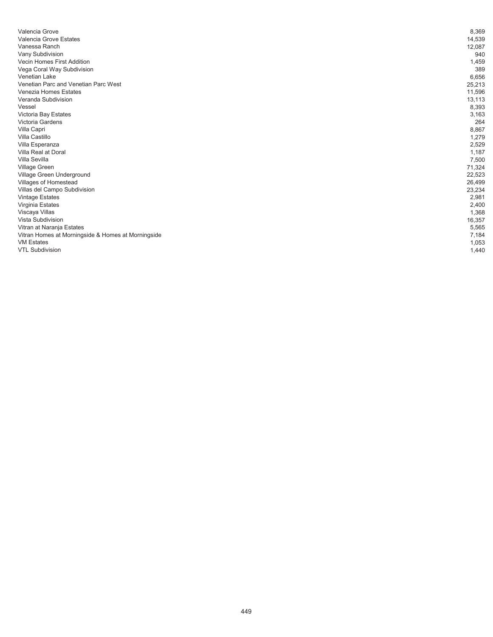| Valencia Grove                                     | 8,369  |
|----------------------------------------------------|--------|
| Valencia Grove Estates                             | 14,539 |
| Vanessa Ranch                                      | 12,087 |
| Vany Subdivision                                   | 940    |
| <b>Vecin Homes First Addition</b>                  | 1,459  |
| Vega Coral Way Subdivision                         | 389    |
| Venetian Lake                                      | 6,656  |
| Venetian Parc and Venetian Parc West               | 25,213 |
| Venezia Homes Estates                              | 11,596 |
| Veranda Subdivision                                | 13,113 |
| Vessel                                             | 8,393  |
| Victoria Bay Estates                               | 3,163  |
| Victoria Gardens                                   | 264    |
| Villa Capri                                        | 8,867  |
| Villa Castillo                                     | 1,279  |
| Villa Esperanza                                    | 2,529  |
| Villa Real at Doral                                | 1,187  |
| Villa Sevilla                                      | 7,500  |
| Village Green                                      | 71,324 |
| Village Green Underground                          | 22,523 |
| Villages of Homestead                              | 26,499 |
| Villas del Campo Subdivision                       | 23,234 |
| <b>Vintage Estates</b>                             | 2,981  |
| Virginia Estates                                   | 2,400  |
| Viscaya Villas                                     | 1,368  |
| Vista Subdivision                                  | 16,357 |
| Vitran at Naranja Estates                          | 5,565  |
| Vitran Homes at Morningside & Homes at Morningside | 7,184  |
| <b>VM Estates</b>                                  | 1,053  |
| <b>VTL Subdivision</b>                             | 1,440  |
|                                                    |        |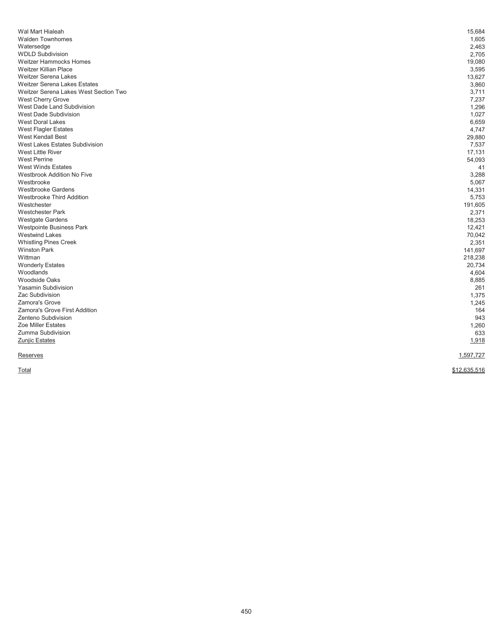| Wal Mart Hialeah<br><b>Walden Townhomes</b> | 15,684<br>1,605 |
|---------------------------------------------|-----------------|
| Watersedge                                  | 2,463           |
| <b>WDLD Subdivision</b>                     | 2,705           |
| <b>Weitzer Hammocks Homes</b>               | 19,080          |
| <b>Weitzer Killian Place</b>                | 3,595           |
| Weitzer Serena Lakes                        | 13,627          |
| <b>Weitzer Serena Lakes Estates</b>         | 3,860           |
| Weitzer Serena Lakes West Section Two       | 3,711           |
| West Cherry Grove                           | 7,237           |
| West Dade Land Subdivision                  | 1,296           |
| West Dade Subdivision                       | 1,027           |
| <b>West Doral Lakes</b>                     | 6,659           |
| West Flagler Estates                        | 4,747           |
| West Kendall Best                           | 29,880          |
| <b>West Lakes Estates Subdivision</b>       | 7,537           |
| <b>West Little River</b>                    | 17,131          |
| <b>West Perrine</b>                         | 54,093          |
| <b>West Winds Estates</b>                   | 41              |
| <b>Westbrook Addition No Five</b>           | 3,288           |
| Westbrooke                                  | 5,067           |
| <b>Westbrooke Gardens</b>                   | 14,331          |
| <b>Westbrooke Third Addition</b>            | 5,753           |
| Westchester                                 | 191,605         |
| <b>Westchester Park</b>                     | 2,371           |
| Westgate Gardens                            | 18,253          |
| Westpointe Business Park                    | 12,421          |
| <b>Westwind Lakes</b>                       | 70,042          |
| <b>Whistling Pines Creek</b>                | 2,351           |
| <b>Winston Park</b>                         | 141,697         |
| Wittman                                     | 218,238         |
| <b>Wonderly Estates</b>                     | 20,734          |
| Woodlands                                   | 4,604           |
| <b>Woodside Oaks</b>                        | 8,885           |
| <b>Yasamin Subdivision</b>                  | 261             |
| Zac Subdivision                             | 1,375           |
| <b>Zamora's Grove</b>                       | 1,245           |
| Zamora's Grove First Addition               | 164             |
| Zenteno Subdivision                         | 943             |
| Zoe Miller Estates                          | 1,260           |
| Zumma Subdivision                           | 633             |
| Zunjic Estates                              | 1,918           |
| Reserves                                    | 1,597,727       |
| Total                                       | \$12,635,516    |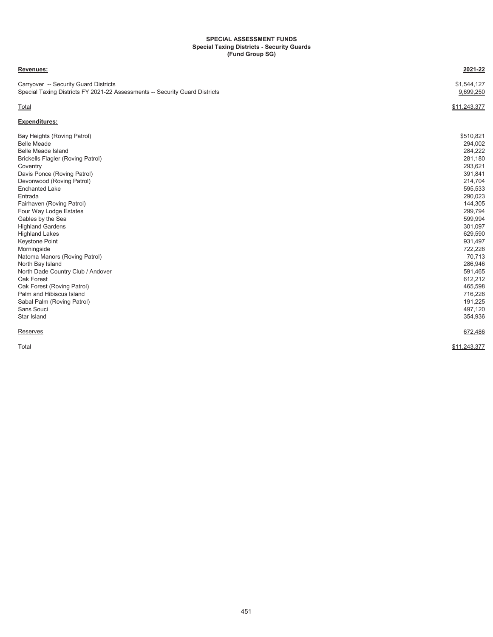#### **SPECIAL ASSESSMENT FUNDS Special Taxing Districts - Security Guards (Fund Group SG)**

| Revenues:                                                                                                            | 2021-22                  |
|----------------------------------------------------------------------------------------------------------------------|--------------------------|
| Carryover -- Security Guard Districts<br>Special Taxing Districts FY 2021-22 Assessments -- Security Guard Districts | \$1,544,127<br>9,699,250 |
| Total                                                                                                                | \$11.243.377             |
| <b>Expenditures:</b>                                                                                                 |                          |
| Bay Heights (Roving Patrol)                                                                                          | \$510,821                |
| <b>Belle Meade</b>                                                                                                   | 294,002                  |
| <b>Belle Meade Island</b>                                                                                            | 284,222                  |
| <b>Brickells Flagler (Roving Patrol)</b>                                                                             | 281,180                  |
| Coventry                                                                                                             | 293,621                  |
| Davis Ponce (Roving Patrol)                                                                                          | 391,841                  |
| Devonwood (Roving Patrol)                                                                                            | 214,704                  |
| <b>Enchanted Lake</b>                                                                                                | 595,533                  |
| Entrada                                                                                                              | 290,023                  |
| Fairhaven (Roving Patrol)                                                                                            | 144,305                  |
| Four Way Lodge Estates                                                                                               | 299,794                  |
| Gables by the Sea                                                                                                    | 599,994                  |
| <b>Highland Gardens</b>                                                                                              | 301,097                  |
| <b>Highland Lakes</b>                                                                                                | 629,590                  |
| Keystone Point                                                                                                       | 931,497                  |
| Morningside                                                                                                          | 722,226                  |
| Natoma Manors (Roving Patrol)                                                                                        | 70,713                   |
| North Bay Island                                                                                                     | 286,946                  |
| North Dade Country Club / Andover                                                                                    | 591,465                  |
| Oak Forest                                                                                                           | 612,212                  |
| Oak Forest (Roving Patrol)                                                                                           | 465,598                  |
| Palm and Hibiscus Island                                                                                             | 716,226                  |
| Sabal Palm (Roving Patrol)                                                                                           | 191,225                  |
| Sans Souci                                                                                                           | 497,120                  |
| Star Island                                                                                                          | 354,936                  |
| Reserves                                                                                                             | 672,486                  |
| Total                                                                                                                | \$11,243,377             |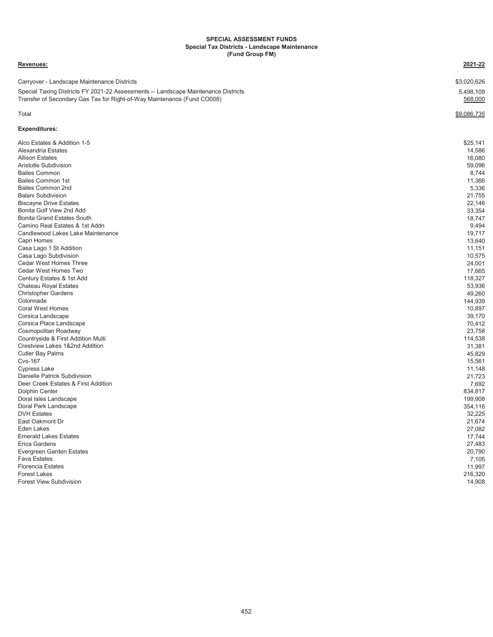#### **SPECIAL ASSESSMENT FUNDS Special Tax Districts - Landscape Maintenance (Fund Group FM)**

**Revenues: 2021-22**

### Carryover - Landscape Maintenance Districts \$3,020,626 Special Taxing Districts FY 2021-22 Assessments -- Landscape Maintenance Districts 5,498,109 Transfer of Secondary Gas Tax for Right-of-Way Maintenance (Fund CO008) **568,000 568,000**  $\texttt{Total} \quad \texttt{\quad} \quad \texttt{\quad} \quad \texttt{\quad} \quad \texttt{\quad} \quad \texttt{\quad} \quad \texttt{\quad} \quad \texttt{\quad} \quad \texttt{\quad} \quad \texttt{\quad} \quad \texttt{\quad} \quad \texttt{\quad} \quad \texttt{\quad} \quad \texttt{\quad} \quad \texttt{\quad} \quad \texttt{\quad} \quad \texttt{\quad} \quad \texttt{\quad} \quad \texttt{\quad} \quad \texttt{\quad} \quad \texttt{\quad} \quad \texttt{\quad} \quad \texttt{\quad} \quad \texttt{\quad} \quad \texttt{\quad} \quad \texttt{\quad} \quad \texttt{\quad} \quad \texttt{\$ **Expenditures:** Alco Estates & Addition 1-5 \$25,141 Alexandria Estates 14,586 Allison Estates 16,080 Aristotle Subdivision 59,096 Bailes Common 8,744 Bailes Common 1st 11,366 Bailes Common 2nd 5,336 Balani Subdivision 21,755 Biscayne Drive Estates 22,146<br>Bonita Golf View 2nd Add 33.354 Bonita Golf View 2nd Add Bonita Grand Estates South 18,747<br>Camino Real Estates & 1st Addn 39,494 Camino Real Estates & 1st Addn Candlewood Lakes Lake Maintenance 19,717<br>Capri Homes 19,717 Capri Homes 13,640 Casa Lago 1 St Addition 11,151 Casa Lago Subdivision 10,575 Cedar West Homes Three 24,001 Cedar West Homes Two 17,665 Century Estates & 1st Add Chateau Royal Estates 53,936 Christopher Gardens Colonnade 144,939 Coral West Homes 10,897 Corsica Landscape 39,170 Corsica Place Landscape 70,412 Cosmopolitan Roadway Countryside & First Addition Multi 114,538 Crestview Lakes 1&2nd Addition 31,381 Cutler Bay Palms 45,829 Cvs-167 15,561 Cypress Lake 11,148 Danielle Patrick Subdivision 21,723 Deer Creek Estates & First Addition 7,692 Dolphin Center 834,817 Doral Isles Landscape 199,908 (199,908 of the control of the control of the control of the control of the control of the control of the control of the control of the control of the control of the control of the control of Doral Park Landscape DVH Estates 32,225 East Oakmont Dr 21,674 Eden Lakes 27,082 Emerald Lakes Estates 17,744<br>Erica Gardens 17,744<br>27.483 Erica Gardens 27,483 Evergreen Garden Estates 20,790 Fava Estates 7,105 Florencia Estates 11,997 Forest Lakes 216,320 Forest View Subdivision 14,908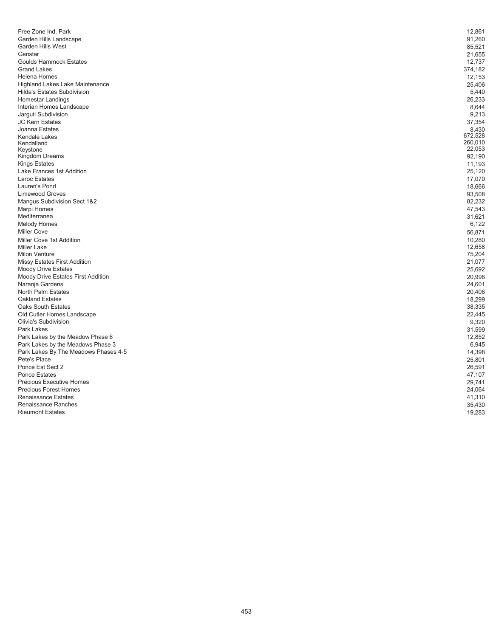| Free Zone Ind. Park                                  | 12,861  |
|------------------------------------------------------|---------|
| Garden Hills Landscape                               | 91,260  |
| <b>Garden Hills West</b>                             | 85,521  |
| Genstar                                              | 21,655  |
| <b>Goulds Hammock Estates</b>                        | 12,737  |
| <b>Grand Lakes</b>                                   | 374,182 |
| <b>Helena Homes</b>                                  | 12,153  |
| <b>Highland Lakes Lake Maintenance</b>               | 25,406  |
| <b>Hilda's Estates Subdivision</b>                   | 5,440   |
| Homestar Landings                                    | 26,233  |
| Interian Homes Landscape                             | 8,644   |
| Jarguti Subdivision                                  | 9,213   |
| <b>JC Kern Estates</b>                               | 37,354  |
| Joanna Estates                                       | 8,430   |
| Kendale Lakes                                        | 672,528 |
| Kendalland                                           | 260,010 |
| Keystone                                             | 22,053  |
| Kingdom Dreams                                       | 92,190  |
| Kings Estates                                        | 11,193  |
| Lake Frances 1st Addition                            | 25,120  |
| <b>Laroc Estates</b>                                 | 17,070  |
| Lauren's Pond                                        | 18,666  |
| <b>Limewood Groves</b>                               | 93,508  |
| Mangus Subdivision Sect 1&2                          | 82,232  |
| Marpi Homes                                          | 47,543  |
| Mediterranea                                         | 31,621  |
| <b>Melody Homes</b>                                  | 6,122   |
| <b>Miller Cove</b>                                   | 56,871  |
| Miller Cove 1st Addition                             | 10,280  |
| <b>Miller Lake</b>                                   | 12,658  |
| <b>Milon Venture</b>                                 | 75,204  |
| Missy Estates First Addition                         | 21,077  |
| <b>Moody Drive Estates</b>                           | 25,692  |
| Moody Drive Estates First Addition                   | 20,996  |
| Naranja Gardens                                      | 24,601  |
| North Palm Estates                                   | 20,406  |
| <b>Oakland Estates</b>                               | 18,299  |
| Oaks South Estates                                   | 38,335  |
| Old Cutler Homes Landscape                           | 22,445  |
| Olivia's Subdivision                                 | 9,320   |
| Park Lakes                                           | 31,599  |
| Park Lakes by the Meadow Phase 6                     | 12,852  |
| Park Lakes by the Meadows Phase 3                    | 6,945   |
| Park Lakes By The Meadows Phases 4-5<br>Pete's Place | 14,398  |
|                                                      | 25,801  |
| Ponce Est Sect 2                                     | 26,591  |
| <b>Ponce Estates</b>                                 | 47,107  |
| <b>Precious Executive Homes</b>                      | 29,741  |
| <b>Precious Forest Homes</b>                         | 24,064  |
| <b>Renaissance Estates</b>                           | 41,310  |
| <b>Renaissance Ranches</b>                           | 35,430  |
| <b>Rieumont Estates</b>                              | 19,283  |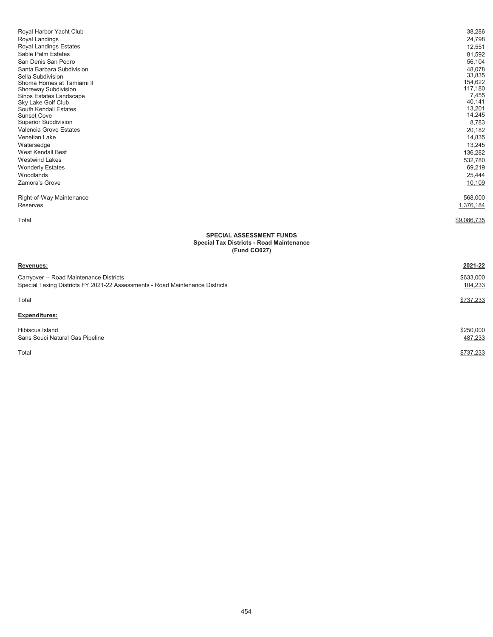| Royal Harbor Yacht Club<br>Royal Landings<br><b>Royal Landings Estates</b><br>Sable Palm Estates<br>San Denis San Pedro<br>Santa Barbara Subdivision<br>Sella Subdivision<br>Shoma Homes at Tamiami II<br>Shoreway Subdivision<br>Sinos Estates Landscape<br>Sky Lake Golf Club<br>South Kendall Estates<br><b>Sunset Cove</b><br><b>Superior Subdivision</b><br>Valencia Grove Estates<br>Venetian Lake<br>Watersedge<br><b>West Kendall Best</b><br><b>Westwind Lakes</b><br><b>Wonderly Estates</b><br>Woodlands<br>Zamora's Grove | 38,286<br>24,798<br>12,551<br>81,592<br>56,104<br>48,078<br>33,835<br>154,622<br>117,180<br>7,455<br>40,141<br>13,201<br>14,245<br>8,783<br>20,182<br>14,835<br>13,245<br>136,282<br>532,780<br>69,219<br>25,444<br>10,109<br>568,000 |  |
|---------------------------------------------------------------------------------------------------------------------------------------------------------------------------------------------------------------------------------------------------------------------------------------------------------------------------------------------------------------------------------------------------------------------------------------------------------------------------------------------------------------------------------------|---------------------------------------------------------------------------------------------------------------------------------------------------------------------------------------------------------------------------------------|--|
| Right-of-Way Maintenance<br>Reserves                                                                                                                                                                                                                                                                                                                                                                                                                                                                                                  | 1,376,184                                                                                                                                                                                                                             |  |
| Total                                                                                                                                                                                                                                                                                                                                                                                                                                                                                                                                 | \$9,086,735                                                                                                                                                                                                                           |  |
| <b>SPECIAL ASSESSMENT FUNDS</b><br><b>Special Tax Districts - Road Maintenance</b><br>(Fund CO027)                                                                                                                                                                                                                                                                                                                                                                                                                                    |                                                                                                                                                                                                                                       |  |
| Revenues:                                                                                                                                                                                                                                                                                                                                                                                                                                                                                                                             | 2021-22                                                                                                                                                                                                                               |  |
| Carryover -- Road Maintenance Districts<br>Special Taxing Districts FY 2021-22 Assessments - Road Maintenance Districts                                                                                                                                                                                                                                                                                                                                                                                                               | \$633,000<br>104,233                                                                                                                                                                                                                  |  |
| Total                                                                                                                                                                                                                                                                                                                                                                                                                                                                                                                                 | \$737,233                                                                                                                                                                                                                             |  |
| <b>Expenditures:</b>                                                                                                                                                                                                                                                                                                                                                                                                                                                                                                                  |                                                                                                                                                                                                                                       |  |

| Hibiscus Island                 | \$250,000 |
|---------------------------------|-----------|
| Sans Souci Natural Gas Pipeline | 487.233   |

Total \$737,233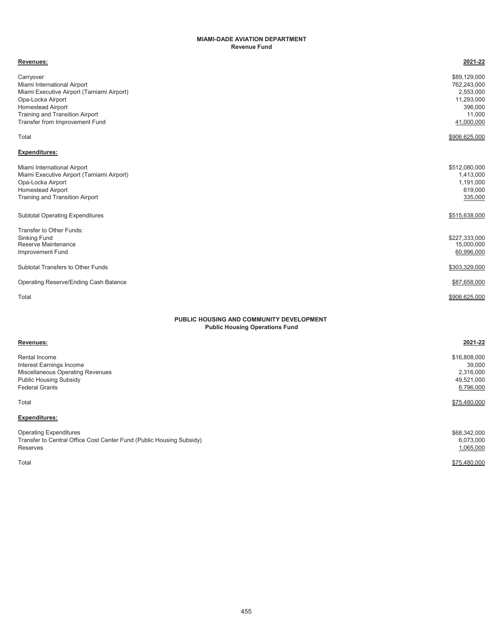### **MIAMI-DADE AVIATION DEPARTMENT Revenue Fund**

| Revenues:                                                                                                                                                                                                   | 2021-22                                                                                   |
|-------------------------------------------------------------------------------------------------------------------------------------------------------------------------------------------------------------|-------------------------------------------------------------------------------------------|
| Carryover<br>Miami International Airport<br>Miami Executive Airport (Tamiami Airport)<br>Opa-Locka Airport<br><b>Homestead Airport</b><br>Training and Transition Airport<br>Transfer from Improvement Fund | \$89,129,000<br>762,243,000<br>2,553,000<br>11,293,000<br>396,000<br>11,000<br>41,000,000 |
| Total                                                                                                                                                                                                       | \$906,625,000                                                                             |
| <b>Expenditures:</b>                                                                                                                                                                                        |                                                                                           |
| Miami International Airport<br>Miami Executive Airport (Tamiami Airport)<br>Opa-Locka Airport<br>Homestead Airport<br>Training and Transition Airport                                                       | \$512,080,000<br>1,413,000<br>1,191,000<br>619,000<br>335,000                             |
| <b>Subtotal Operating Expenditures</b>                                                                                                                                                                      | \$515,638,000                                                                             |
| Transfer to Other Funds:<br>Sinking Fund<br>Reserve Maintenance<br>Improvement Fund                                                                                                                         | \$227,333,000<br>15,000,000<br>60,996,000                                                 |
| Subtotal Transfers to Other Funds                                                                                                                                                                           | \$303,329,000                                                                             |
| Operating Reserve/Ending Cash Balance                                                                                                                                                                       | \$87,658,000                                                                              |
| Total                                                                                                                                                                                                       | \$906,625,000                                                                             |
| PUBLIC HOUSING AND COMMUNITY DEVELOPMENT<br><b>Public Housing Operations Fund</b>                                                                                                                           |                                                                                           |
| Revenues:                                                                                                                                                                                                   | 2021-22                                                                                   |
| Rental Income<br>Interest Earnings Income<br>Miscellaneous Operating Revenues<br><b>Public Housing Subsidy</b><br><b>Federal Grants</b>                                                                     | \$16,808,000<br>39,000<br>2,316,000<br>49,521,000<br>6,796,000                            |
| Total                                                                                                                                                                                                       | \$75,480,000                                                                              |
| <b>Expenditures:</b>                                                                                                                                                                                        |                                                                                           |

Operating Expenditures \$68,342,000<br>Transfer to Central Office Cost Center Fund (Public Housing Subsidy) 6,073,000 Transfer to Central Office Cost Center Fund (Public Housing Subsidy)<br>
Reserves 1,065,000<br>
1,065,000 Reserves 1,065,000 Total \$75,480,000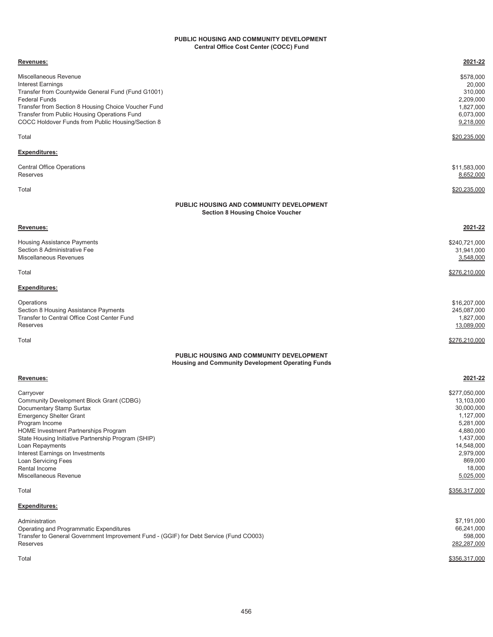#### **Central Office Cost Center (COCC) Fund PUBLIC HOUSING AND COMMUNITY DEVELOPMENT**

| Revenues:                                                                                            | 2021-22                  |
|------------------------------------------------------------------------------------------------------|--------------------------|
| Miscellaneous Revenue                                                                                | \$578,000                |
| <b>Interest Earnings</b>                                                                             | 20,000                   |
| Transfer from Countywide General Fund (Fund G1001)                                                   | 310,000                  |
| <b>Federal Funds</b>                                                                                 | 2,209,000                |
| Transfer from Section 8 Housing Choice Voucher Fund                                                  | 1,827,000                |
| Transfer from Public Housing Operations Fund                                                         | 6,073,000                |
| COCC Holdover Funds from Public Housing/Section 8                                                    | 9,218,000                |
| Total                                                                                                | \$20,235,000             |
| Expenditures:                                                                                        |                          |
| <b>Central Office Operations</b>                                                                     | \$11,583,000             |
| Reserves                                                                                             | 8,652,000                |
| Total                                                                                                | \$20,235,000             |
|                                                                                                      |                          |
| PUBLIC HOUSING AND COMMUNITY DEVELOPMENT<br><b>Section 8 Housing Choice Voucher</b>                  |                          |
| Revenues:                                                                                            | 2021-22                  |
| Housing Assistance Payments                                                                          | \$240,721,000            |
| Section 8 Administrative Fee                                                                         | 31,941,000               |
| Miscellaneous Revenues                                                                               | 3,548,000                |
| Total                                                                                                | \$276,210,000            |
| Expenditures:                                                                                        |                          |
| Operations                                                                                           | \$16,207,000             |
| Section 8 Housing Assistance Payments                                                                | 245,087,000              |
| Transfer to Central Office Cost Center Fund                                                          | 1,827,000                |
| Reserves                                                                                             | 13,089,000               |
| Total                                                                                                | \$276,210,000            |
| PUBLIC HOUSING AND COMMUNITY DEVELOPMENT<br><b>Housing and Community Development Operating Funds</b> |                          |
| Revenues:                                                                                            | 2021-22                  |
|                                                                                                      |                          |
| Carryover                                                                                            | \$277,050,000            |
| Community Development Block Grant (CDBG)<br>Documentary Stamp Surtax                                 | 13,103,000<br>30,000,000 |
| <b>Emergency Shelter Grant</b>                                                                       | 1,127,000                |
| Program Income                                                                                       | 5,281,000                |
| <b>HOME Investment Partnerships Program</b>                                                          | 4,880,000                |
| State Housing Initiative Partnership Program (SHIP)                                                  | 1,437,000                |
| Loan Repayments                                                                                      | 14,548,000               |
| Interest Earnings on Investments                                                                     | 2,979,000                |
| Loan Servicing Fees                                                                                  | 869,000                  |
| Rental Income                                                                                        | 18,000                   |
| Miscellaneous Revenue                                                                                | 5,025,000                |
| Total                                                                                                | \$356,317,000            |
| Expenditures:                                                                                        |                          |
| Administration                                                                                       | \$7,191,000              |
| Operating and Programmatic Expenditures                                                              | 66,241,000               |
| Transfer to General Government Improvement Fund - (GGIF) for Debt Service (Fund CO003)<br>Reserves   | 598,000<br>282,287,000   |
| Total                                                                                                | \$356,317,000            |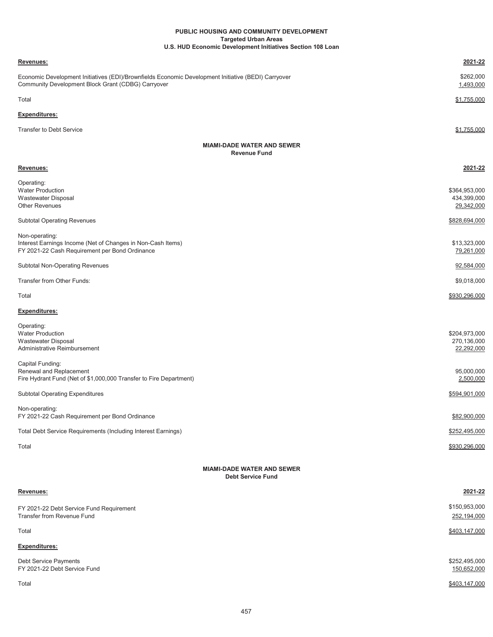#### **Targeted Urban Areas PUBLIC HOUSING AND COMMUNITY DEVELOPMENT U.S. HUD Economic Development Initiatives Section 108 Loan**

| <b>Revenues:</b>                                                                                                                                          | 2021-22                                    |  |
|-----------------------------------------------------------------------------------------------------------------------------------------------------------|--------------------------------------------|--|
| Economic Development Initiatives (EDI)/Brownfields Economic Development Initiative (BEDI) Carryover<br>Community Development Block Grant (CDBG) Carryover | \$262,000<br>1,493,000                     |  |
| Total                                                                                                                                                     | \$1,755,000                                |  |
| <b>Expenditures:</b>                                                                                                                                      |                                            |  |
| <b>Transfer to Debt Service</b>                                                                                                                           | \$1,755,000                                |  |
| <b>MIAMI-DADE WATER AND SEWER</b><br><b>Revenue Fund</b>                                                                                                  |                                            |  |
| Revenues:                                                                                                                                                 | 2021-22                                    |  |
| Operating:<br><b>Water Production</b><br>Wastewater Disposal<br><b>Other Revenues</b>                                                                     | \$364,953,000<br>434,399,000<br>29,342,000 |  |
|                                                                                                                                                           |                                            |  |
| <b>Subtotal Operating Revenues</b>                                                                                                                        | \$828,694,000                              |  |

| Subtotal Non-Operating Revenues | 92,584,000    |
|---------------------------------|---------------|
| Transfer from Other Funds:      | \$9,018,000   |
| Total                           | \$930,296,000 |

# **Expenditures:**

| Operating:                                                         |               |
|--------------------------------------------------------------------|---------------|
| <b>Water Production</b>                                            | \$204,973,000 |
| Wastewater Disposal                                                | 270,136,000   |
| Administrative Reimbursement                                       | 22,292,000    |
| Capital Funding:                                                   |               |
| Renewal and Replacement                                            | 95,000,000    |
| Fire Hydrant Fund (Net of \$1,000,000 Transfer to Fire Department) | 2,500,000     |
| <b>Subtotal Operating Expenditures</b>                             | \$594,901,000 |
| Non-operating:                                                     |               |
| FY 2021-22 Cash Requirement per Bond Ordinance                     | \$82,900,000  |
| Total Debt Service Requirements (Including Interest Earnings)      | \$252,495,000 |
| Total                                                              | \$930,296,000 |

# **MIAMI-DADE WATER AND SEWER Debt Service Fund**

| Revenues:                                                              | 2021-22                      |
|------------------------------------------------------------------------|------------------------------|
| FY 2021-22 Debt Service Fund Requirement<br>Transfer from Revenue Fund | \$150,953,000<br>252,194,000 |
| Total                                                                  | \$403,147,000                |
| <b>Expenditures:</b>                                                   |                              |
| Debt Service Payments<br>FY 2021-22 Debt Service Fund                  | \$252,495,000<br>150,652,000 |
| Total                                                                  | \$403.147.000                |